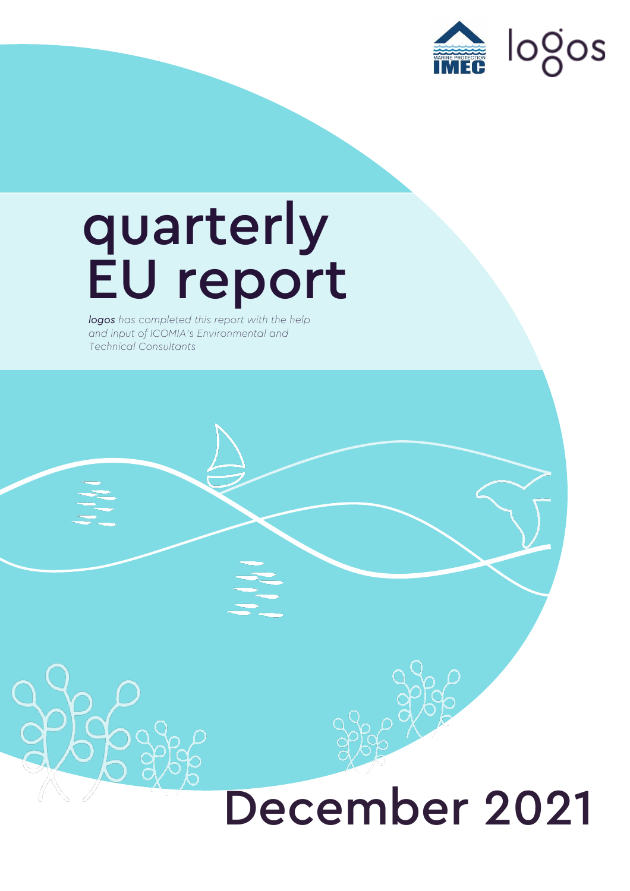

## quarterly EU report

*logos has completed this report with the help and input of ICOMIA's Environmental and Technical Consultants*

## December 2021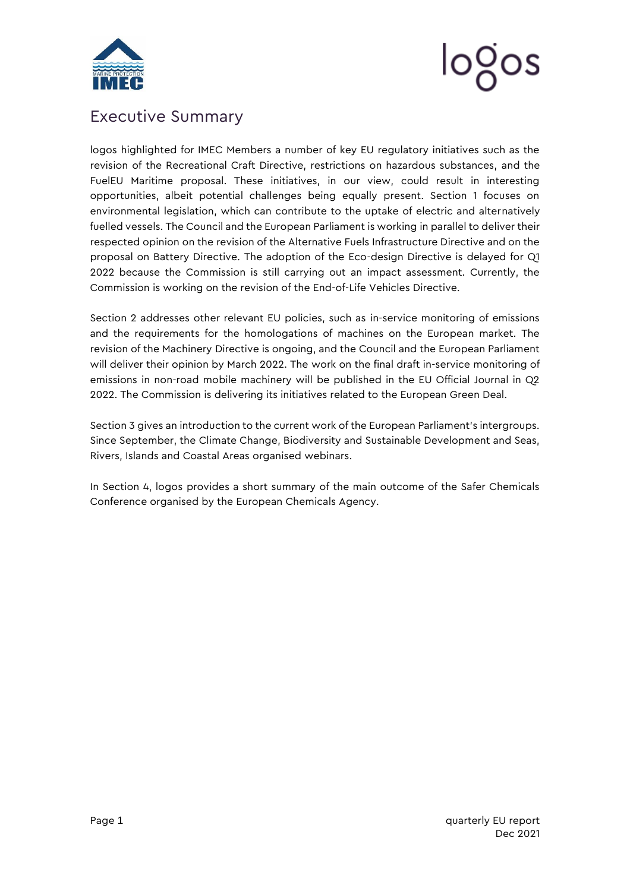

# logos

### <span id="page-1-0"></span>Executive Summary

logos highlighted for IMEC Members a number of key EU regulatory initiatives such as the revision of the Recreational Craft Directive, restrictions on hazardous substances, and the FuelEU Maritime proposal. These initiatives, in our view, could result in interesting opportunities, albeit potential challenges being equally present. Section 1 focuses on environmental legislation, which can contribute to the uptake of electric and alternatively fuelled vessels. The Council and the European Parliament is working in parallel to deliver their respected opinion on the revision of the Alternative Fuels Infrastructure Directive and on the proposal on Battery Directive. The adoption of the Eco-design Directive is delayed for Q1 2022 because the Commission is still carrying out an impact assessment. Currently, the Commission is working on the revision of the End-of-Life Vehicles Directive.

Section 2 addresses other relevant EU policies, such as in-service monitoring of emissions and the requirements for the homologations of machines on the European market. The revision of the Machinery Directive is ongoing, and the Council and the European Parliament will deliver their opinion by March 2022. The work on the final draft in-service monitoring of emissions in non-road mobile machinery will be published in the EU Official Journal in Q2 2022. The Commission is delivering its initiatives related to the European Green Deal.

Section 3 gives an introduction to the current work of the European Parliament's intergroups. Since September, the Climate Change, Biodiversity and Sustainable Development and Seas, Rivers, Islands and Coastal Areas organised webinars.

In Section 4, logos provides a short summary of the main outcome of the Safer Chemicals Conference organised by the European Chemicals Agency.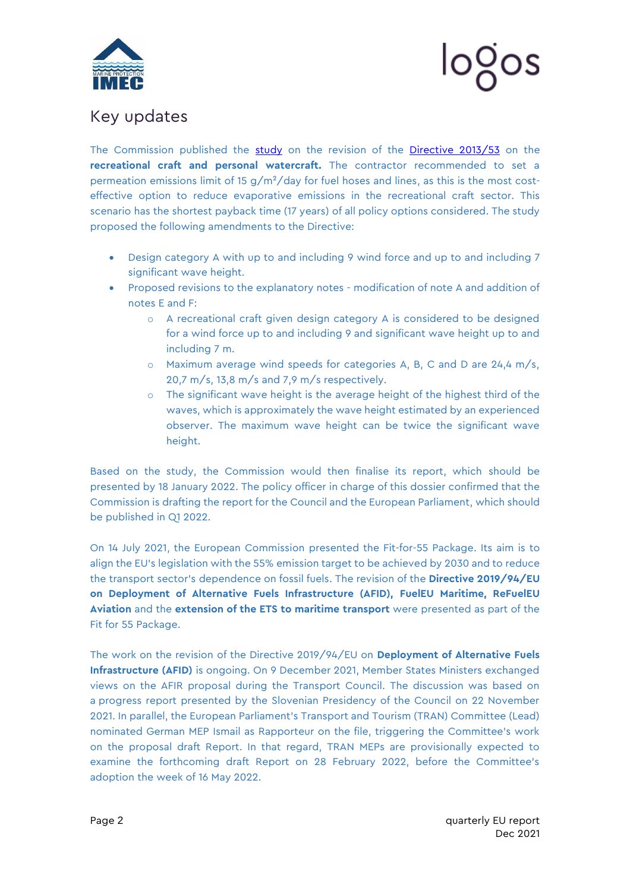



### <span id="page-2-0"></span>Key updates

The Commission published the [study](https://ec.europa.eu/growth/system/files/2021-11/Final%20Report%20Review%20Study%20on%20the%20Recreational%20Craft%20Directive%202013%2053%20EU.pdf) on the revision of the [Directive 2013/53](https://eur-lex.europa.eu/legal-content/EN/TXT/PDF/?uri=CELEX:32013L0053&from=EN) on the **recreational craft and personal watercraft.** The contractor recommended to set a permeation emissions limit of 15  $g/m^2$ /day for fuel hoses and lines, as this is the most costeffective option to reduce evaporative emissions in the recreational craft sector. This scenario has the shortest payback time (17 years) of all policy options considered. The study proposed the following amendments to the Directive:

- Design category A with up to and including 9 wind force and up to and including 7 significant wave height.
- Proposed revisions to the explanatory notes modification of note A and addition of notes E and F:
	- o A recreational craft given design category A is considered to be designed for a wind force up to and including 9 and significant wave height up to and including 7 m.
	- o Maximum average wind speeds for categories A, B, C and D are 24,4 m/s, 20,7 m/s, 13,8 m/s and 7,9 m/s respectively.
	- $\circ$  The significant wave height is the average height of the highest third of the waves, which is approximately the wave height estimated by an experienced observer. The maximum wave height can be twice the significant wave height.

Based on the study, the Commission would then finalise its report, which should be presented by 18 January 2022. The policy officer in charge of this dossier confirmed that the Commission is drafting the report for the Council and the European Parliament, which should be published in Q1 2022.

On 14 July 2021, the European Commission presented the Fit-for-55 Package. Its aim is to align the EU's legislation with the 55% emission target to be achieved by 2030 and to reduce the transport sector's dependence on fossil fuels. The revision of the **[Directive 2019/94/EU](https://eur-lex.europa.eu/legal-content/EN/TXT/PDF/?uri=CELEX:32019L0904&from=EN) on Deployment of Alternative Fuels Infrastructure (AFID), FuelEU Maritime, ReFuelEU Aviation** and the **extension of the ETS to maritime transport** were presented as part of the Fit for 55 Package.

The work on the revision of the Directive 2019/94/EU on **Deployment of Alternative Fuels Infrastructure (AFID)** is ongoing. On 9 December 2021, Member States Ministers exchanged views on the AFIR proposal during the Transport Council. The discussion was based on a progress report presented by the Slovenian Presidency of the Council on 22 November 2021. In parallel, the European Parliament's Transport and Tourism (TRAN) Committee (Lead) nominated German MEP Ismail as Rapporteur on the file, triggering the Committee's work on the proposal draft Report. In that regard, TRAN MEPs are provisionally expected to examine the forthcoming draft Report on 28 February 2022, before the Committee's adoption the week of 16 May 2022.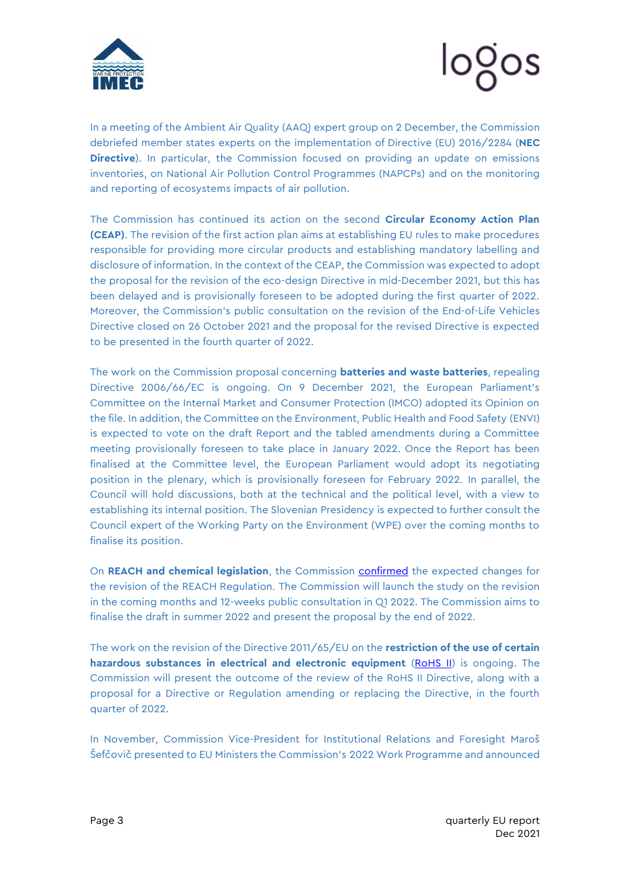



In a meeting of the Ambient Air Quality (AAQ) expert group on 2 December, the Commission debriefed member states experts on the implementation of Directive (EU) 2016/2284 (**NEC Directive**). In particular, the Commission focused on providing an update on emissions inventories, on National Air Pollution Control Programmes (NAPCPs) and on the monitoring and reporting of ecosystems impacts of air pollution.

The Commission has continued its action on the second **Circular Economy Action Plan (CEAP)**. The revision of the first action plan aims at establishing EU rules to make procedures responsible for providing more circular products and establishing mandatory labelling and disclosure of information. In the context of the CEAP, the Commission was expected to adopt the proposal for the revision of the eco-design Directive in mid-December 2021, but this has been delayed and is provisionally foreseen to be adopted during the first quarter of 2022. Moreover, the Commission's public consultation on the revision of the End-of-Life Vehicles Directive closed on 26 October 2021 and the proposal for the revised Directive is expected to be presented in the fourth quarter of 2022.

The work on the Commission proposal concerning **batteries and waste batteries**, repealing Directive 2006/66/EC is ongoing. On 9 December 2021, the European Parliament's Committee on the Internal Market and Consumer Protection (IMCO) adopted its Opinion on the file. In addition, the Committee on the Environment, Public Health and Food Safety (ENVI) is expected to vote on the draft Report and the tabled amendments during a Committee meeting provisionally foreseen to take place in January 2022. Once the Report has been finalised at the Committee level, the European Parliament would adopt its negotiating position in the plenary, which is provisionally foreseen for February 2022. In parallel, the Council will hold discussions, both at the technical and the political level, with a view to establishing its internal position. The Slovenian Presidency is expected to further consult the Council expert of the Working Party on the Environment (WPE) over the coming months to finalise its position.

On **REACH and chemical legislation**, the Commission [confirmed](https://mcusercontent.com/912d3a5b241130a8c7aac179c/files/c823a949-8c39-4e3e-a729-6db5fa7bc63c/29_JUN_21_Presentation_from_the_Commission_update_on_the_revision_fo_REACH_and_related_actions_under_the_CSS.pdf) the expected changes for the revision of the REACH Regulation. The Commission will launch the study on the revision in the coming months and 12-weeks public consultation in Q1 2022. The Commission aims to finalise the draft in summer 2022 and present the proposal by the end of 2022.

The work on the revision of the Directive 2011/65/EU on the **restriction of the use of certain hazardous substances in electrical and electronic equipment** [\(RoHS II\)](https://signedin.euissuetracker.com/Pages/Dossier/IssueManager.aspx?tn_id=1&ln_id=1&sn_id=1&id=2783) is ongoing. The Commission will present the outcome of the review of the RoHS II Directive, along with a proposal for a Directive or Regulation amending or replacing the Directive, in the fourth quarter of 2022.

In November, Commission Vice-President for Institutional Relations and Foresight Maroš Šefčovič presented to EU Ministers the Commission's [2022 Work Programme](https://app.euissuetracker.com/document/commission-work-programme-2022-making-europe-stronger-together/) and announced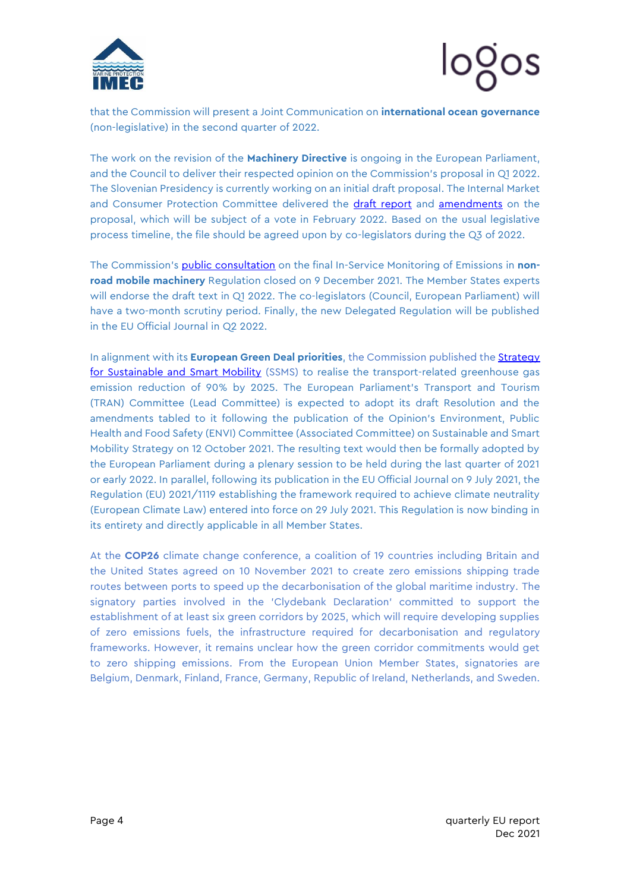



that the Commission will present a Joint Communication on **international ocean governance** (non-legislative) in the second quarter of 2022.

The work on the revision of the **Machinery Directive** is ongoing in the European Parliament, and the Council to deliver their respected opinion on the Commission's proposal in Q1 2022. The Slovenian Presidency is currently working on an initial draft proposal. The Internal Market and Consumer Protection Committee delivered the [draft report](https://www.europarl.europa.eu/doceo/document/IMCO-PR-697614_EN.pdf) and [amendments](https://www.europarl.europa.eu/doceo/document/IMCO-AM-699191_EN.pdf) on the proposal, which will be subject of a vote in February 2022. Based on the usual legislative process timeline, the file should be agreed upon by co-legislators during the Q3 of 2022.

The Commission's [public consultation](https://eur02.safelinks.protection.outlook.com/?url=https%3A%2F%2Fec.europa.eu%2Finfo%2Flaw%2Fbetter-regulation%2Fhave-your-say%2Finitiatives%2F13263-In-service-monitoring-of-non-road-mobile-machinery-engines-with-power-of-less-than-56-kW-or-more-than-560-kW_en&data=04%7C01%7Caliz.maletics%40logos-pa.com%7Cafcc2ce3db444217d41d08d9b8cccb8f%7Cac144e41800148f09e1c170716ed06b6%7C0%7C0%7C637744011990323633%7CUnknown%7CTWFpbGZsb3d8eyJWIjoiMC4wLjAwMDAiLCJQIjoiV2luMzIiLCJBTiI6Ik1haWwiLCJXVCI6Mn0%3D%7C3000&sdata=9nkQuReoz25CBH0eV3xUMn4KN3ZC1LxxM4EhrR9Gs6Y%3D&reserved=0) on the final In-Service Monitoring of Emissions in **nonroad mobile machinery** Regulation closed on 9 December 2021. The Member States experts will endorse the draft text in Q1 2022. The co-legislators (Council, European Parliament) will have a two-month scrutiny period. Finally, the new Delegated Regulation will be published in the EU Official Journal in Q2 2022.

In alignment with its **European Green Deal priorities**, the Commission published th[e Strategy](https://ec.europa.eu/transport/sites/transport/files/legislation/com20200789-annex.pdf)  [for Sustainable and Smart Mobility](https://ec.europa.eu/transport/sites/transport/files/legislation/com20200789-annex.pdf) (SSMS) to realise the transport-related greenhouse gas emission reduction of 90% by 2025. The European Parliament's Transport and Tourism (TRAN) Committee (Lead Committee) is expected to adopt its draft Resolution and the amendments tabled to it following the publication of the Opinion's Environment, Public Health and Food Safety (ENVI) Committee (Associated Committee) on Sustainable and Smart Mobility Strategy on 12 October 2021. The resulting text would then be formally adopted by the European Parliament during a plenary session to be held during the last quarter of 2021 or early 2022. In parallel, following its publication in the EU Official Journal on 9 July 2021, the [Regulation \(EU\) 2021/1119 establishing the framework required to achieve climate neutrality](https://eur-lex.europa.eu/legal-content/EN/TXT/?uri=uriserv%3AOJ.L_.2021.243.01.0001.01.ENG&toc=OJ%3AL%3A2021%3A243%3ATOC) (European Climate Law) entered into force on 29 July 2021. This Regulation is now binding in its entirety and directly applicable in all Member States.

At the **COP26** climate change conference, a coalition of 19 countries including Britain and the United States agreed on 10 November 2021 to create zero emissions shipping trade routes between ports to speed up the decarbonisation of the global maritime industry. The signatory parties involved in the 'Clydebank Declaration' committed to support the establishment of at least six green corridors by 2025, which will require developing supplies of zero emissions fuels, the infrastructure required for decarbonisation and regulatory frameworks. However, it remains unclear how the green corridor commitments would get to zero shipping emissions. From the European Union Member States, signatories are Belgium, Denmark, Finland, France, Germany, Republic of Ireland, Netherlands, and Sweden.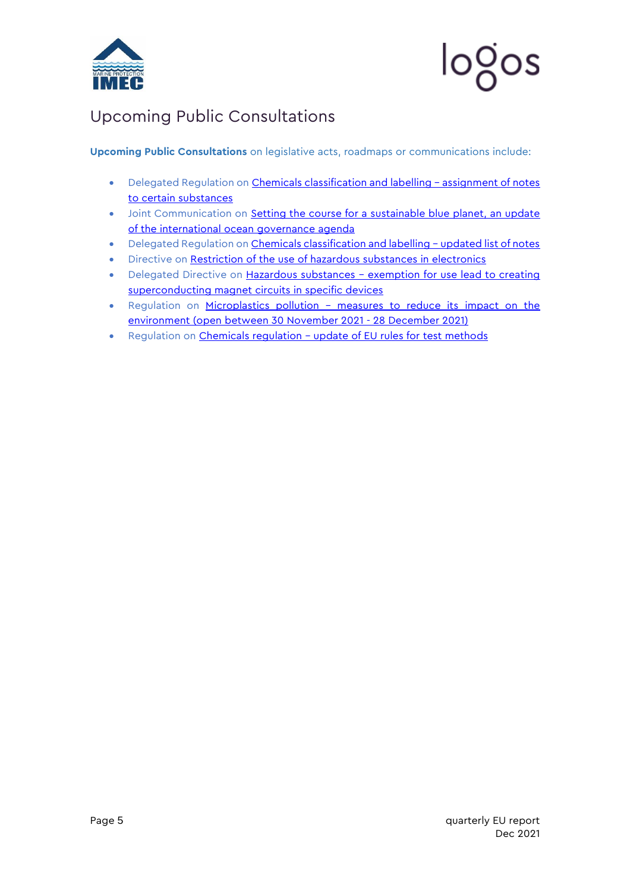

## <span id="page-5-0"></span>Upcoming Public Consultations

**Upcoming Public Consultations** on legislative acts, roadmaps or communications include:

- Delegated Regulation on [Chemicals classification and labelling](https://ec.europa.eu/info/law/better-regulation/have-your-say/initiatives/13211-Chemicals-classification-and-labelling-assignment-of-notes-to-certain-substances_en)  assignment of notes [to certain substances](https://ec.europa.eu/info/law/better-regulation/have-your-say/initiatives/13211-Chemicals-classification-and-labelling-assignment-of-notes-to-certain-substances_en)
- Joint Communication on Setting the course for a sustainable blue planet, an update [of the international ocean governance agenda](https://ec.europa.eu/info/law/better-regulation/have-your-say/initiatives/13219-Setting-the-course-for-a-sustainable-blue-planet-an-update-of-the-international-ocean-governance-agenda_en)
- Delegated Regulation on [Chemicals classification and labelling](https://ec.europa.eu/info/law/better-regulation/have-your-say/initiatives/13210-Chemicals-classification-and-labelling-updated-list-of-notes_en)  updated list of notes
- Directive on [Restriction of the use of hazardous substances in electronics](https://ec.europa.eu/info/law/better-regulation/have-your-say/initiatives/13137-Review-Restriction-of-the-use-of-hazardous-substances-in-electronics_en)
- Delegated Directive on Hazardous substances exemption for use lead to creating [superconducting magnet circuits in specific devices](https://ec.europa.eu/info/law/better-regulation/have-your-say/initiatives/12879-Hazardous-substances-exemption-for-use-of-lead-to-create-superconducting-magnet-circuits-in-specific-devices_en)
- Regulation on Microplastics pollution measures to reduce its impact on the [environment](https://ec.europa.eu/info/law/better-regulation/have-your-say/initiatives/12823-Microplastics-pollution-measures-to-reduce-its-impact-on-the-environment_en) (open between 30 November 2021 - 28 December 2021)
- Regulation on [Chemicals regulation](https://ec.europa.eu/info/law/better-regulation/have-your-say/initiatives/12100-Chemicals-regulation-update-of-EU-rules-for-test-methods_en)  update of EU rules for test methods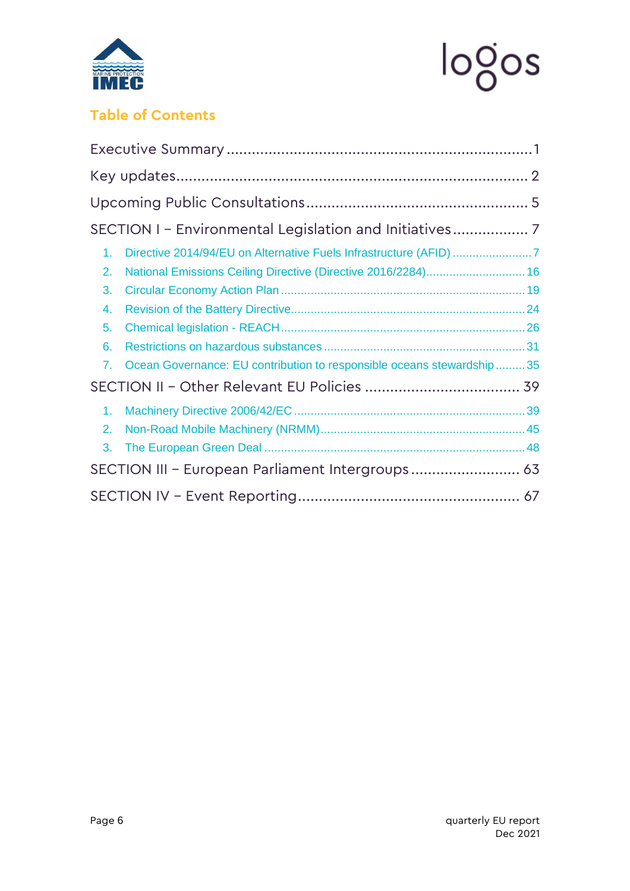



## **Table of Contents**

| 1.                                               | Directive 2014/94/EU on Alternative Fuels Infrastructure (AFID) 7     |  |  |
|--------------------------------------------------|-----------------------------------------------------------------------|--|--|
| 2.                                               | National Emissions Ceiling Directive (Directive 2016/2284) 16         |  |  |
| 3.                                               |                                                                       |  |  |
| 4.                                               |                                                                       |  |  |
| 5.                                               |                                                                       |  |  |
| 6.                                               |                                                                       |  |  |
| 7.                                               | Ocean Governance: EU contribution to responsible oceans stewardship35 |  |  |
|                                                  |                                                                       |  |  |
| 1.                                               |                                                                       |  |  |
| 2.                                               |                                                                       |  |  |
| 3.                                               |                                                                       |  |  |
| SECTION III - European Parliament Intergroups 63 |                                                                       |  |  |
|                                                  |                                                                       |  |  |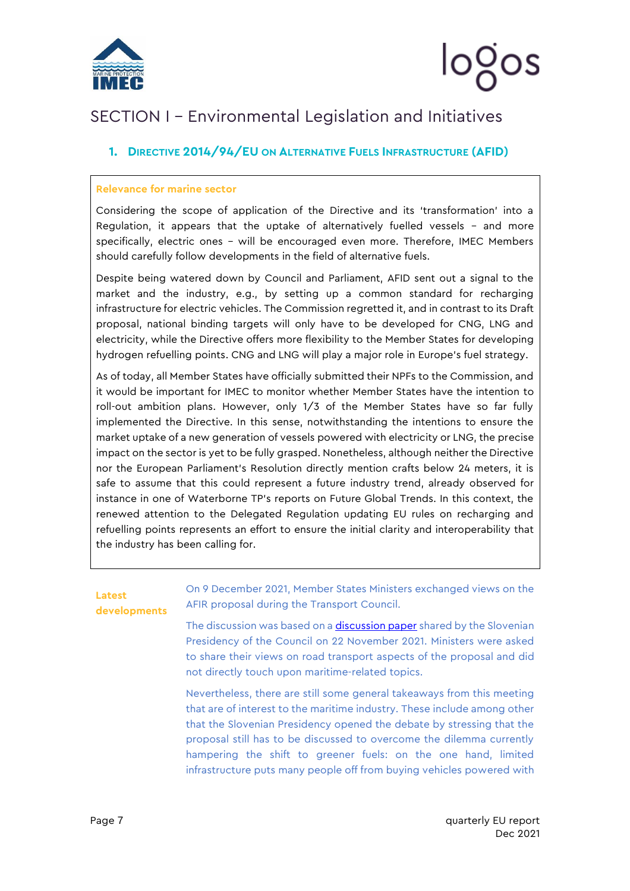

## <span id="page-7-0"></span>SECTION I – Environmental Legislation and Initiatives

### <span id="page-7-1"></span>**1. DIRECTIVE 2014/94/EU ON ALTERNATIVE FUELS INFRASTRUCTURE (AFID)**

#### **Relevance for marine sector**

Considering the scope of application of the Directive and its 'transformation' into a Regulation, it appears that the uptake of alternatively fuelled vessels – and more specifically, electric ones – will be encouraged even more. Therefore, IMEC Members should carefully follow developments in the field of alternative fuels.

Despite being watered down by Council and Parliament, AFID sent out a signal to the market and the industry, e.g., by setting up a common standard for recharging infrastructure for electric vehicles. The Commission regretted it, and in contrast to its Draft proposal, national binding targets will only have to be developed for CNG, LNG and electricity, while the Directive offers more flexibility to the Member States for developing hydrogen refuelling points. CNG and LNG will play a major role in Europe's fuel strategy.

As of today, all Member States have officially submitted their NPFs to the Commission, and it would be important for IMEC to monitor whether Member States have the intention to roll-out ambition plans. However, only 1/3 of the Member States have so far fully implemented the Directive. In this sense, notwithstanding the intentions to ensure the market uptake of a new generation of vessels powered with electricity or LNG, the precise impact on the sector is yet to be fully grasped. Nonetheless, although neither the Directive nor the European Parliament's Resolution directly mention crafts below 24 meters, it is safe to assume that this could represent a future industry trend, already observed for instance in one of Waterborne TP's reports on Future Global Trends. In this context, the renewed attention to the Delegated Regulation updating EU rules on recharging and refuelling points represents an effort to ensure the initial clarity and interoperability that the industry has been calling for.

#### **Latest developments**

On 9 December 2021, Member States Ministers exchanged views on the AFIR proposal during the Transport Council.

The discussion was based on a **discussion paper** shared by the Slovenian Presidency of the Council on 22 November 2021. Ministers were asked to share their views on road transport aspects of the proposal and did not directly touch upon maritime-related topics.

Nevertheless, there are still some general takeaways from this meeting that are of interest to the maritime industry. These include among other that the Slovenian Presidency opened the debate by stressing that the proposal still has to be discussed to overcome the dilemma currently hampering the shift to greener fuels: on the one hand, limited infrastructure puts many people off from buying vehicles powered with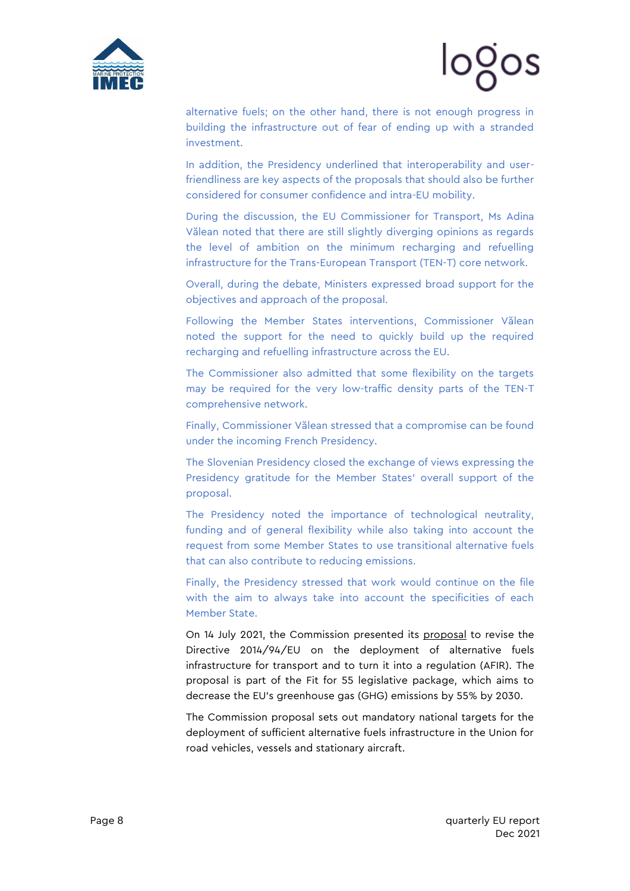



alternative fuels; on the other hand, there is not enough progress in building the infrastructure out of fear of ending up with a stranded investment.

In addition, the Presidency underlined that interoperability and userfriendliness are key aspects of the proposals that should also be further considered for consumer confidence and intra-EU mobility.

During the discussion, the EU Commissioner for Transport, Ms Adina Vălean noted that there are still slightly diverging opinions as regards the level of ambition on the minimum recharging and refuelling infrastructure for the Trans-European Transport (TEN-T) core network.

Overall, during the debate, Ministers expressed broad support for the objectives and approach of the proposal.

Following the Member States interventions, Commissioner Vălean noted the support for the need to quickly build up the required recharging and refuelling infrastructure across the EU.

The Commissioner also admitted that some flexibility on the targets may be required for the very low-traffic density parts of the TEN-T comprehensive network.

Finally, Commissioner Vălean stressed that a compromise can be found under the incoming French Presidency.

The Slovenian Presidency closed the exchange of views expressing the Presidency gratitude for the Member States' overall support of the proposal.

The Presidency noted the importance of technological neutrality, funding and of general flexibility while also taking into account the request from some Member States to use transitional alternative fuels that can also contribute to reducing emissions.

Finally, the Presidency stressed that work would continue on the file with the aim to always take into account the specificities of each Member State.

On 14 July 2021, the Commission presented its [proposal](https://ec.europa.eu/info/sites/default/files/revision_of_the_directive_on_deployment_of_the_alternative_fuels_infrastructure_with_annex_0.pdf) to revise the Directive 2014/94/EU on the deployment of alternative fuels infrastructure for transport and to turn it into a regulation (AFIR). The proposal is part of the Fit for 55 legislative package, which aims to decrease the EU's greenhouse gas (GHG) emissions by 55% by 2030.

The Commission proposal sets out mandatory national targets for the deployment of sufficient alternative fuels infrastructure in the Union for road vehicles, vessels and stationary aircraft.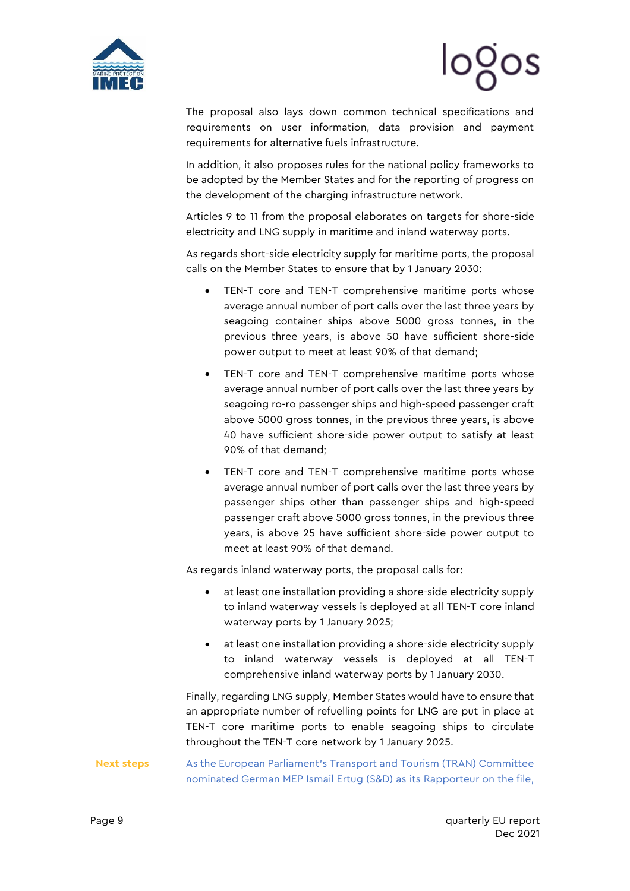



The proposal also lays down common technical specifications and requirements on user information, data provision and payment requirements for alternative fuels infrastructure.

In addition, it also proposes rules for the national policy frameworks to be adopted by the Member States and for the reporting of progress on the development of the charging infrastructure network.

Articles 9 to 11 from the proposal elaborates on targets for shore-side electricity and LNG supply in maritime and inland waterway ports.

As regards short-side electricity supply for maritime ports, the proposal calls on the Member States to ensure that by 1 January 2030:

- TEN-T core and TEN-T comprehensive maritime ports whose average annual number of port calls over the last three years by seagoing container ships above 5000 gross tonnes, in the previous three years, is above 50 have sufficient shore-side power output to meet at least 90% of that demand;
- TEN-T core and TEN-T comprehensive maritime ports whose average annual number of port calls over the last three years by seagoing ro-ro passenger ships and high-speed passenger craft above 5000 gross tonnes, in the previous three years, is above 40 have sufficient shore-side power output to satisfy at least 90% of that demand;
- TEN-T core and TEN-T comprehensive maritime ports whose average annual number of port calls over the last three years by passenger ships other than passenger ships and high-speed passenger craft above 5000 gross tonnes, in the previous three years, is above 25 have sufficient shore-side power output to meet at least 90% of that demand.

As regards inland waterway ports, the proposal calls for:

- at least one installation providing a shore-side electricity supply to inland waterway vessels is deployed at all TEN-T core inland waterway ports by 1 January 2025;
- at least one installation providing a shore-side electricity supply to inland waterway vessels is deployed at all TEN-T comprehensive inland waterway ports by 1 January 2030.

Finally, regarding LNG supply, Member States would have to ensure that an appropriate number of refuelling points for LNG are put in place at TEN-T core maritime ports to enable seagoing ships to circulate throughout the TEN-T core network by 1 January 2025.

**Next steps** As the European Parliament's Transport and Tourism (TRAN) Committee nominated German MEP Ismail Ertug (S&D) as its Rapporteur on the file,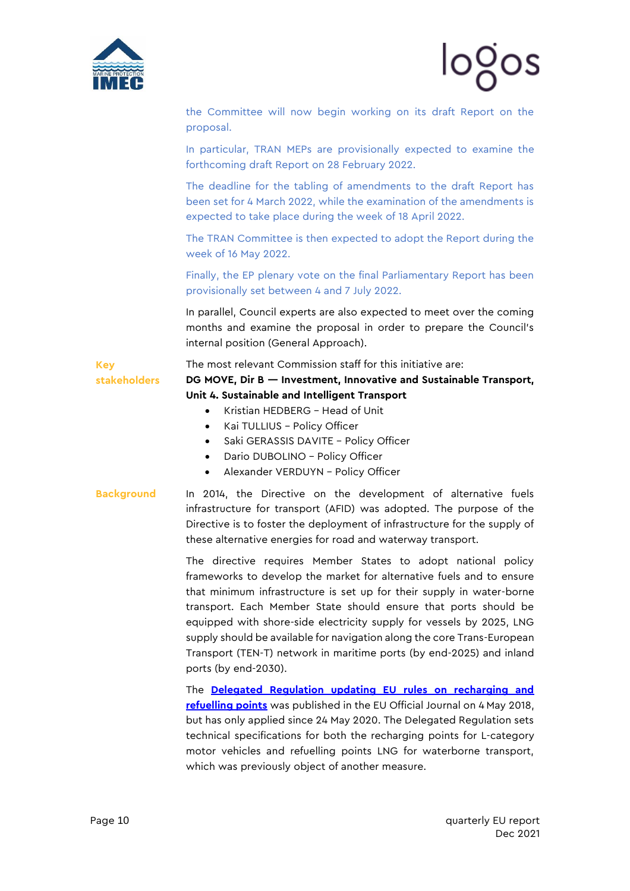

the Committee will now begin working on its draft Report on the proposal.

In particular, TRAN MEPs are provisionally expected to examine the forthcoming draft Report on 28 February 2022.

The deadline for the tabling of amendments to the draft Report has been set for 4 March 2022, while the examination of the amendments is expected to take place during the week of 18 April 2022.

The TRAN Committee is then expected to adopt the Report during the week of 16 May 2022.

Finally, the EP plenary vote on the final Parliamentary Report has been provisionally set between 4 and 7 July 2022.

In parallel, Council experts are also expected to meet over the coming months and examine the proposal in order to prepare the Council's internal position (General Approach).

**stakeholders** The most relevant Commission staff for this initiative are: **DG MOVE, Dir B — Investment, Innovative and Sustainable Transport,** 

- **Unit 4. Sustainable and Intelligent Transport**
	- Kristian HEDBERG Head of Unit
	- Kai TULLIUS Policy Officer
	- Saki GERASSIS DAVITE Policy Officer
	- Dario DUBOLINO Policy Officer
	- Alexander VERDUYN Policy Officer

**Key** 

**Background** In 2014, the [Directive on the development of alternative fuels](http://eur-lex.europa.eu/legal-content/EN/TXT/?uri=CELEX:32014L0094)  [infrastructure for transport \(AFID\)](http://eur-lex.europa.eu/legal-content/EN/TXT/?uri=CELEX:32014L0094) was adopted. The purpose of the Directive is to foster the deployment of infrastructure for the supply of these alternative energies for road and waterway transport.

> The directive requires Member States to adopt national policy frameworks to develop the market for alternative fuels and to ensure that minimum infrastructure is set up for their supply in water-borne transport. Each Member State should ensure that ports should be equipped with shore-side electricity supply for vessels by 2025, LNG supply should be available for navigation along the core Trans-European Transport (TEN-T) network in maritime ports (by end-2025) and inland ports (by end-2030).

> The **[Delegated Regulation updating EU rules on recharging and](https://eur-lex.europa.eu/legal-content/GA/ALL/?uri=OJ%3AL%3A2018%3A114%3ATOC)  [refuelling points](https://eur-lex.europa.eu/legal-content/GA/ALL/?uri=OJ%3AL%3A2018%3A114%3ATOC)** was published in the EU Official Journal on 4 May 2018, but has only applied since 24 May 2020. The Delegated Regulation sets technical specifications for both the recharging points for L-category motor vehicles and refuelling points LNG for waterborne transport, which was previously object of another measure.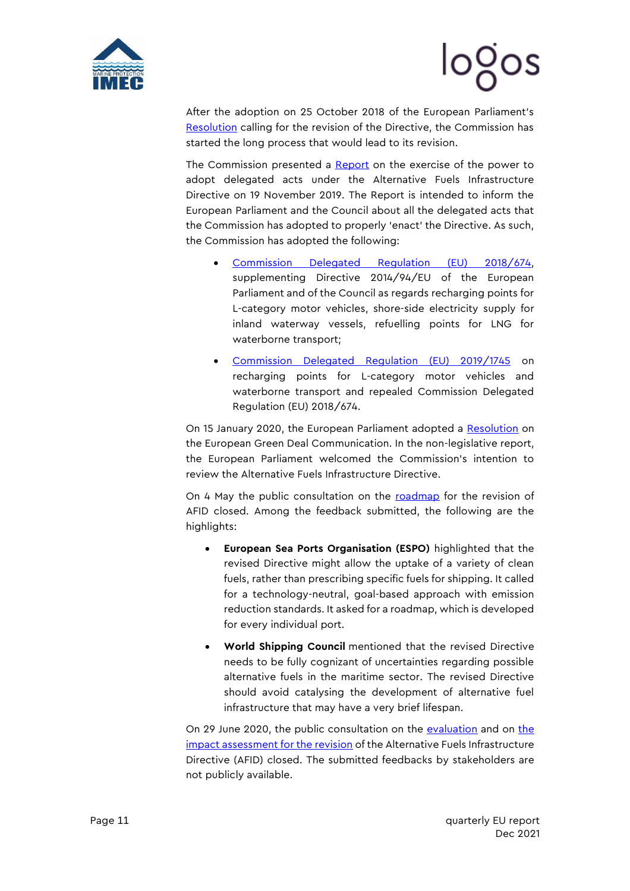



After the adoption on 25 October 2018 of the European Parliament's [Resolution](http://www.europarl.europa.eu/sides/getDoc.do?pubRef=-//EP//NONSGML+TA+P8-TA-2018-0438+0+DOC+PDF+V0//EN) calling for the revision of the Directive, the Commission has started the long process that would lead to its revision.

The Commission presented a **Report** on the exercise of the power to adopt delegated acts under the Alternative Fuels Infrastructure Directive on 19 November 2019. The Report is intended to inform the European Parliament and the Council about all the delegated acts that the Commission has adopted to properly 'enact' the Directive. As such, the Commission has adopted the following:

- [Commission Delegated Regulation \(EU\) 2018/674,](https://eur-lex.europa.eu/legal-content/EN/TXT/?uri=uriserv%3AOJ.L_.2018.114.01.0001.01.ENG) supplementing Directive 2014/94/EU of the European Parliament and of the Council as regards recharging points for L-category motor vehicles, shore-side electricity supply for inland waterway vessels, refuelling points for LNG for waterborne transport;
- [Commission Delegated Regulation \(EU\) 2019/1745](https://eur-lex.europa.eu/legal-content/GA/TXT/?uri=CELEX:32019R1745) on recharging points for L-category motor vehicles and waterborne transport and repealed Commission Delegated Regulation (EU) 2018/674.

On 15 January 2020, the European Parliament adopted a [Resolution](https://www.europarl.europa.eu/doceo/document/B-9-2020-0044_EN.pdf) on the European Green Deal Communication. In the non-legislative report, the European Parliament welcomed the Commission's intention to review the Alternative Fuels Infrastructure Directive.

On 4 May the public consultation on the [roadmap](https://mcusercontent.com/912d3a5b241130a8c7aac179c/files/2a6e59bb-839e-4054-9b93-5d33f5169f15/090166e5cde47130_2_.pdf) for the revision of AFID closed. Among the feedback submitted, the following are the highlights:

- **European Sea Ports Organisation (ESPO)** highlighted that the revised Directive might allow the uptake of a variety of clean fuels, rather than prescribing specific fuels for shipping. It called for a technology-neutral, goal-based approach with emission reduction standards. It asked for a roadmap, which is developed for every individual port.
- **World Shipping Council** mentioned that the revised Directive needs to be fully cognizant of uncertainties regarding possible alternative fuels in the maritime sector. The revised Directive should avoid catalysing the development of alternative fuel infrastructure that may have a very brief lifespan.

On 29 June 2020, the public consultation on the [evaluation](https://ec.europa.eu/info/law/better-regulation/have-your-say/initiatives/2111-Evaluation-of-the-Alternative-Fuels-Infrastructure-Directive) and on the [impact assessment for the revision](https://ec.europa.eu/info/law/better-regulation/have-your-say/initiatives/12251-Revision-of-Alternative-Fuels-Infrastructure-Directive) of the Alternative Fuels Infrastructure Directive (AFID) closed. The submitted feedbacks by stakeholders are not publicly available.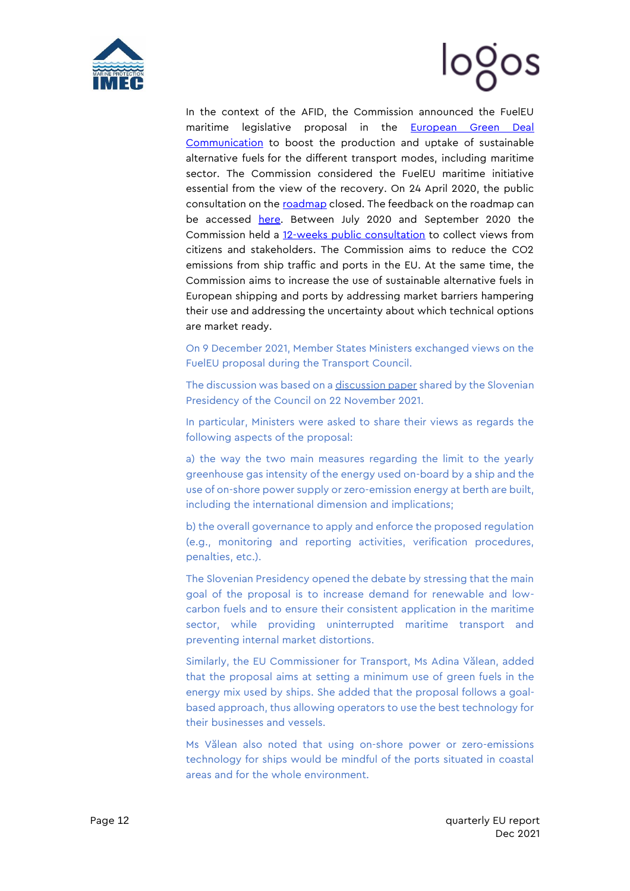



In the context of the AFID, the Commission announced the FuelEU maritime legislative proposal in the [European Green Deal](https://ec.europa.eu/info/sites/info/files/european-green-deal-communication_en.pdf)  [Communication](https://ec.europa.eu/info/sites/info/files/european-green-deal-communication_en.pdf) to boost the production and uptake of sustainable alternative fuels for the different transport modes, including maritime sector. The Commission considered the FuelEU maritime initiative essential from the view of the recovery. On 24 April 2020, the public consultation on the [roadmap](https://ec.europa.eu/info/law/better-regulation/have-your-say/initiatives/12312-CO2-emissions-from-shipping-encouraging-the-use-of-low-carbon-fuels) closed. The feedback on the roadmap can be accessed [here.](https://ec.europa.eu/info/law/better-regulation/have-your-say/initiatives/12312-FuelEU-Maritime-/feedback?p_id=7658088) Between July 2020 and September 2020 the Commission held a [12-weeks public consultation](https://ec.europa.eu/info/law/better-regulation/have-your-say/initiatives/12312-FuelEU-Maritime-/feedback?p_id=7658088) to collect views from citizens and stakeholders. The Commission aims to reduce the CO2 emissions from ship traffic and ports in the EU. At the same time, the Commission aims to increase the use of sustainable alternative fuels in European shipping and ports by addressing market barriers hampering their use and addressing the uncertainty about which technical options are market ready.

On 9 December 2021, Member States Ministers exchanged views on the FuelEU proposal during the Transport Council.

The discussion was based on [a discussion paper](https://mcusercontent.com/912d3a5b241130a8c7aac179c/files/bb02bab5-31b9-a1ca-0a5f-be7855deaa26/22_NOV_21_Council_discussion_paper_on_FuelEU_proposal.pdf) shared by the Slovenian Presidency of the Council on 22 November 2021.

In particular, Ministers were asked to share their views as regards the following aspects of the proposal:

a) the way the two main measures regarding the limit to the yearly greenhouse gas intensity of the energy used on-board by a ship and the use of on-shore power supply or zero-emission energy at berth are built, including the international dimension and implications;

b) the overall governance to apply and enforce the proposed regulation (e.g., monitoring and reporting activities, verification procedures, penalties, etc.).

The Slovenian Presidency opened the debate by stressing that the main goal of the proposal is to increase demand for renewable and lowcarbon fuels and to ensure their consistent application in the maritime sector, while providing uninterrupted maritime transport and preventing internal market distortions.

Similarly, the EU Commissioner for Transport, Ms Adina Vălean, added that the proposal aims at setting a minimum use of green fuels in the energy mix used by ships. She added that the proposal follows a goalbased approach, thus allowing operators to use the best technology for their businesses and vessels.

Ms Vălean also noted that using on-shore power or zero-emissions technology for ships would be mindful of the ports situated in coastal areas and for the whole environment.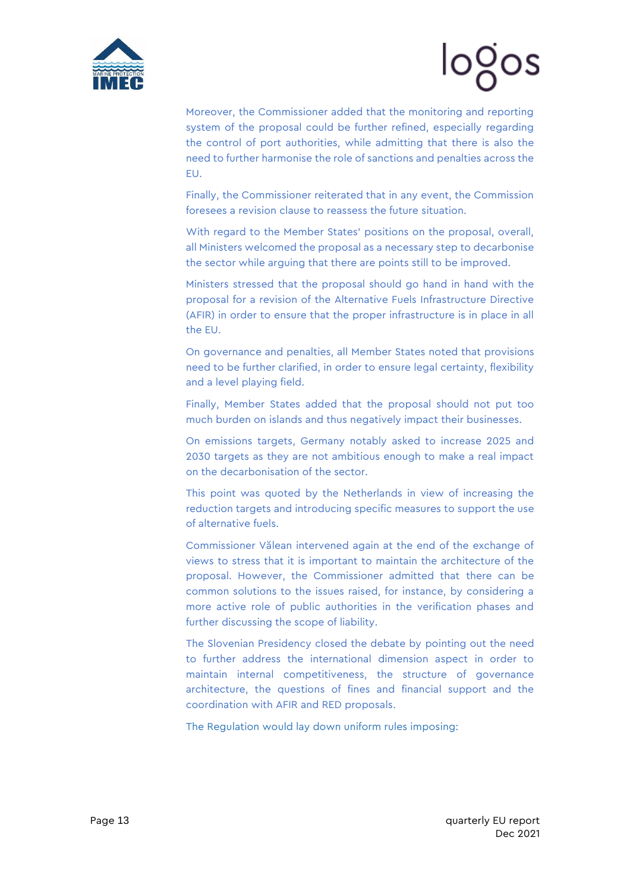



Moreover, the Commissioner added that the monitoring and reporting system of the proposal could be further refined, especially regarding the control of port authorities, while admitting that there is also the need to further harmonise the role of sanctions and penalties across the EU.

Finally, the Commissioner reiterated that in any event, the Commission foresees a revision clause to reassess the future situation.

With regard to the Member States' positions on the proposal, overall, all Ministers welcomed the proposal as a necessary step to decarbonise the sector while arguing that there are points still to be improved.

Ministers stressed that the proposal should go hand in hand with the proposal for a revision of the Alternative Fuels Infrastructure Directive (AFIR) in order to ensure that the proper infrastructure is in place in all the EU.

On governance and penalties, all Member States noted that provisions need to be further clarified, in order to ensure legal certainty, flexibility and a level playing field.

Finally, Member States added that the proposal should not put too much burden on islands and thus negatively impact their businesses.

On emissions targets, Germany notably asked to increase 2025 and 2030 targets as they are not ambitious enough to make a real impact on the decarbonisation of the sector.

This point was quoted by the Netherlands in view of increasing the reduction targets and introducing specific measures to support the use of alternative fuels.

Commissioner Vălean intervened again at the end of the exchange of views to stress that it is important to maintain the architecture of the proposal. However, the Commissioner admitted that there can be common solutions to the issues raised, for instance, by considering a more active role of public authorities in the verification phases and further discussing the scope of liability.

The Slovenian Presidency closed the debate by pointing out the need to further address the international dimension aspect in order to maintain internal competitiveness, the structure of governance architecture, the questions of fines and financial support and the coordination with AFIR and RED proposals.

The Regulation would lay down uniform rules imposing: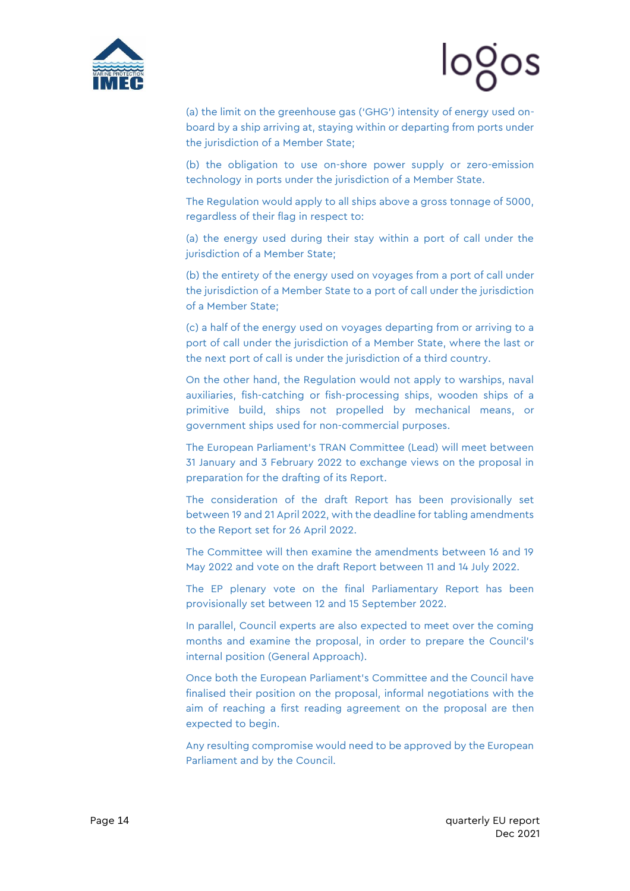



(a) the limit on the greenhouse gas ('GHG') intensity of energy used onboard by a ship arriving at, staying within or departing from ports under the jurisdiction of a Member State;

(b) the obligation to use on-shore power supply or zero-emission technology in ports under the jurisdiction of a Member State.

The Regulation would apply to all ships above a gross tonnage of 5000, regardless of their flag in respect to:

(a) the energy used during their stay within a port of call under the jurisdiction of a Member State;

(b) the entirety of the energy used on voyages from a port of call under the jurisdiction of a Member State to a port of call under the jurisdiction of a Member State;

(c) a half of the energy used on voyages departing from or arriving to a port of call under the jurisdiction of a Member State, where the last or the next port of call is under the jurisdiction of a third country.

On the other hand, the Regulation would not apply to warships, naval auxiliaries, fish-catching or fish-processing ships, wooden ships of a primitive build, ships not propelled by mechanical means, or government ships used for non-commercial purposes.

The European Parliament's TRAN Committee (Lead) will meet between 31 January and 3 February 2022 to exchange views on the proposal in preparation for the drafting of its Report.

The consideration of the draft Report has been provisionally set between 19 and 21 April 2022, with the deadline for tabling amendments to the Report set for 26 April 2022.

The Committee will then examine the amendments between 16 and 19 May 2022 and vote on the draft Report between 11 and 14 July 2022.

The EP plenary vote on the final Parliamentary Report has been provisionally set between 12 and 15 September 2022.

In parallel, Council experts are also expected to meet over the coming months and examine the proposal, in order to prepare the Council's internal position (General Approach).

Once both the European Parliament's Committee and the Council have finalised their position on the proposal, informal negotiations with the aim of reaching a first reading agreement on the proposal are then expected to begin.

Any resulting compromise would need to be approved by the European Parliament and by the Council.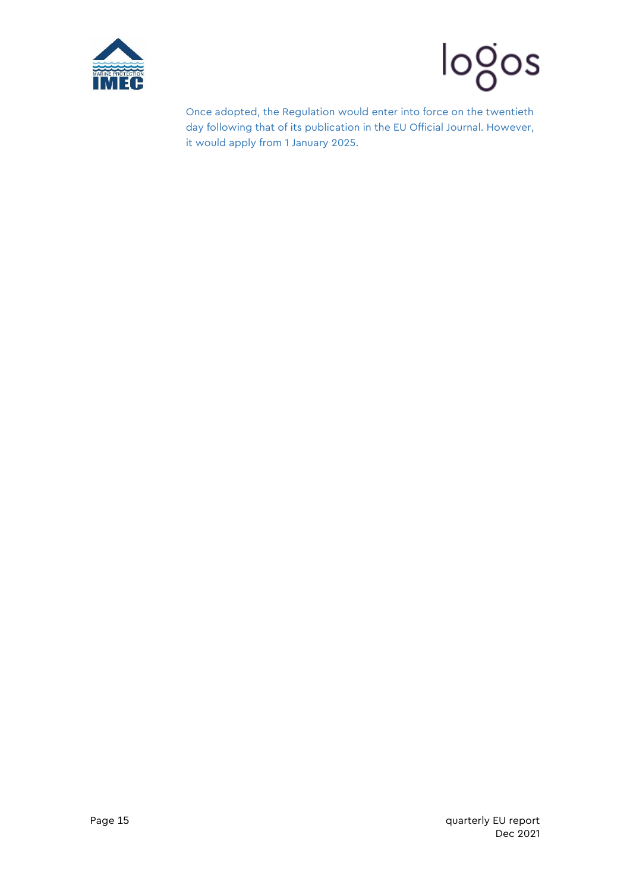



Once adopted, the Regulation would enter into force on the twentieth day following that of its publication in the EU Official Journal. However, it would apply from 1 January 2025.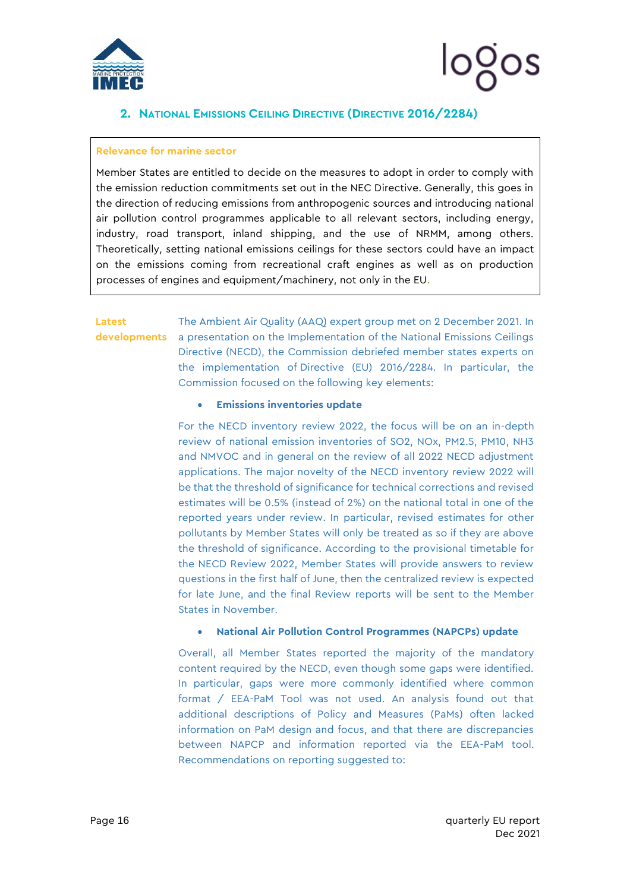

# logos

### <span id="page-16-0"></span>**2. NATIONAL EMISSIONS CEILING DIRECTIVE (DIRECTIVE 2016/2284)**

#### **Relevance for marine sector**

Member States are entitled to decide on the measures to adopt in order to comply with the emission reduction commitments set out in the NEC Directive. Generally, this goes in the direction of reducing emissions from anthropogenic sources and introducing national air pollution control programmes applicable to all relevant sectors, including energy, industry, road transport, inland shipping, and the use of NRMM, among others. Theoretically, setting national emissions ceilings for these sectors could have an impact on the emissions coming from recreational craft engines as well as on production processes of engines and equipment/machinery, not only in the EU.

## **Latest**

**developments** a presentation on the Implementation of the National Emissions Ceilings The Ambient Air Quality (AAQ) expert group met on 2 December 2021. In Directive (NECD), the Commission debriefed member states experts on the implementation of Directive (EU) 2016/2284. In particular, the Commission focused on the following key elements:

#### • **Emissions inventories update**

For the NECD inventory review 2022, the focus will be on an in-depth review of national emission inventories of SO2, NOx, PM2.5, PM10, NH3 and NMVOC and in general on the review of all 2022 NECD adjustment applications. The major novelty of the NECD inventory review 2022 will be that the threshold of significance for technical corrections and revised estimates will be 0.5% (instead of 2%) on the national total in one of the reported years under review. In particular, revised estimates for other pollutants by Member States will only be treated as so if they are above the threshold of significance. According to the provisional timetable for the NECD Review 2022, Member States will provide answers to review questions in the first half of June, then the centralized review is expected for late June, and the final Review reports will be sent to the Member States in November.

#### • **National Air Pollution Control Programmes (NAPCPs) update**

Overall, all Member States reported the majority of the mandatory content required by the NECD, even though some gaps were identified. In particular, gaps were more commonly identified where common format / EEA-PaM Tool was not used. An analysis found out that additional descriptions of Policy and Measures (PaMs) often lacked information on PaM design and focus, and that there are discrepancies between NAPCP and information reported via the EEA-PaM tool. Recommendations on reporting suggested to: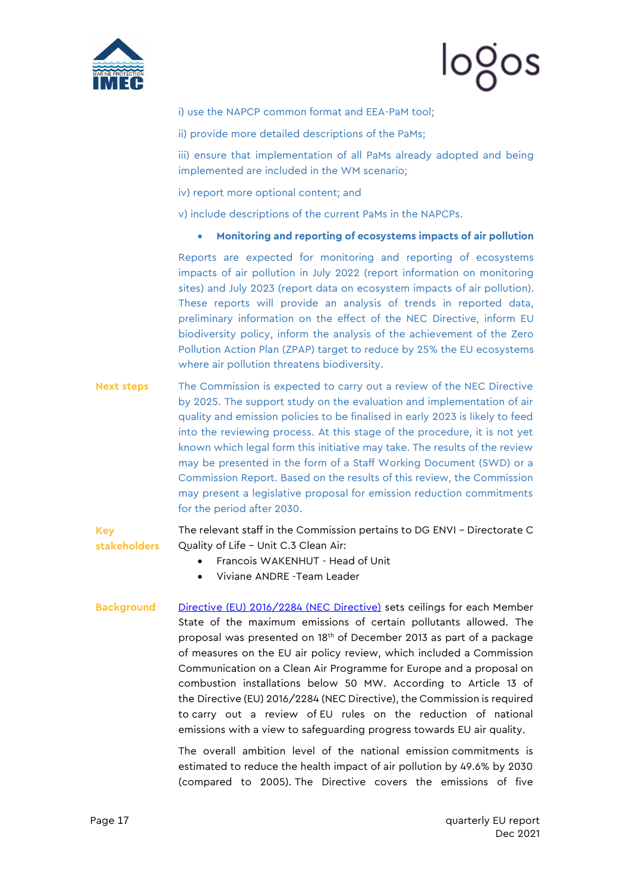



#### i) use the NAPCP common format and EEA-PaM tool;

ii) provide more detailed descriptions of the PaMs;

iii) ensure that implementation of all PaMs already adopted and being implemented are included in the WM scenario;

iv) report more optional content; and

v) include descriptions of the current PaMs in the NAPCPs.

• **Monitoring and reporting of ecosystems impacts of air pollution**

Reports are expected for monitoring and reporting of ecosystems impacts of air pollution in July 2022 (report information on monitoring sites) and July 2023 (report data on ecosystem impacts of air pollution). These reports will provide an analysis of trends in reported data, preliminary information on the effect of the NEC Directive, inform EU biodiversity policy, inform the analysis of the achievement of the Zero Pollution Action Plan (ZPAP) target to reduce by 25% the EU ecosystems where air pollution threatens biodiversity.

**Next steps** The Commission is expected to carry out a review of the NEC Directive by 2025. The support study on the evaluation and implementation of air quality and emission policies to be finalised in early 2023 is likely to feed into the reviewing process. At this stage of the procedure, it is not yet known which legal form this initiative may take. The results of the review may be presented in the form of a Staff Working Document (SWD) or a Commission Report. Based on the results of this review, the Commission may present a legislative proposal for emission reduction commitments for the period after 2030.

**Key stakeholders** The relevant staff in the Commission pertains to DG ENVI – Directorate C Quality of Life – Unit C.3 Clean Air:

- Francois WAKENHUT Head of Unit
- Viviane ANDRE -Team Leader
- Background [Directive \(EU\) 2016/2284](http://eur-lex.europa.eu/legal-content/EN/TXT/?uri=uriserv%3AOJ.L_.2016.344.01.0001.01.ENG) (NEC Directive) sets ceilings for each Member State of the maximum emissions of certain pollutants allowed. The proposal was presented on 18th of December 2013 as part of a package of measures on the EU air policy review, which included a Commission Communication on a Clean Air Programme for Europe and a proposal on combustion installations below 50 MW. According to Article 13 of the Directive (EU) 2016/2284 (NEC Directive), the Commission is required to carry out a review of EU rules on the reduction of national emissions with a view to safeguarding progress towards EU air quality.

The overall ambition level of the national emission commitments is estimated to reduce the health impact of air pollution by 49.6% by 2030 (compared to 2005). The Directive covers the emissions of five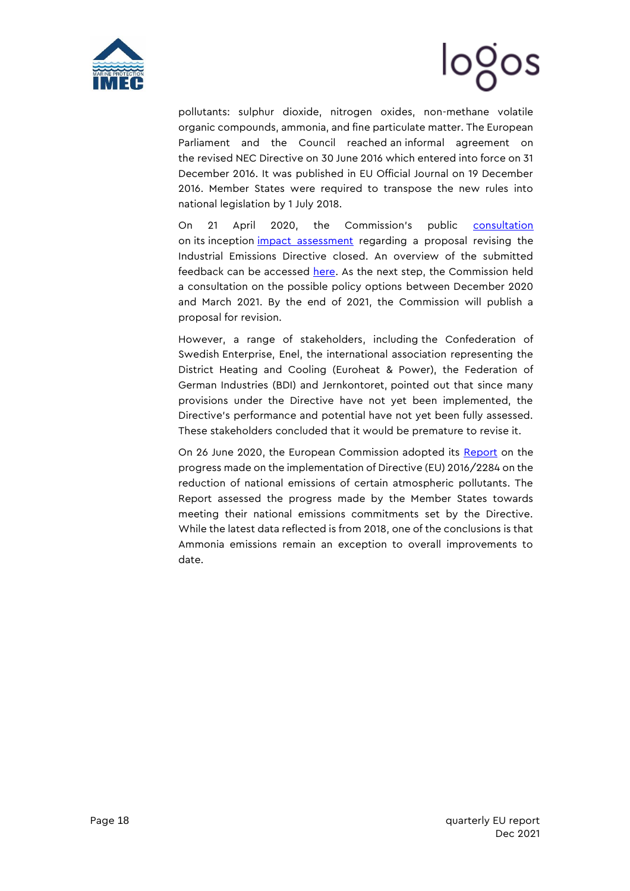



pollutants: sulphur dioxide, nitrogen oxides, non-methane volatile organic compounds, ammonia, and fine particulate matter. The European Parliament and the Council reached an informal agreement on the revised NEC Directive on 30 June 2016 which entered into force on 31 December 2016. It was published in EU Official Journal on 19 December 2016. Member States were required to transpose the new rules into national legislation by 1 July 2018.

On 21 April 2020, the Commission's public [consultation](https://ec.europa.eu/info/law/better-regulation/have-your-say/initiatives/12306-EU-rules-on-industrial-emissions-revision) on its inception [impact assessment](https://mcusercontent.com/912d3a5b241130a8c7aac179c/files/f1510748-ead3-48ed-b717-169c29efefe6/Revision_of_the_Industrial_Emissions_Directive_Inception_Impact_Assessment.pdf) regarding a proposal revising the Industrial Emissions Directive closed. An overview of the submitted feedback can be accessed [here.](https://ec.europa.eu/info/law/better-regulation/have-your-say/initiatives/12306-EU-rules-on-industrial-emissions-revision/feedback?p_id=7651303) As the next step, the Commission held a consultation on the possible policy options between December 2020 and March 2021. By the end of 2021, the Commission will publish a proposal for revision.

However, a range of stakeholders, including the Confederation of Swedish Enterprise, Enel, the international association representing the District Heating and Cooling (Euroheat & Power), the Federation of German Industries (BDI) and Jernkontoret, pointed out that since many provisions under the Directive have not yet been implemented, the Directive's performance and potential have not yet been fully assessed. These stakeholders concluded that it would be premature to revise it.

On 26 June 2020, the European Commission adopted its [Report](https://ec.europa.eu/environment/air/pdf/reduction_napcp/1_EN_ACT_part1_v7.pdf) on the progress made on the implementation of Directive (EU) 2016/2284 on the reduction of national emissions of certain atmospheric pollutants. The Report assessed the progress made by the Member States towards meeting their national emissions commitments set by the Directive. While the latest data reflected is from 2018, one of the conclusions is that Ammonia emissions remain an exception to overall improvements to date.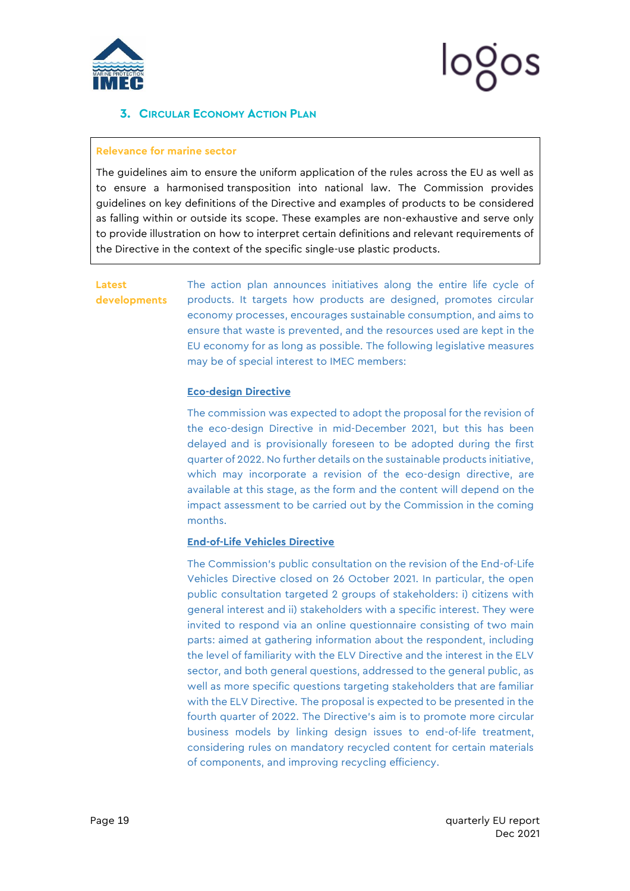

### <span id="page-19-0"></span>**3. CIRCULAR ECONOMY ACTION PLAN**

#### **Relevance for marine sector**

The guidelines aim to ensure the uniform application of the rules across the EU as well as to ensure a harmonised transposition into national law. The Commission provides guidelines on key definitions of the Directive and examples of products to be considered as falling within or outside its scope. These examples are non-exhaustive and serve only to provide illustration on how to interpret certain definitions and relevant requirements of the Directive in the context of the specific single-use plastic products.

#### **Latest developments**

The action plan announces initiatives along the entire life cycle of products. It targets how products are designed, promotes circular economy processes, encourages sustainable consumption, and aims to ensure that waste is prevented, and the resources used are kept in the EU economy for as long as possible. The following legislative measures may be of special interest to IMEC members:

#### **Eco-design Directive**

The commission was expected to adopt the proposal for the revision of the eco-design Directive in mid-December 2021, but this has been delayed and is provisionally foreseen to be adopted during the first quarter of 2022. No further details on the sustainable products initiative, which may incorporate a revision of the eco-design directive, are available at this stage, as the form and the content will depend on the impact assessment to be carried out by the Commission in the coming months.

#### **End-of-Life Vehicles Directive**

The Commission's public consultation on the revision of the End-of-Life Vehicles Directive closed on 26 October 2021. In particular, the open public consultation targeted 2 groups of stakeholders: i) citizens with general interest and ii) stakeholders with a specific interest. They were invited to respond via an online questionnaire consisting of two main parts: aimed at gathering information about the respondent, including the level of familiarity with the ELV Directive and the interest in the ELV sector, and both general questions, addressed to the general public, as well as more specific questions targeting stakeholders that are familiar with the ELV Directive. The proposal is expected to be presented in the fourth quarter of 2022. The Directive's aim is to promote more circular business models by linking design issues to end-of-life treatment, considering rules on mandatory recycled content for certain materials of components, and improving recycling efficiency.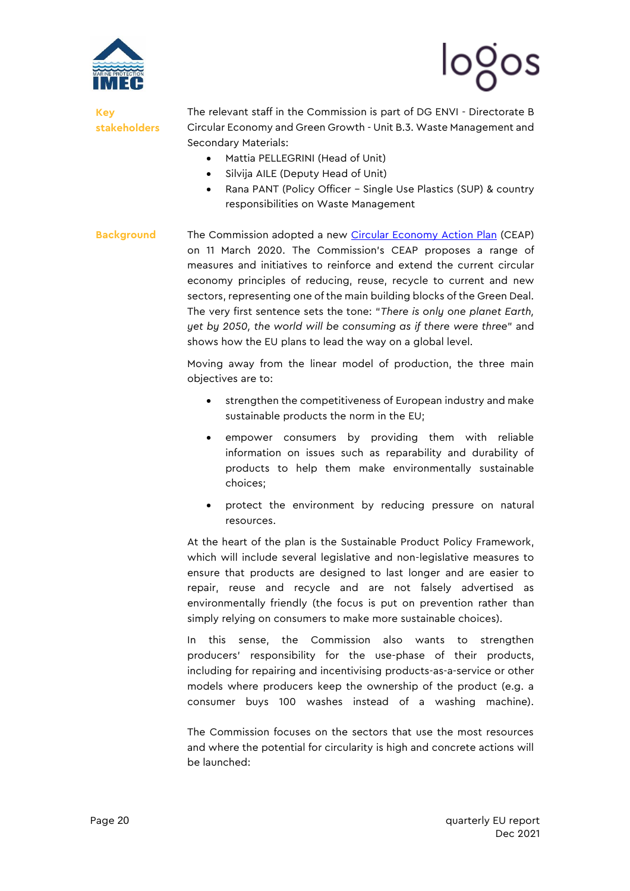



**Key stakeholders** The relevant staff in the Commission is part of DG ENVI - Directorate B Circular Economy and Green Growth - Unit B.3. Waste Management and Secondary Materials:

- Mattia PELLEGRINI (Head of Unit)
- Silvija AILE (Deputy Head of Unit)
- Rana PANT (Policy Officer Single Use Plastics (SUP) & country responsibilities on Waste Management
- **Background** The Commission adopted a new [Circular Economy Action Plan](https://ec.europa.eu/environment/circular-economy/pdf/new_circular_economy_action_plan.pdf) (CEAP) on 11 March 2020. The Commission's CEAP proposes a range of measures and initiatives to reinforce and extend the current circular economy principles of reducing, reuse, recycle to current and new sectors, representing one of the main building blocks of the Green Deal. The very first sentence sets the tone: "*There is only one planet Earth, yet by 2050, the world will be consuming as if there were three*" and shows how the EU plans to lead the way on a global level.

Moving away from the linear model of production, the three main objectives are to:

- strengthen the competitiveness of European industry and make sustainable products the norm in the EU;
- empower consumers by providing them with reliable information on issues such as reparability and durability of products to help them make environmentally sustainable choices;
- protect the environment by reducing pressure on natural resources.

At the heart of the plan is the Sustainable Product Policy Framework, which will include several legislative and non-legislative measures to ensure that products are designed to last longer and are easier to repair, reuse and recycle and are not falsely advertised as environmentally friendly (the focus is put on prevention rather than simply relying on consumers to make more sustainable choices).

In this sense, the Commission also wants to strengthen producers' responsibility for the use-phase of their products, including for repairing and incentivising products-as-a-service or other models where producers keep the ownership of the product (e.g. a consumer buys 100 washes instead of a washing machine).

The Commission focuses on the sectors that use the most resources and where the potential for circularity is high and concrete actions will be launched: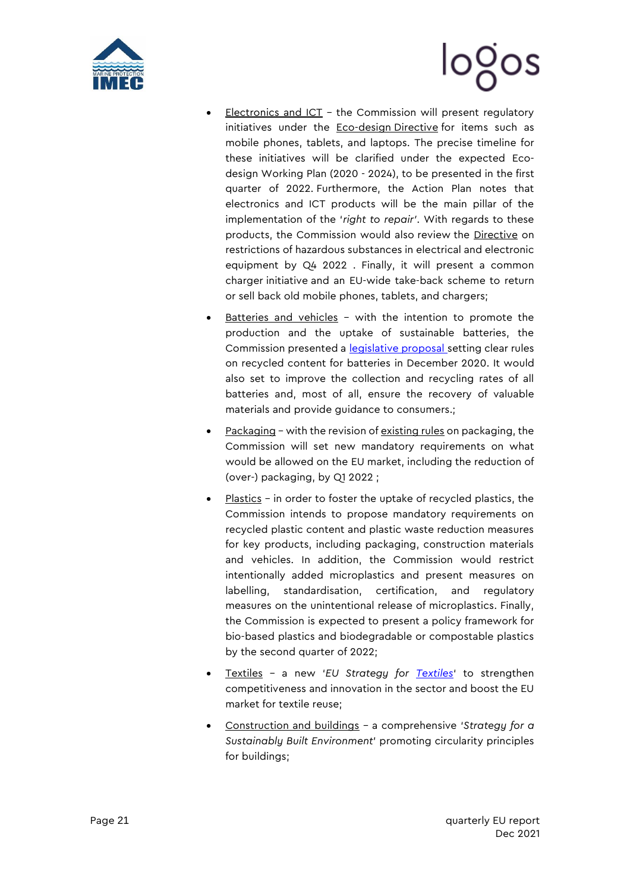



- Electronics and ICT the Commission will present regulatory initiatives under the [Eco-design](https://eur-lex.europa.eu/legal-content/EN/TXT/?uri=CELEX:02009L0125-20121204) Directive for items such as mobile phones, tablets, and laptops. The precise timeline for these initiatives will be clarified under the expected Ecodesign Working Plan (2020 - 2024), to be presented in the first quarter of 2022. Furthermore, the Action Plan notes that electronics and ICT products will be the main pillar of the implementation of the '*right to repair'*. With regards to these products, the Commission would also review the [Directive](https://eur-lex.europa.eu/legal-content/EN/TXT/?uri=CELEX%3A32011L0065) on restrictions of hazardous substances in electrical and electronic equipment by Q4 2022 . Finally, it will present a common charger initiative and an EU-wide take-back scheme to return or sell back old mobile phones, tablets, and chargers;
- Batteries and vehicles with the intention to promote the production and the uptake of sustainable batteries, the Commission presented a **[legislative proposal](https://eur-lex.europa.eu/legal-content/EN/TXT/?uri=CELEX%3A52020PC0798)** setting clear rules on recycled content for batteries in December 2020. It would also set to improve the collection and recycling rates of all batteries and, most of all, ensure the recovery of valuable materials and provide guidance to consumers.;
- Packaging with the revision o[f existing rules](https://eur-lex.europa.eu/legal-content/en/TXT/?uri=CELEX:31994L0062) on packaging, the Commission will set new mandatory requirements on what would be allowed on the EU market, including the reduction of (over-) packaging, by Q1 2022 ;
- $Plastics in order to foster the uptake of received plastics, the$ Commission intends to propose mandatory requirements on recycled plastic content and plastic waste reduction measures for key products, including packaging, construction materials and vehicles. In addition, the Commission would restrict intentionally added microplastics and present measures on labelling, standardisation, certification, and regulatory measures on the unintentional release of microplastics. Finally, the Commission is expected to present a policy framework for bio-based plastics and biodegradable or compostable plastics by the second quarter of 2022;
- Textiles a new '*[EU Strategy for Textiles](https://ec.europa.eu/growth/industry/sustainability/textiles_en)*' to strengthen competitiveness and innovation in the sector and boost the EU market for textile reuse;
- Construction and buildings a comprehensive '*Strategy for a Sustainably Built Environment*' promoting circularity principles for buildings;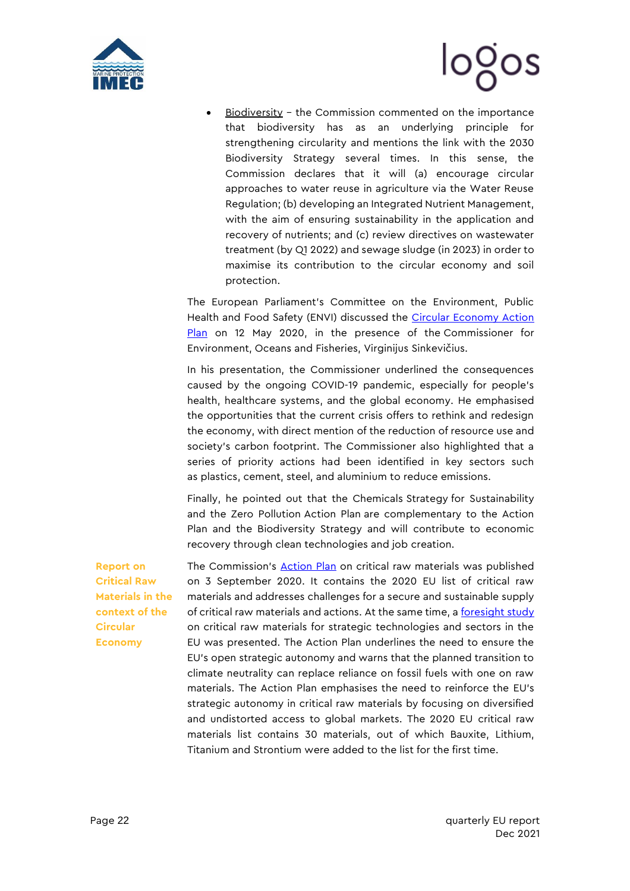



Biodiversity - the Commission commented on the importance that biodiversity has as an underlying principle for strengthening circularity and mentions the link with the 2030 Biodiversity Strategy several times. In this sense, the Commission declares that it will (a) encourage circular approaches to water reuse in agriculture via the Water Reuse Regulation; (b) developing an Integrated Nutrient Management, with the aim of ensuring sustainability in the application and recovery of nutrients; and (c) review directives on wastewater treatment (by Q1 2022) and sewage sludge (in 2023) in order to maximise its contribution to the circular economy and soil protection.

The European Parliament's Committee on the Environment, Public Health and Food Safety (ENVI) discussed the Circular Economy Action [Plan](https://ec.europa.eu/environment/circular-economy/pdf/new_circular_economy_action_plan.pdf) on 12 May 2020, in the presence of the Commissioner for Environment, Oceans and Fisheries, Virginijus Sinkevičius.

In his presentation, the Commissioner underlined the consequences caused by the ongoing COVID-19 pandemic, especially for people's health, healthcare systems, and the global economy. He emphasised the opportunities that the current crisis offers to rethink and redesign the economy, with direct mention of the reduction of resource use and society's carbon footprint. The Commissioner also highlighted that a series of priority actions had been identified in key sectors such as plastics, cement, steel, and aluminium to reduce emissions.

Finally, he pointed out that the Chemicals Strategy for Sustainability and the Zero Pollution Action Plan are complementary to the Action Plan and the Biodiversity Strategy and will contribute to economic recovery through clean technologies and job creation.

**Report on Critical Raw Materials in the context of the Circular Economy**

The Commission's **[Action Plan](https://eur-lex.europa.eu/legal-content/EN/TXT/PDF/?uri=CELEX:52020DC0474&from=EN)** on critical raw materials was published on 3 September 2020. It contains the 2020 EU list of critical raw materials and addresses challenges for a secure and sustainable supply of critical raw materials and actions. At the same time, a [foresight study](https://ec.europa.eu/docsroom/documents/42881/attachments/1/translations/en/renditions/native) on critical raw materials for strategic technologies and sectors in the EU was presented. The Action Plan underlines the need to ensure the EU's open strategic autonomy and warns that the planned transition to climate neutrality can replace reliance on fossil fuels with one on raw materials. The Action Plan emphasises the need to reinforce the EU's strategic autonomy in critical raw materials by focusing on diversified and undistorted access to global markets. The 2020 EU critical raw materials list contains 30 materials, out of which Bauxite, Lithium, Titanium and Strontium were added to the list for the first time.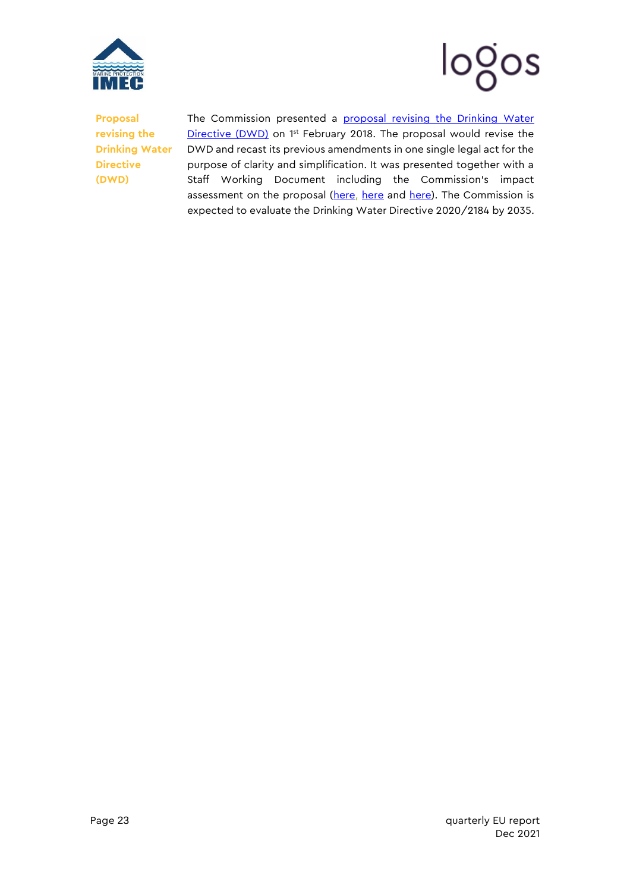



**Proposal revising the Drinking Water Directive (DWD)**

The Commission presented a proposal revising the Drinking Water [Directive \(DWD\)](https://ec.europa.eu/environment/water/water-drink/pdf/revised_drinking_water_directive.pdf) on 1<sup>st</sup> February 2018. The proposal would revise the DWD and recast its previous amendments in one single legal act for the purpose of clarity and simplification. It was presented together with a Staff Working Document including the Commission's impact assessment on the proposal [\(here,](https://eur-lex.europa.eu/LexUriServ/LexUriServ.do?uri=SWD:2017:0448:FIN:EN:PDF) [here](https://eur-lex.europa.eu/LexUriServ/LexUriServ.do?uri=SWD:2017:0449:FIN:EN:PDF) and [here\)](https://eur-lex.europa.eu/LexUriServ/LexUriServ.do?uri=SWD:2017:0451:FIN:EN:PDF). The Commission is expected to evaluate the Drinking Water Directive 2020/2184 by 2035.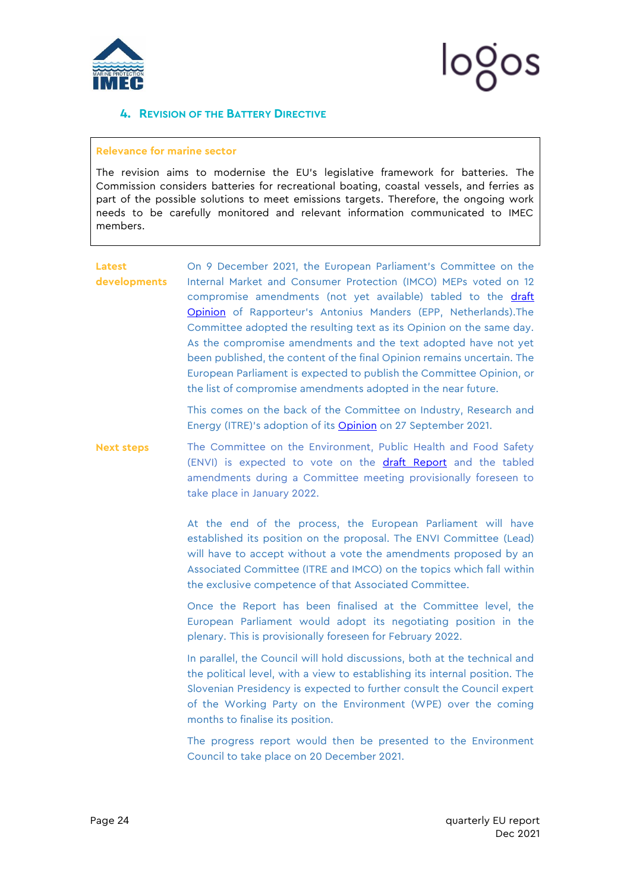

#### <span id="page-24-0"></span>**4. REVISION OF THE BATTERY DIRECTIVE**

#### **Relevance for marine sector**

The revision aims to modernise the EU's legislative framework for batteries. The Commission considers batteries for recreational boating, coastal vessels, and ferries as part of the possible solutions to meet emissions targets. Therefore, the ongoing work needs to be carefully monitored and relevant information communicated to IMEC members.

**Latest developments**  On 9 December 2021, the European Parliament's Committee on the Internal Market and Consumer Protection (IMCO) MEPs voted on 12 compromise amendments (not yet available) tabled to the draft [Opinion](https://www.europarl.europa.eu/doceo/document/IMCO-PA-695236_EN.pdf) of Rapporteur's Antonius Manders (EPP, Netherlands).The Committee adopted the resulting text as its Opinion on the same day. As the compromise amendments and the text adopted have not yet been published, the content of the final Opinion remains uncertain. The European Parliament is expected to publish the Committee Opinion, or the list of compromise amendments adopted in the near future.

> This comes on the back of the Committee on Industry, Research and Energy (ITRE)'s adoption of its [Opinion](https://mcusercontent.com/912d3a5b241130a8c7aac179c/files/82653d59-81fa-9dc8-0738-e75063847fba/29_SEPT_21_Opinion_of_ITRE_Committee_for_ENVI_Committee_on_the_proposal_for_a_Regulation_on_batteries_and_waste_batteries.pdf) on 27 September 2021.

**Next steps** The Committee on the Environment, Public Health and Food Safety (ENVI) is expected to vote on the [draft Report](https://mcusercontent.com/912d3a5b241130a8c7aac179c/files/9df7017b-aa10-bf96-0b23-eb3778e413c6/15_SEP_21_Draft_Report_on_proposal_for_a_Regulation_concerning_batteries_and_waste_batteries.pdf) and the tabled amendments during a Committee meeting provisionally foreseen to take place in January 2022.

> At the end of the process, the European Parliament will have established its position on the proposal. The ENVI Committee (Lead) will have to accept without a vote the amendments proposed by an Associated Committee (ITRE and IMCO) on the topics which fall within the exclusive competence of that Associated Committee.

> Once the Report has been finalised at the Committee level, the European Parliament would adopt its negotiating position in the plenary. This is provisionally foreseen for February 2022.

> In parallel, the Council will hold discussions, both at the technical and the political level, with a view to establishing its internal position. The Slovenian Presidency is expected to further consult the Council expert of the Working Party on the Environment (WPE) over the coming months to finalise its position.

> The progress report would then be presented to the Environment Council to take place on 20 December 2021.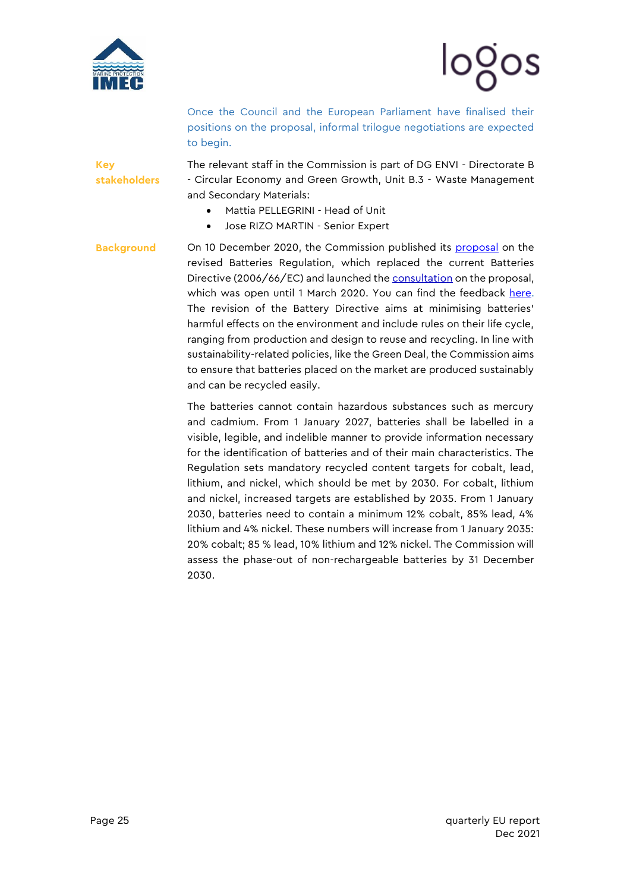

**Key** 

**stakeholders**



Once the Council and the European Parliament have finalised their positions on the proposal, informal trilogue negotiations are expected to begin.

The relevant staff in the Commission is part of DG ENVI - Directorate B - Circular Economy and Green Growth, Unit B.3 - Waste Management and Secondary Materials:

- Mattia PELLEGRINI Head of Unit
- Jose RIZO MARTIN Senior Expert
- **Background** On 10 December 2020, the Commission published its [proposal](https://eur-lex.europa.eu/legal-content/EN/TXT/?uri=CELEX%3A52020PC0798) on the revised Batteries Regulation, which replaced the current Batteries Directive (2006/66/EC) and launched the [consultation](https://ec.europa.eu/info/law/better-regulation/have-your-say/initiatives/12399-Modernising-the-EU-s-batteries-legislation) on the proposal, which was open until 1 March 2020. You can find the feedback [here.](https://ec.europa.eu/info/law/better-regulation/have-your-say/initiatives/12399-Modernising-the-EU-s-batteries-legislation/feedback?p_id=7925105) The revision of the Battery Directive aims at minimising batteries' harmful effects on the environment and include rules on their life cycle, ranging from production and design to reuse and recycling. In line with sustainability-related policies, like the Green Deal, the Commission aims to ensure that batteries placed on the market are produced sustainably and can be recycled easily.

The batteries cannot contain hazardous substances such as mercury and cadmium. From 1 January 2027, batteries shall be labelled in a visible, legible, and indelible manner to provide information necessary for the identification of batteries and of their main characteristics. The Regulation sets mandatory recycled content targets for cobalt, lead, lithium, and nickel, which should be met by 2030. For cobalt, lithium and nickel, increased targets are established by 2035. From 1 January 2030, batteries need to contain a minimum 12% cobalt, 85% lead, 4% lithium and 4% nickel. These numbers will increase from 1 January 2035: 20% cobalt; 85 % lead, 10% lithium and 12% nickel. The Commission will assess the phase-out of non-rechargeable batteries by 31 December 2030.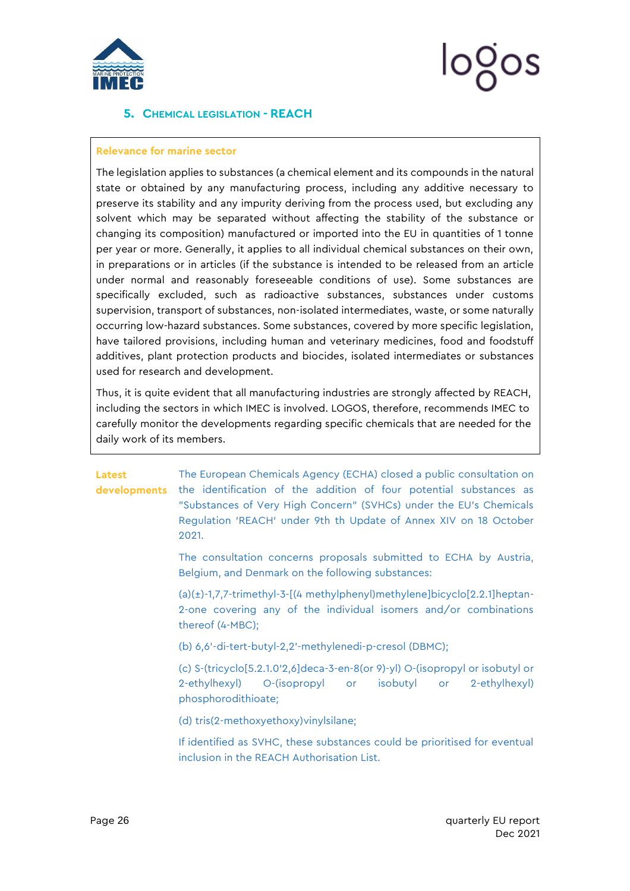

### <span id="page-26-0"></span>**5. CHEMICAL LEGISLATION - REACH**

#### **Relevance for marine sector**

The legislation applies to substances (a chemical element and its compounds in the natural state or obtained by any manufacturing process, including any additive necessary to preserve its stability and any impurity deriving from the process used, but excluding any solvent which may be separated without affecting the stability of the substance or changing its composition) manufactured or imported into the EU in quantities of 1 tonne per year or more. Generally, it applies to all individual chemical substances on their own, in preparations or in articles (if the substance is intended to be released from an article under normal and reasonably foreseeable conditions of use). Some substances are specifically excluded, such as radioactive substances, substances under customs supervision, transport of substances, non-isolated intermediates, waste, or some naturally occurring low-hazard substances. Some substances, covered by more specific legislation, have tailored provisions, including human and veterinary medicines, food and foodstuff additives, plant protection products and biocides, isolated intermediates or substances used for research and development.

Thus, it is quite evident that all manufacturing industries are strongly affected by REACH, including the sectors in which IMEC is involved. LOGOS, therefore, recommends IMEC to carefully monitor the developments regarding specific chemicals that are needed for the daily work of its members.

## **Latest**

**developments** the identification of the addition of four potential substances as The European Chemicals Agency (ECHA) closed a public consultation on "Substances of Very High Concern" (SVHCs) under the EU's Chemicals Regulation 'REACH' under 9th th Update of Annex XIV on 18 October 2021.

> The consultation concerns proposals submitted to ECHA by Austria, Belgium, and Denmark on the following substances:

> (a)(±)-1,7,7-trimethyl-3-[(4 methylphenyl)methylene]bicyclo[2.2.1]heptan-2-one covering any of the individual isomers and/or combinations thereof (4-MBC);

(b) 6,6'-di-tert-butyl-2,2'-methylenedi-p-cresol (DBMC);

(c) S-(tricyclo[5.2.1.0'2,6]deca-3-en-8(or 9)-yl) O-(isopropyl or isobutyl or 2-ethylhexyl) O-(isopropyl or isobutyl or 2-ethylhexyl) phosphorodithioate;

(d) tris(2-methoxyethoxy)vinylsilane;

If identified as SVHC, these substances could be prioritised for eventual inclusion in the REACH Authorisation List.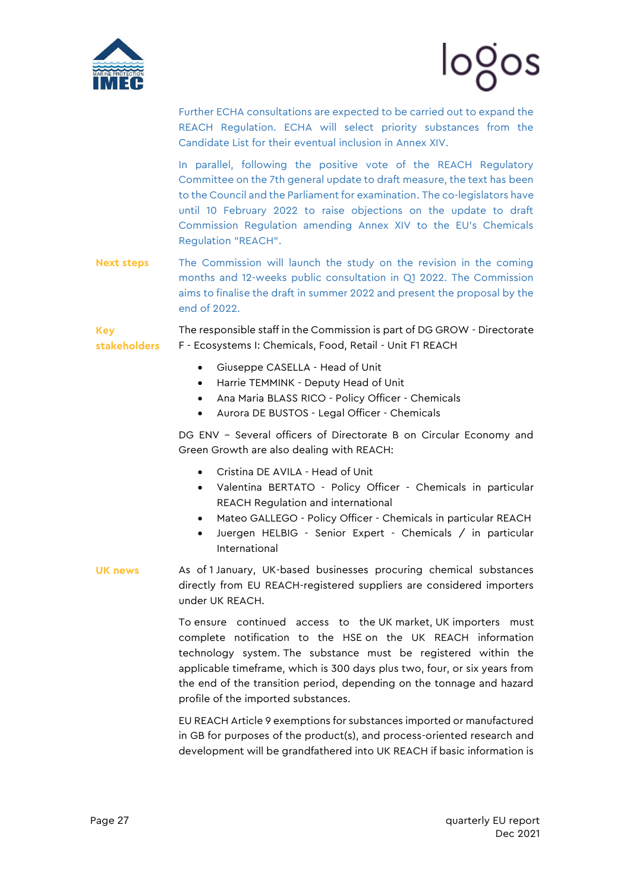



Further ECHA consultations are expected to be carried out to expand the REACH Regulation. ECHA will select priority substances from the Candidate List for their eventual inclusion in Annex XIV.

In parallel, following the positive vote of the REACH Regulatory Committee on the 7th general update to draft measure, the text has been to the Council and the Parliament for examination. The co-legislators have until 10 February 2022 to raise objections on the update to draft Commission Regulation amending Annex XIV to the EU's Chemicals Regulation "REACH".

**Next steps** The Commission will launch the study on the revision in the coming months and 12-weeks public consultation in Q1 2022. The Commission aims to finalise the draft in summer 2022 and present the proposal by the end of 2022.

**Key stakeholders** The responsible staff in the Commission is part of DG GROW - Directorate F - Ecosystems I: Chemicals, Food, Retail - Unit F1 REACH

- Giuseppe CASELLA Head of Unit
- Harrie TEMMINK Deputy Head of Unit
- Ana Maria BLASS RICO Policy Officer Chemicals
- Aurora DE BUSTOS Legal Officer Chemicals

DG ENV – Several officers of Directorate B on Circular Economy and Green Growth are also dealing with REACH:

- Cristina DE AVILA Head of Unit
- Valentina BERTATO Policy Officer Chemicals in particular REACH Regulation and international
- Mateo GALLEGO Policy Officer Chemicals in particular REACH
- Juergen HELBIG Senior Expert Chemicals / in particular International
- **UK news** As of 1 January, UK-based businesses procuring chemical substances directly from EU REACH-registered suppliers are considered importers under UK REACH.

To ensure continued access to the UK market, UK importers must complete notification to the HSE on the UK REACH information technology system. The substance must be registered within the applicable timeframe, which is 300 days plus two, four, or six years from the end of the transition period, depending on the tonnage and hazard profile of the imported substances.

EU REACH Article 9 exemptions for substances imported or manufactured in GB for purposes of the product(s), and process-oriented research and development will be grandfathered into UK REACH if basic information is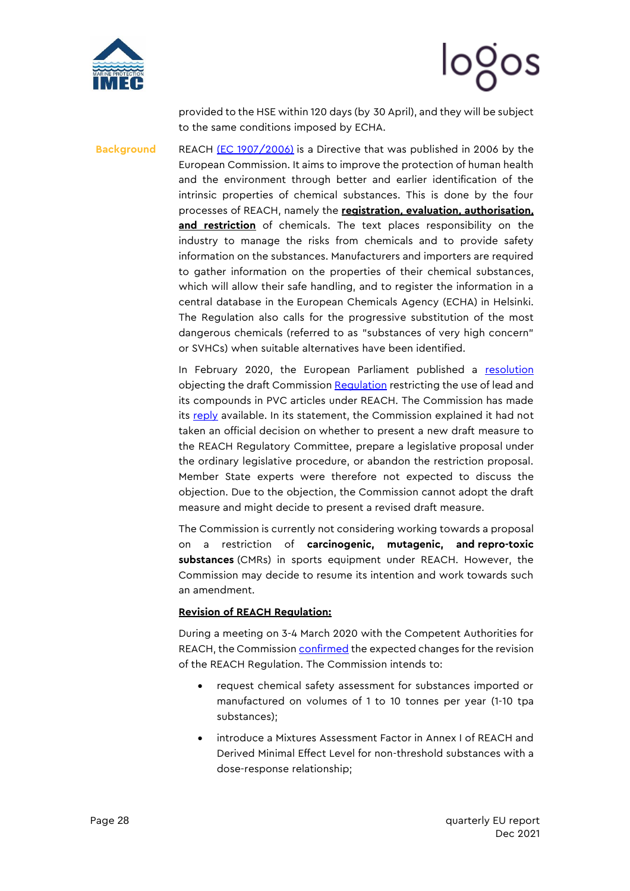



provided to the HSE within 120 days (by 30 April), and they will be subject to the same conditions imposed by ECHA.

**Background** REACH [\(EC 1907/2006\)](http://eur-lex.europa.eu/legal-content/EN/TXT/?uri=CELEX:32006R1907) is a Directive that was published in 2006 by the European Commission. It aims to improve the protection of human health and the environment through better and earlier identification of the intrinsic properties of chemical substances. This is done by the four processes of REACH, namely the **registration, evaluation, authorisation,** and restriction of chemicals. The text places responsibility on the industry to manage the risks from chemicals and to provide safety information on the substances. Manufacturers and importers are required to gather information on the properties of their chemical substances, which will allow their safe handling, and to register the information in a central database in the European Chemicals Agency (ECHA) in Helsinki. The Regulation also calls for the progressive substitution of the most dangerous chemicals (referred to as "substances of very high concern" or SVHCs) when suitable alternatives have been identified.

> In February 2020, the European Parliament published a [resolution](https://mcusercontent.com/912d3a5b241130a8c7aac179c/files/d6003f82-6d85-40c4-b4d0-549c727473ac/European_Parliament_resolution_of_12_February_2020_on_the_draft_Commission_Regulation_amending_Annex_XVII_to_Regulation.pdf) objecting the draft Commission [Regulation](https://mcusercontent.com/912d3a5b241130a8c7aac179c/files/6711ba3f-b19d-439d-9cc9-bf7738d1cbd2/Draft_Regulation_amending_Annex_XVII_to_Regulation_EC_No_1907_2006_of_the_European_Parliament_and_of_the_Council.pdf) restricting the use of lead and its compounds in PVC articles under REACH. The Commission has made its [reply](https://mcusercontent.com/912d3a5b241130a8c7aac179c/files/720abb8c-cce0-463c-ae05-8e04b31943e2/4_JUN_20_Follow_up_to_the_European_Parliament_non_legislative_resolution.pdf) available. In its statement, the Commission explained it had not taken an official decision on whether to present a new draft measure to the REACH Regulatory Committee, prepare a legislative proposal under the ordinary legislative procedure, or abandon the restriction proposal. Member State experts were therefore not expected to discuss the objection. Due to the objection, the Commission cannot adopt the draft measure and might decide to present a revised draft measure.

> The Commission is currently not considering working towards a proposal on a restriction of **carcinogenic, mutagenic, and repro-toxic substances** (CMRs) in sports equipment under REACH. However, the Commission may decide to resume its intention and work towards such an amendment.

#### **Revision of REACH Regulation:**

During a meeting on 3-4 March 2020 with the Competent Authorities for REACH, the Commissio[n confirmed](https://mcusercontent.com/912d3a5b241130a8c7aac179c/files/03a62670-e3b6-4a91-8ea2-a91eb707c829/3_MAR_21_Presentation_from_the_Commission_Which_revisions_of_REACH_are_we_looking_at_.pdf) the expected changes for the revision of the REACH Regulation. The Commission intends to:

- request chemical safety assessment for substances imported or manufactured on volumes of 1 to 10 tonnes per year (1-10 tpa substances);
- introduce a Mixtures Assessment Factor in Annex I of REACH and Derived Minimal Effect Level for non-threshold substances with a dose-response relationship;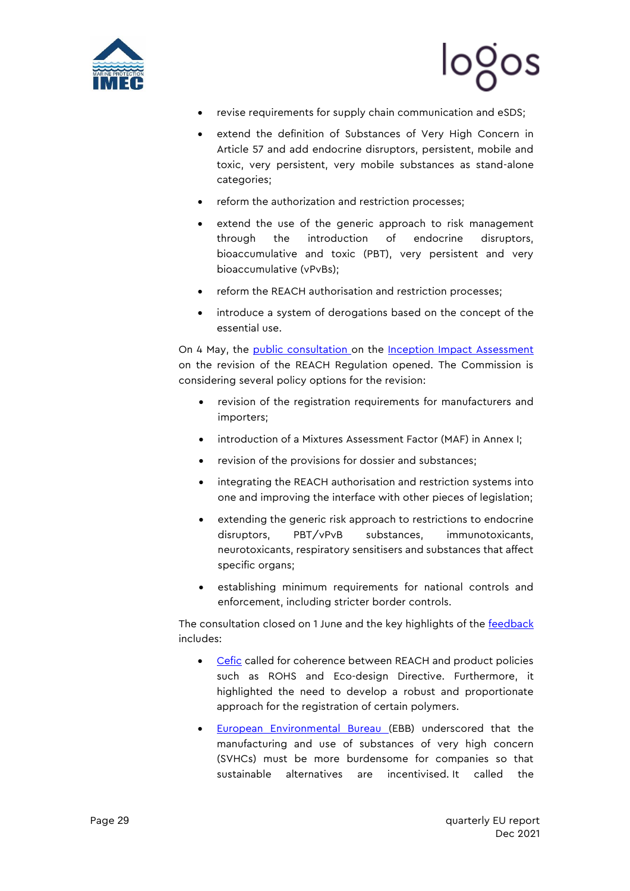



- revise requirements for supply chain communication and eSDS;
- extend the definition of Substances of Very High Concern in Article 57 and add endocrine disruptors, persistent, mobile and toxic, very persistent, very mobile substances as stand-alone categories;
- reform the authorization and restriction processes;
- extend the use of the generic approach to risk management through the introduction of endocrine disruptors, bioaccumulative and toxic (PBT), very persistent and very bioaccumulative (vPvBs);
- reform the REACH authorisation and restriction processes;
- introduce a system of derogations based on the concept of the essential use.

On 4 May, the [public consultation o](https://ec.europa.eu/info/law/better-regulation/have-your-say/initiatives/12959-Chemicals-legislation-revision-of-REACH-Regulation-to-help-achieve-a-toxic-free-environment_en)n the [Inception Impact Assessment](https://mcusercontent.com/912d3a5b241130a8c7aac179c/files/d2c9ab32-1667-00f2-5dac-1b7ad4eed7c4/090166e5dcaea5bc_1_.pdf)  on the revision of the REACH Regulation opened. The Commission is considering several policy options for the revision:

- revision of the registration requirements for manufacturers and importers;
- introduction of a Mixtures Assessment Factor (MAF) in Annex I;
- revision of the provisions for dossier and substances;
- integrating the REACH authorisation and restriction systems into one and improving the interface with other pieces of legislation;
- extending the generic risk approach to restrictions to endocrine disruptors, PBT/vPvB substances, immunotoxicants, neurotoxicants, respiratory sensitisers and substances that affect specific organs;
- establishing minimum requirements for national controls and enforcement, including stricter border controls.

The consultation closed on 1 June and the key highlights of the **feedback** includes:

- [Cefic](https://ec.europa.eu/info/law/better-regulation/have-your-say/initiatives/12959-Chemicals-legislation-revision-of-REACH-Regulation-to-help-achieve-a-toxic-free-environment/F2331456_en) called for coherence between REACH and product policies such as ROHS and Eco-design Directive. Furthermore, it highlighted the need to develop a robust and proportionate approach for the registration of certain polymers.
- [European Environmental Bureau \(](https://ec.europa.eu/info/law/better-regulation/have-your-say/initiatives/12959-Chemicals-legislation-revision-of-REACH-Regulation-to-help-achieve-a-toxic-free-environment/F2332996_en)EBB) underscored that the manufacturing and use of substances of very high concern (SVHCs) must be more burdensome for companies so that sustainable alternatives are incentivised. It called the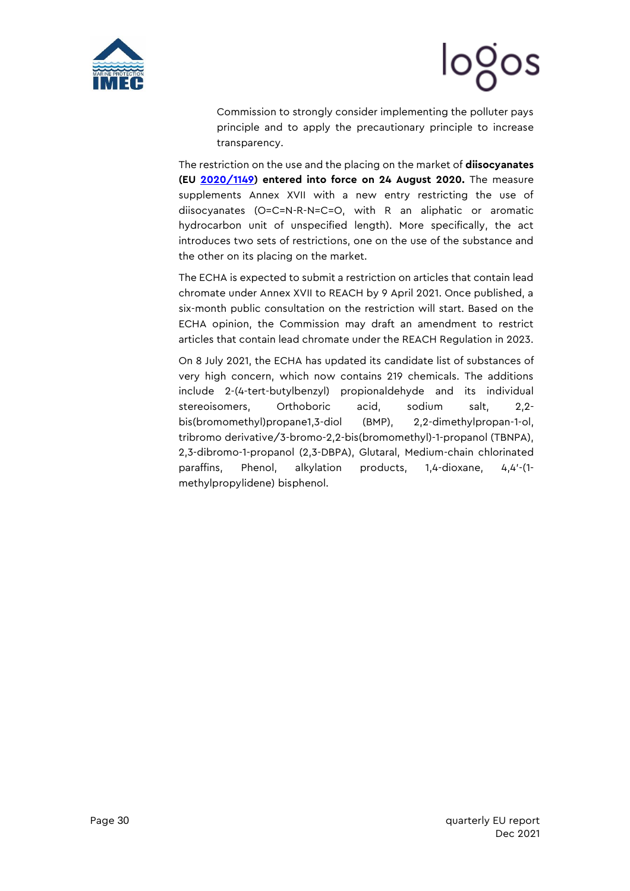

# logos

Commission to strongly consider implementing the polluter pays principle and to apply the precautionary principle to increase transparency.

The restriction on the use and the placing on the market of **diisocyanates (EU [2020/1149\)](https://eur-lex.europa.eu/legal-content/EN/TXT/PDF/?uri=CELEX:32020R1149&from=EN) entered into force on 24 August 2020.** The measure supplements Annex XVII with a new entry restricting the use of diisocyanates (O=C=N-R-N=C=O, with R an aliphatic or aromatic hydrocarbon unit of unspecified length). More specifically, the act introduces two sets of restrictions, one on the use of the substance and the other on its placing on the market.

The ECHA is expected to submit a restriction on articles that contain lead chromate under Annex XVII to REACH by 9 April 2021. Once published, a six-month public consultation on the restriction will start. Based on the ECHA opinion, the Commission may draft an amendment to restrict articles that contain lead chromate under the REACH Regulation in 2023.

On 8 July 2021, the ECHA has updated its [candidate list](https://echa.europa.eu/it/-/candidate-list-updated-with-eight-hazardous-chemicals) of substances of very high concern, which now contains 219 chemicals. The additions include 2-(4-tert-butylbenzyl) propionaldehyde and its individual stereoisomers, Orthoboric acid, sodium salt, 2,2 bis(bromomethyl)propane1,3-diol (BMP), 2,2-dimethylpropan-1-ol, tribromo derivative/3-bromo-2,2-bis(bromomethyl)-1-propanol (TBNPA), 2,3-dibromo-1-propanol (2,3-DBPA), Glutaral, Medium-chain chlorinated paraffins, Phenol, alkylation products, 1,4-dioxane, 4,4'-(1 methylpropylidene) bisphenol.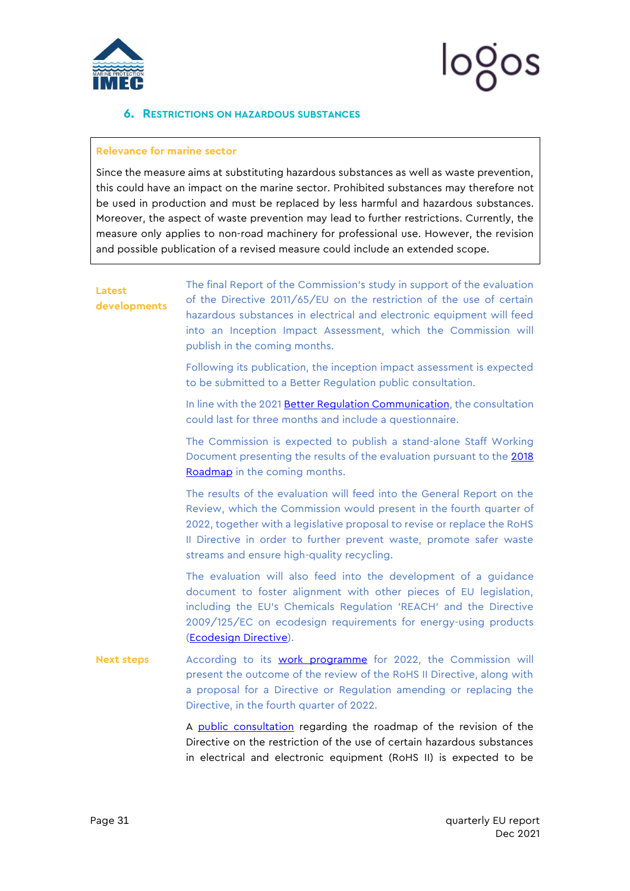

#### <span id="page-31-0"></span>**6. RESTRICTIONS ON HAZARDOUS SUBSTANCES**

#### **Relevance for marine sector**

Since the measure aims at substituting hazardous substances as well as waste prevention, this could have an impact on the marine sector. Prohibited substances may therefore not be used in production and must be replaced by less harmful and hazardous substances. Moreover, the aspect of waste prevention may lead to further restrictions. Currently, the measure only applies to non-road machinery for professional use. However, the revision and possible publication of a revised measure could include an extended scope.

### **Latest developments** The final Report of the Commission's study in support of the evaluation of the Directive 2011/65/EU on the restriction of the use of certain hazardous substances in electrical and electronic equipment will feed into an Inception Impact Assessment, which the Commission will publish in the coming months. Following its publication, the inception impact assessment is expected to be submitted to a Better Regulation public consultation. In line with the 2021 [Better Regulation Communication,](https://mcusercontent.com/912d3a5b241130a8c7aac179c/files/26afd817-9a2a-d3e2-7f34-973e045f5f29/29_APR_21_Commission_Communication_on_the_Better_Regulation_Joinging_Forces_to_Make_Better_Laws_81534.pdf) the consultation could last for three months and include a questionnaire. The Commission is expected to publish a stand-alone Staff Working Document presenting the results of the evaluation pursuant to the [2018](https://mcusercontent.com/912d3a5b241130a8c7aac179c/files/d7df6b2d-3d66-05f0-16e9-15acfa31f808/14_SEP_18_Evaluation_Roadmap_57970.pdf)  [Roadmap](https://mcusercontent.com/912d3a5b241130a8c7aac179c/files/d7df6b2d-3d66-05f0-16e9-15acfa31f808/14_SEP_18_Evaluation_Roadmap_57970.pdf) in the coming months. The results of the evaluation will feed into the General Report on the Review, which the Commission would present in the fourth quarter of 2022, together with a legislative proposal to revise or replace the RoHS II Directive in order to further prevent waste, promote safer waste streams and ensure high-quality recycling. The evaluation will also feed into the development of a guidance document to foster alignment with other pieces of EU legislation, including the EU's Chemicals Regulation 'REACH' and the Directive 2009/125/EC on ecodesign requirements for energy-using products [\(Ecodesign Directive\)](https://mcusercontent.com/912d3a5b241130a8c7aac179c/files/42f50c0e-f965-1385-34f8-fc6463829dae/21_OCT_09_Directive_2009_125_EC_establishing_a_framework_for_the_ecodesign_requirements_for_energy_related_products_13396.pdf). **Next steps** According to its **[work programme](https://mcusercontent.com/912d3a5b241130a8c7aac179c/files/9f9a25af-b34c-3305-da6a-a7c9e69f57bd/19_OCT_21_Annexes_to_Commission_Communication_on_2022_Commission_Work_Programme_Making_Europe_stronger_together.pdf)** for 2022, the Commission will present the outcome of the review of the RoHS II Directive, along with a proposal for a Directive or Regulation amending or replacing the Directive, in the fourth quarter of 2022.

A [public consultation](https://ec.europa.eu/info/law/better-regulation/have-your-say/initiatives/13137-Review-Restriction-of-the-use-of-hazardous-substances-in-electronics_en) regarding the roadmap of the revision of the Directive on the restriction of the use of certain hazardous substances in electrical and electronic equipment (RoHS II) is expected to be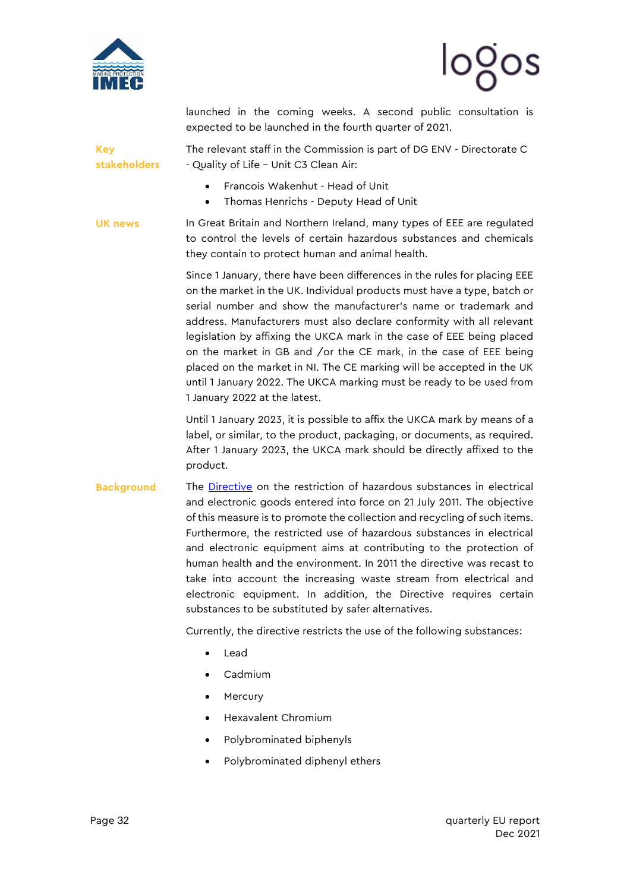



launched in the coming weeks. A second public consultation is expected to be launched in the fourth quarter of 2021.

**Key stakeholders** The relevant staff in the Commission is part of DG ENV - Directorate C - Quality of Life – Unit C3 Clean Air:

- Francois Wakenhut Head of Unit
- Thomas Henrichs Deputy Head of Unit

**UK news** In Great Britain and Northern Ireland, many types of EEE are regulated to control the levels of certain hazardous substances and chemicals they contain to protect human and animal health.

> Since 1 January, there have been differences in the rules for placing EEE on the market in the UK. Individual products must have a type, batch or serial number and show the manufacturer's name or trademark and address. Manufacturers must also declare conformity with all relevant legislation by affixing the UKCA mark in the case of EEE being placed on the market in GB and /or the CE mark, in the case of EEE being placed on the market in NI. The CE marking will be accepted in the UK until 1 January 2022. The UKCA marking must be ready to be used from 1 January 2022 at the latest.

> Until 1 January 2023, it is possible to affix the UKCA mark by means of a label, or similar, to the product, packaging, or documents, as required. After 1 January 2023, the UKCA mark should be directly affixed to the product.

**Background** The [Directive](https://eur-lex.europa.eu/legal-content/EN/TXT/PDF/?uri=CELEX:32011L0065&from=EN) on the restriction of hazardous substances in electrical and electronic goods entered into force on 21 July 2011. The objective of this measure is to promote the collection and recycling of such items. Furthermore, the restricted use of hazardous substances in electrical and electronic equipment aims at contributing to the protection of human health and the environment. In 2011 the directive was recast to take into account the increasing waste stream from electrical and electronic equipment. In addition, the Directive requires certain substances to be substituted by safer alternatives.

Currently, the directive restricts the use of the following substances:

- Lead
- Cadmium
- **Mercury**
- Hexavalent Chromium
- Polybrominated biphenyls
- Polybrominated diphenyl ethers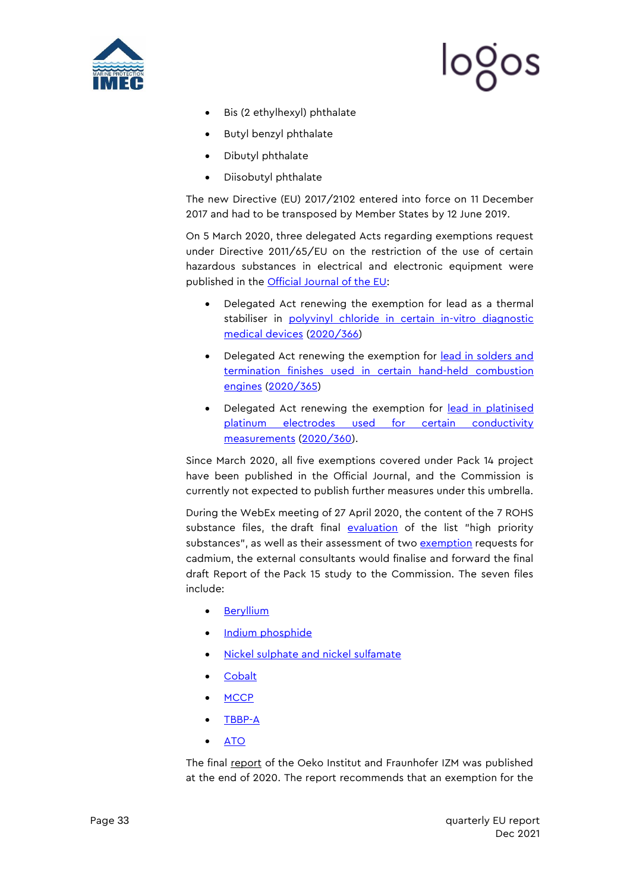

$$
\log_{\text{OS}}
$$

- Bis (2 ethylhexyl) phthalate
- Butyl benzyl phthalate
- Dibutyl phthalate
- Diisobutyl phthalate

The new Directive (EU) 2017/2102 entered into force on 11 December 2017 and had to be transposed by Member States by 12 June 2019.

On 5 March 2020, three delegated Acts regarding exemptions request under Directive 2011/65/EU on the restriction of the use of certain hazardous substances in electrical and electronic equipment were published in the **Official Journal of the EU:** 

- Delegated Act renewing the exemption for lead as a thermal stabiliser in polyvinyl chloride in certain in-vitro diagnostic [medical devices](https://signedin.euissuetracker.com/Pages/Dossier/IssueManager.aspx?tn_id=1&ln_id=1&sn_id=1&id=20368) [\(2020/366\)](https://eur-lex.europa.eu/legal-content/EN/TXT/PDF/?uri=CELEX:32020L0366&from=EN)
- Delegated Act renewing the exemption for [lead in solders and](https://signedin.euissuetracker.com/Pages/Dossier/IssueManager.aspx?tn_id=1&ln_id=1&sn_id=1&id=20254)  [termination finishes used in certain hand-held combustion](https://signedin.euissuetracker.com/Pages/Dossier/IssueManager.aspx?tn_id=1&ln_id=1&sn_id=1&id=20254)  [engines](https://signedin.euissuetracker.com/Pages/Dossier/IssueManager.aspx?tn_id=1&ln_id=1&sn_id=1&id=20254) [\(2020/365\)](https://eur-lex.europa.eu/legal-content/EN/TXT/PDF/?uri=CELEX:32020L0365&from=EN)
- Delegated Act renewing the exemption for [lead in platinised](https://signedin.euissuetracker.com/Pages/Dossier/IssueManager.aspx?tn_id=1&ln_id=1&sn_id=1&id=20255) [platinum electrodes used for certain conductivity](https://signedin.euissuetracker.com/Pages/Dossier/IssueManager.aspx?tn_id=1&ln_id=1&sn_id=1&id=20255)  [measurements](https://signedin.euissuetracker.com/Pages/Dossier/IssueManager.aspx?tn_id=1&ln_id=1&sn_id=1&id=20255) [\(2020/360\)](https://eur-lex.europa.eu/legal-content/EN/TXT/PDF/?uri=CELEX:32020L0360&from=EN).

Since March 2020, all five exemptions covered under Pack 14 project have been published in the Official Journal, and the Commission is currently not expected to publish further measures under this umbrella.

During the WebEx meeting of 27 April 2020, the content of the 7 ROHS substance files, the draft final [evaluation](https://mcusercontent.com/912d3a5b241130a8c7aac179c/files/ceed564c-4e79-4d50-afc2-e60f7cf5962e/_23_APR_20_Draft_Report_on_the_Identification_and_Prioritisation_of_Substances_for_Inclusion_in_the_List_of_Restricted_Substances.pdf) of the list "high priority substances", as well as their assessment of two [exemption](https://mcusercontent.com/912d3a5b241130a8c7aac179c/files/ffbd2325-9aaf-4e57-b09d-62028968da97/Exemption_evaluation_methodology.pdf) requests for cadmium, the external consultants would finalise and forward the final draft Report of the Pack 15 study to the Commission. The seven files include:

- **[Beryllium](https://mcusercontent.com/912d3a5b241130a8c7aac179c/files/afdf71d6-cb90-404c-8eaa-c94a1d256295/_25_MAR_20_Final_RoHS_II_Dossier_for_beryllium_and_its_.pdf)**
- [Indium phosphide](https://mcusercontent.com/912d3a5b241130a8c7aac179c/files/bb279f47-dcff-46e2-9b9c-c3f333ae1d0c/25_MAR_20_Final_RoHS_II_Dossier_for_indium_phosphide.pdf)
- [Nickel sulphate and nickel sulfamate](https://mcusercontent.com/912d3a5b241130a8c7aac179c/files/a91b5f23-df9a-4d33-95e0-54358d713014/26_MAR_20_Final_RoHS_II_Dossier_for_nickel_sulphate_and_nickel_sulfamate.pdf)
- **[Cobalt](https://mcusercontent.com/912d3a5b241130a8c7aac179c/files/d9bd001c-8913-492b-a2b3-ca0d101bb795/26_MAR_20_Final_RoHS_II_Dossier_for_5_Cobalt_substances.pdf)**
- [MCCP](https://mcusercontent.com/912d3a5b241130a8c7aac179c/files/762220d1-1c1a-416f-8b87-1d790f44014e/_25_MAR_20_Final_RoHS_II_Dossier_for_MCCPs.pdf)
- [TBBP-A](https://mcusercontent.com/912d3a5b241130a8c7aac179c/files/9db2ba44-ddd4-4f9d-a135-14ee14e3b5b4/27_MAR_20_Final_RoHS_II_Dossier_for_TBBP_A.pdf)
- [ATO](https://mcusercontent.com/912d3a5b241130a8c7aac179c/files/3082a240-0207-4e67-938a-a91221cf74dd/30_MAR_20_Final_RoHS_II_Dossier_for_ATO.pdf)

The final [report](https://mcusercontent.com/912d3a5b241130a8c7aac179c/files/b8289479-6a61-4b91-99cb-ae5f6d65a87c/16_NOV_20_RoHS_Pack_15_Task_5_final_Assessing_three_exemption_requests_for_the_use_of_cadmium_in_quantum_dot_applications_i.01.pdf) of the Oeko Institut and Fraunhofer IZM was published at the end of 2020. The report recommends that an exemption for the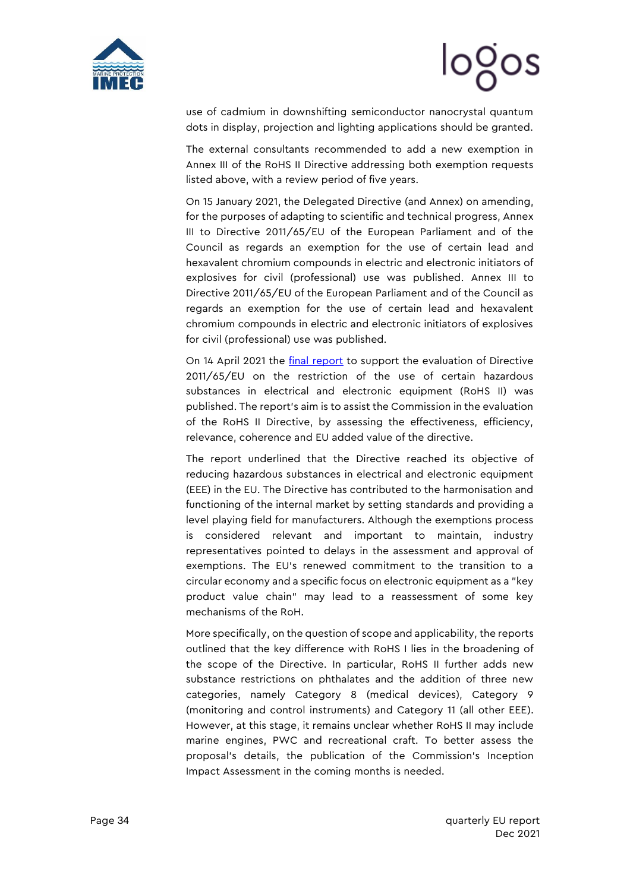

# looos

use of cadmium in downshifting semiconductor nanocrystal quantum dots in display, projection and lighting applications should be granted.

The external consultants recommended to add a new exemption in Annex III of the RoHS II Directive addressing both exemption requests listed above, with a review period of five years.

On 15 January 2021, the [Delegated Directive](https://mcusercontent.com/912d3a5b241130a8c7aac179c/files/f1fe0e1b-8057-48c1-b5d3-c47f3c2794a2/090166e5d84249cf.pdf) (and [Annex\)](https://mcusercontent.com/912d3a5b241130a8c7aac179c/files/0570283b-4b51-4630-a523-37c6d3fd44c9/090166e5d11151b7_1_.pdf) on amending, for the purposes of adapting to scientific and technical progress, Annex III to Directive 2011/65/EU of the European Parliament and of the Council as regards an exemption for the use of certain lead and hexavalent chromium compounds in electric and electronic initiators of explosives for civil (professional) use was published. Annex III to Directive 2011/65/EU of the European Parliament and of the Council as regards an exemption for the use of certain lead and hexavalent chromium compounds in electric and electronic initiators of explosives for civil (professional) use was published.

On 14 April 2021 the *final report* to support the evaluation of Directive 2011/65/EU on the restriction of the use of certain hazardous substances in electrical and electronic equipment [\(RoHS II\)](https://signedin.euissuetracker.com/Pages/Dossier/IssueManager.aspx?tn_id=1&ln_id=1&sn_id=1&id=2783) was published. The report's aim is to assist the Commission in the evaluation of the RoHS II Directive, by assessing the effectiveness, efficiency, relevance, coherence and EU added value of the directive.

The report underlined that the Directive reached its objective of reducing hazardous substances in electrical and electronic equipment (EEE) in the EU. The Directive has contributed to the harmonisation and functioning of the internal market by setting standards and providing a level playing field for manufacturers. Although the exemptions process is considered relevant and important to maintain, industry representatives pointed to delays in the assessment and approval of exemptions. The EU's renewed commitment to the transition to a circular economy and a specific focus on electronic equipment as a "key product value chain" may lead to a reassessment of some key mechanisms of the RoH.

More specifically, on the question of scope and applicability, the reports outlined that the key difference with RoHS I lies in the broadening of the scope of the Directive. In particular, RoHS II further adds new substance restrictions on phthalates and the addition of three new categories, namely Category 8 (medical devices), Category 9 (monitoring and control instruments) and Category 11 (all other EEE). However, at this stage, it remains unclear whether RoHS II may include marine engines, PWC and recreational craft. To better assess the proposal's details, the publication of the Commission's Inception Impact Assessment in the coming months is needed.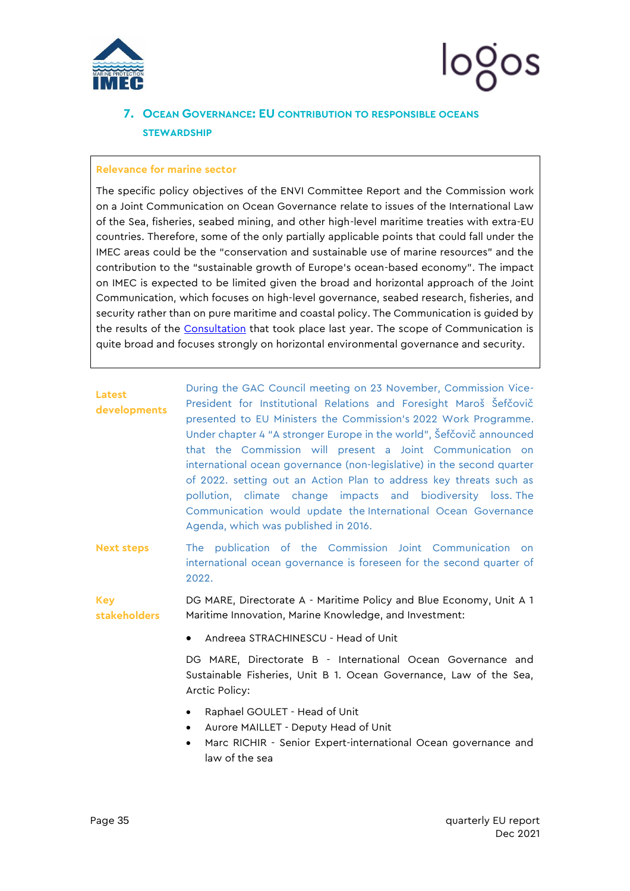

### <span id="page-35-0"></span>**7. OCEAN GOVERNANCE: EU CONTRIBUTION TO RESPONSIBLE OCEANS STEWARDSHIP**

#### **Relevance for marine sector**

The specific policy objectives of the ENVI Committee Report and the Commission work on a Joint Communication on Ocean Governance relate to issues of the International Law of the Sea, fisheries, seabed mining, and other high-level maritime treaties with extra-EU countries. Therefore, some of the only partially applicable points that could fall under the IMEC areas could be the "conservation and sustainable use of marine resources" and the contribution to the "sustainable growth of Europe's ocean-based economy". The impact on IMEC is expected to be limited given the broad and horizontal approach of the Joint Communication, which focuses on high-level governance, seabed research, fisheries, and security rather than on pure maritime and coastal policy. The Communication is guided by the results of the [Consultation](http://ec.europa.eu/dgs/maritimeaffairs_fisheries/consultations/ocean-governance/doc/ocean-governance-summary_en.pdf) that took place last year. The scope of Communication is quite broad and focuses strongly on horizontal environmental governance and security.

| <b>Latest</b><br>developments | During the GAC Council meeting on 23 November, Commission Vice-<br>President for Institutional Relations and Foresight Maroš Šefčovič<br>presented to EU Ministers the Commission's 2022 Work Programme.<br>Under chapter 4 "A stronger Europe in the world", Šefčovič announced<br>that the Commission will present a Joint Communication on<br>international ocean governance (non-legislative) in the second quarter<br>of 2022. setting out an Action Plan to address key threats such as<br>pollution, climate change impacts and biodiversity loss. The<br>Communication would update the International Ocean Governance |
|-------------------------------|--------------------------------------------------------------------------------------------------------------------------------------------------------------------------------------------------------------------------------------------------------------------------------------------------------------------------------------------------------------------------------------------------------------------------------------------------------------------------------------------------------------------------------------------------------------------------------------------------------------------------------|
|                               | Agenda, which was published in 2016.                                                                                                                                                                                                                                                                                                                                                                                                                                                                                                                                                                                           |

**Next steps** The publication of the Commission Joint Communication on international ocean governance is foreseen for the second quarter of 2022.

**Key stakeholders** DG MARE, Directorate A - Maritime Policy and Blue Economy, Unit A 1 Maritime Innovation, Marine Knowledge, and Investment:

• Andreea STRACHINESCU - Head of Unit

DG MARE, Directorate B - International Ocean Governance and Sustainable Fisheries, Unit B 1. Ocean Governance, Law of the Sea, Arctic Policy:

- Raphael GOULET Head of Unit
- Aurore MAILLET Deputy Head of Unit
- Marc RICHIR Senior Expert-international Ocean governance and law of the sea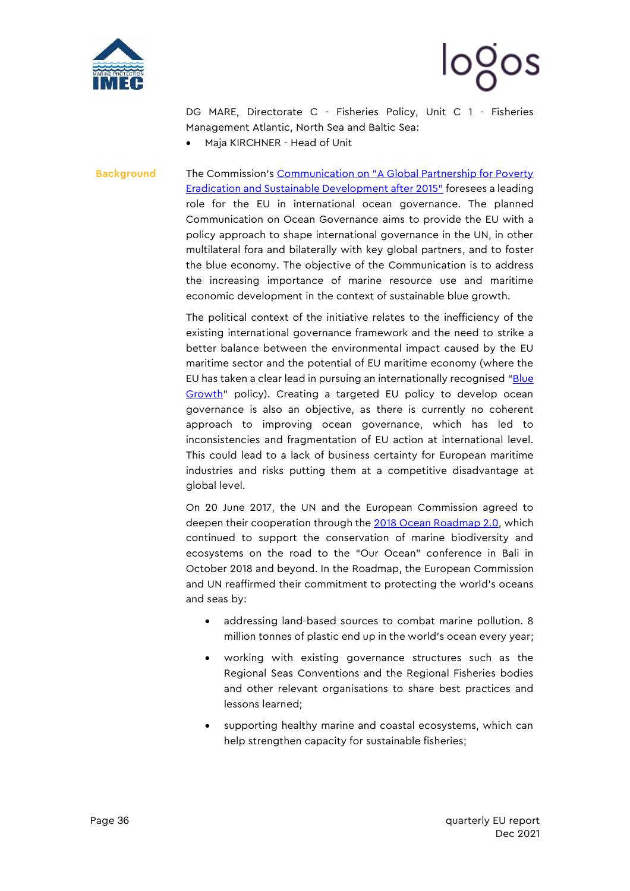



DG MARE, Directorate C - Fisheries Policy, Unit C 1 - Fisheries Management Atlantic, North Sea and Baltic Sea:

• Maja KIRCHNER - Head of Unit

**Background** The Commission's Communication on "A Global Partnership for Poverty [Eradication and Sustainable Development after 2015"](https://ec.europa.eu/commission/presscorner/detail/fr/MEMO_15_4143) foresees a leading role for the EU in international ocean governance. The planned Communication on Ocean Governance aims to provide the EU with a policy approach to shape international governance in the UN, in other multilateral fora and bilaterally with key global partners, and to foster the blue economy. The objective of the Communication is to address the increasing importance of marine resource use and maritime economic development in the context of sustainable blue growth.

> The political context of the initiative relates to the inefficiency of the existing international governance framework and the need to strike a better balance between the environmental impact caused by the EU maritime sector and the potential of EU maritime economy (where the EU has taken a clear lead in pursuing an internationally recognised "Blue [Growth](http://ec.europa.eu/maritimeaffairs/policy/blue_growth/index_en.htm)" policy). Creating a targeted EU policy to develop ocean governance is also an objective, as there is currently no coherent approach to improving ocean governance, which has led to inconsistencies and fragmentation of EU action at international level. This could lead to a lack of business certainty for European maritime industries and risks putting them at a competitive disadvantage at global level.

> On 20 June 2017, the UN and the European Commission agreed to deepen their cooperation through the [2018 Ocean Roadmap 2.0,](http://ec.europa.eu/environment/marine/international-cooperation/pdf/2018_UNEP_EU_roadmap.pdf) which continued to support the conservation of marine biodiversity and ecosystems on the road to the "Our Ocean" conference in Bali in October 2018 and beyond. In the Roadmap, the European Commission and UN reaffirmed their commitment to protecting the world's oceans and seas by:

- addressing land-based sources to combat marine pollution. 8 million tonnes of plastic end up in the world's ocean every year;
- working with existing governance structures such as the Regional Seas Conventions and the Regional Fisheries bodies and other relevant organisations to share best practices and lessons learned;
- supporting healthy marine and coastal ecosystems, which can help strengthen capacity for sustainable fisheries;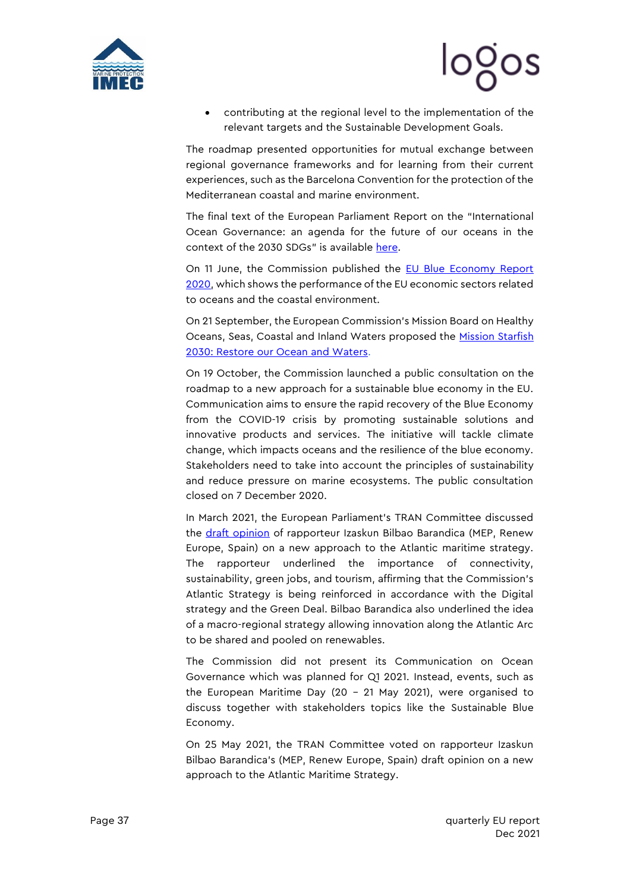



• contributing at the regional level to the implementation of the relevant targets and the Sustainable Development Goals.

The roadmap presented opportunities for mutual exchange between regional governance frameworks and for learning from their current experiences, such as the Barcelona Convention for the protection of the Mediterranean coastal and marine environment.

The final text of the European Parliament Report on the "International Ocean Governance: an agenda for the future of our oceans in the context of the 2030 SDGs" is available [here.](http://www.europarl.europa.eu/sides/getDoc.do?pubRef=-//EP//NONSGML+TA+P8-TA-2018-0004+0+DOC+PDF+V0//EN)

On 11 June, the Commission published the **EU Blue Economy Report** [2020,](https://ec.europa.eu/commission/presscorner/detail/en/ip_20_986) which shows the performance of the EU economic sectors related to oceans and the coastal environment.

On 21 September, the European Commission's Mission Board on Healthy Oceans, Seas, Coastal and Inland Waters proposed the Mission Starfish [2030: Restore our Ocean and Waters.](https://op.europa.eu/en/publication-detail/-/publication/672ddc53-fc85-11ea-b44f-01aa75ed71a1)

On 19 October, the Commission launched a [public consultation](https://ec.europa.eu/info/law/better-regulation/have-your-say/initiatives/12659-Green-Recovery-for-the-Blue-Economy-tentative-) on the [roadmap](https://mcusercontent.com/912d3a5b241130a8c7aac179c/files/568e2826-cd41-457e-b07b-9aadec0ed680/090166e5d499429e_2_.pdf) to a new approach for a sustainable blue economy in the EU. Communication aims to ensure the rapid recovery of the Blue Economy from the COVID-19 crisis by promoting sustainable solutions and innovative products and services. The initiative will tackle climate change, which impacts oceans and the resilience of the blue economy. Stakeholders need to take into account the principles of sustainability and reduce pressure on marine ecosystems. The public consultation closed on 7 December 2020.

In March 2021, the European Parliament's TRAN Committee discussed the [draft opinion](https://www.europarl.europa.eu/doceo/document/TRAN-PA-689483_EN.pdf) of rapporteur Izaskun Bilbao Barandica (MEP, Renew Europe, Spain) on a new approach to the Atlantic maritime strategy. The rapporteur underlined the importance of connectivity, sustainability, green jobs, and tourism, affirming that the Commission's Atlantic Strategy is being reinforced in accordance with the Digital strategy and the Green Deal. Bilbao Barandica also underlined the idea of a macro-regional strategy allowing innovation along the Atlantic Arc to be shared and pooled on renewables.

The Commission did not present its Communication on Ocean Governance which was planned for Q1 2021. Instead, events, such as the [European Maritime Day](https://ec.europa.eu/maritimeaffairs/press/register-virtual-european-maritime-day-den-helder-20-21-may-2021_en) (20 – 21 May 2021), were organised to discuss together with stakeholders topics like the Sustainable Blue Economy.

On 25 May 2021, the TRAN Committee voted on rapporteur Izaskun Bilbao Barandica's (MEP, Renew Europe, Spain) draft opinion on a new approach to the Atlantic Maritime Strategy.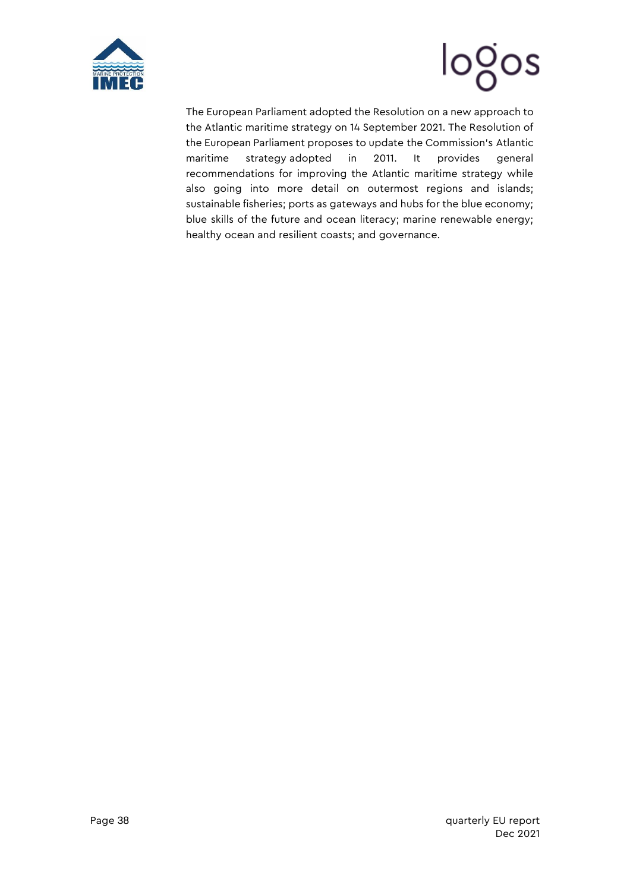



The European Parliament adopted the [Resolution](https://www.europarl.europa.eu/doceo/document/TA-9-2021-0369_EN.pdf) on a new approach to the Atlantic maritime strategy on 14 September 2021. The Resolution of the European Parliament proposes to update the Commission's [Atlantic](https://app.euissuetracker.com/dossier/integrated-maritime-policy-atlantic-ocean-2/)  [maritime strategy](https://app.euissuetracker.com/dossier/integrated-maritime-policy-atlantic-ocean-2/) adopted in 2011. It provides general recommendations for improving the Atlantic maritime strategy while also going into more detail on outermost regions and islands; sustainable fisheries; ports as gateways and hubs for the blue economy; blue skills of the future and ocean literacy; marine renewable energy; healthy ocean and resilient coasts; and governance.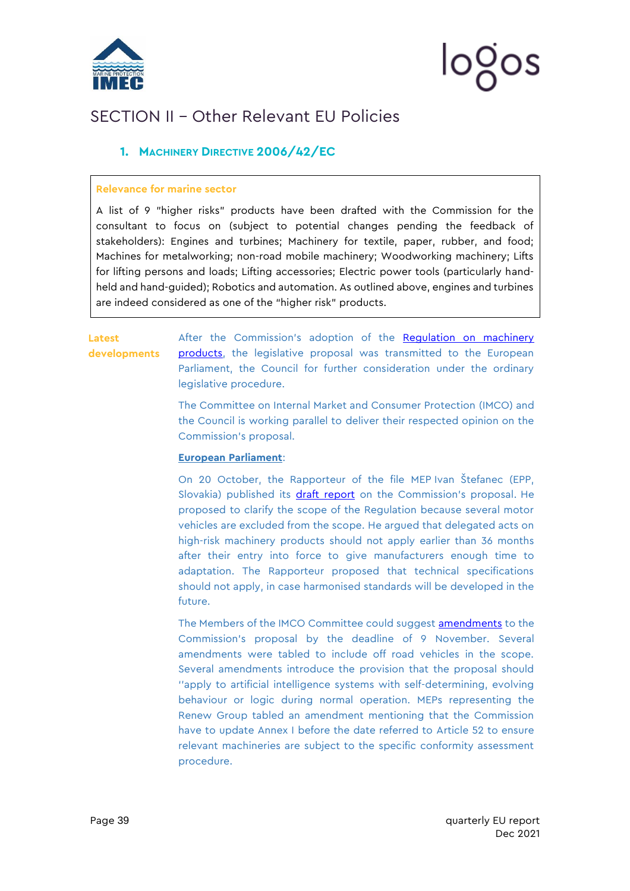

# ၊၀ပ္ဂဝၭ

## <span id="page-39-0"></span>SECTION II – Other Relevant EU Policies

### <span id="page-39-1"></span>**1. MACHINERY DIRECTIVE 2006/42/EC**

#### **Relevance for marine sector**

A list of 9 "higher risks" products have been drafted with the Commission for the consultant to focus on (subject to potential changes pending the feedback of stakeholders): Engines and turbines; Machinery for textile, paper, rubber, and food; Machines for metalworking; non-road mobile machinery; Woodworking machinery; Lifts for lifting persons and loads; Lifting accessories; Electric power tools (particularly handheld and hand-guided); Robotics and automation. As outlined above, engines and turbines are indeed considered as one of the "higher risk" products.

#### **Latest developments**

After the Commission's adoption of the Regulation on machinery [products,](https://mcusercontent.com/912d3a5b241130a8c7aac179c/files/6d40c392-0afb-4d4a-d443-1c7dc60907be/090166e5dc31f681_3_.pdf) the legislative proposal was transmitted to the European Parliament, the Council for further consideration under the ordinary legislative procedure.

The Committee on Internal Market and Consumer Protection (IMCO) and the Council is working parallel to deliver their respected opinion on the Commission's proposal.

#### **European Parliament**:

On 20 October, the Rapporteur of the file MEP Ivan Štefanec (EPP, Slovakia) published its [draft report](https://www.europarl.europa.eu/doceo/document/IMCO-PR-697614_EN.pdf) on the Commission's proposal. He proposed to clarify the scope of the Regulation because several motor vehicles are excluded from the scope. He argued that delegated acts on high-risk machinery products should not apply earlier than 36 months after their entry into force to give manufacturers enough time to adaptation. The Rapporteur proposed that technical specifications should not apply, in case harmonised standards will be developed in the future.

The Members of the IMCO Committee could suggest [amendments](https://www.europarl.europa.eu/doceo/document/IMCO-AM-699191_EN.pdf) to the Commission's proposal by the deadline of 9 November. Several amendments were tabled to include off road vehicles in the scope. Several amendments introduce the provision that the proposal should ''apply to artificial intelligence systems with self-determining, evolving behaviour or logic during normal operation. MEPs representing the Renew Group tabled an amendment mentioning that the Commission have to update Annex I before the date referred to Article 52 to ensure relevant machineries are subject to the specific conformity assessment procedure.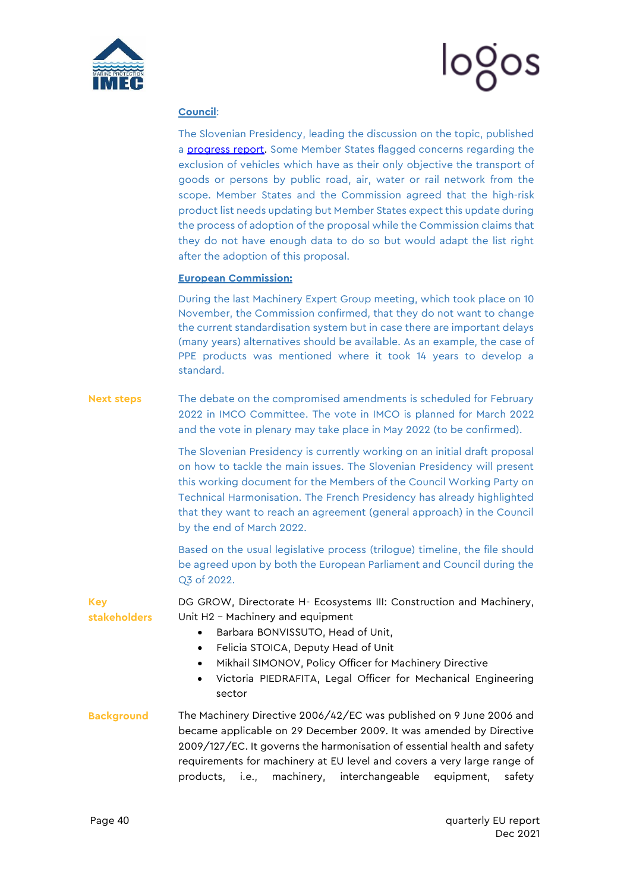

#### **Council**:

The Slovenian Presidency, leading the discussion on the topic, published a **progress report**. Some Member States flagged concerns regarding the exclusion of vehicles which have as their only objective the transport of goods or persons by public road, air, water or rail network from the scope. Member States and the Commission agreed that the high-risk product list needs updating but Member States expect this update during the process of adoption of the proposal while the Commission claims that they do not have enough data to do so but would adapt the list right after the adoption of this proposal.

#### **European Commission:**

During the last Machinery Expert Group meeting, which took place on 10 November, the Commission confirmed, that they do not want to change the current standardisation system but in case there are important delays (many years) alternatives should be available. As an example, the case of PPE products was mentioned where it took 14 years to develop a standard.

**Next steps** The debate on the compromised amendments is scheduled for February 2022 in IMCO Committee. The vote in IMCO is planned for March 2022 and the vote in plenary may take place in May 2022 (to be confirmed).

> The Slovenian Presidency is currently working on an initial draft proposal on how to tackle the main issues. The Slovenian Presidency will present this working document for the Members of the Council Working Party on Technical Harmonisation. The French Presidency has already highlighted that they want to reach an agreement (general approach) in the Council by the end of March 2022.

> Based on the usual legislative process (trilogue) timeline, the file should be agreed upon by both the European Parliament and Council during the Q3 of 2022.

**Key stakeholders** DG GROW, Directorate H- Ecosystems III: Construction and Machinery, Unit H2 – Machinery and equipment

- Barbara BONVISSUTO, Head of Unit,
- Felicia STOICA, Deputy Head of Unit
- Mikhail SIMONOV, Policy Officer for Machinery Directive
- Victoria PIEDRAFITA, Legal Officer for Mechanical Engineering sector
- **Background** The Machinery Directive 2006/42/EC was published on 9 June 2006 and became applicable on 29 December 2009. It was amended by Directive 2009/127/EC. It governs the harmonisation of essential health and safety requirements for machinery at EU level and covers a very large range of products, i.e., machinery, interchangeable equipment, safety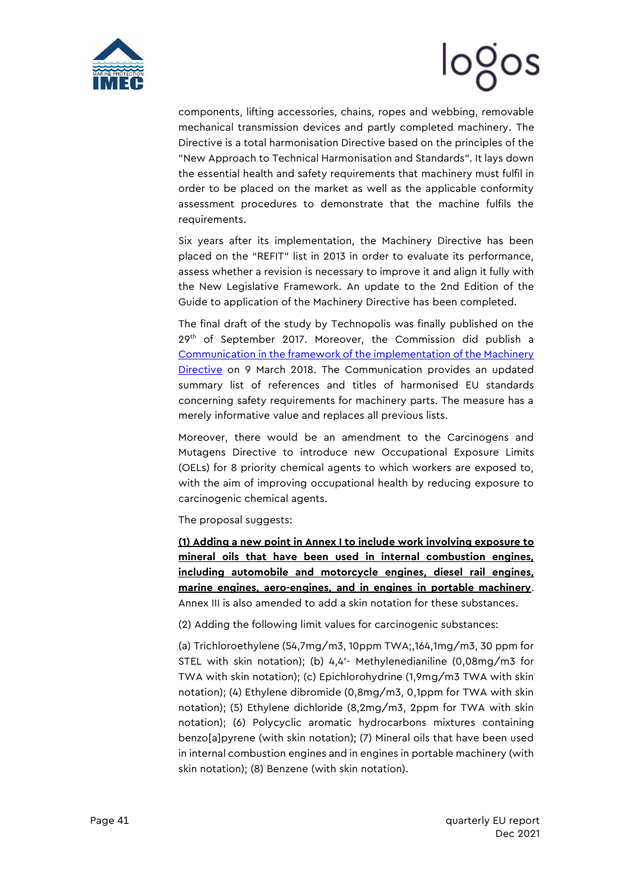



components, lifting accessories, chains, ropes and webbing, removable mechanical transmission devices and partly completed machinery. The Directive is a total harmonisation Directive based on the principles of the "New Approach to Technical Harmonisation and Standards". It lays down the essential health and safety requirements that machinery must fulfil in order to be placed on the market as well as the applicable conformity assessment procedures to demonstrate that the machine fulfils the requirements.

Six years after its implementation, the Machinery Directive has been placed on the "REFIT" list in 2013 in order to evaluate its performance, assess whether a revision is necessary to improve it and align it fully with the New Legislative Framework. An update to the 2nd Edition of the Guide to application of the Machinery Directive has been completed.

The final draft of the study by Technopolis was finally published on the  $29<sup>th</sup>$  of September 2017. Moreover, the Commission did publish a [Communication in the framework of the implementation of the Machinery](https://www.certifico.com/component/attachments/download/8195)  [Directive](https://www.certifico.com/component/attachments/download/8195) on 9 March 2018. The Communication provides an updated summary list of references and titles of harmonised EU standards concerning safety requirements for machinery parts. The measure has a merely informative value and replaces all previous lists.

Moreover, there would be an amendment to the Carcinogens and Mutagens Directive to introduce new Occupational Exposure Limits (OELs) for 8 priority chemical agents to which workers are exposed to, with the aim of improving occupational health by reducing exposure to carcinogenic chemical agents.

The proposal suggests:

**(1) Adding a new point in Annex I to include work involving exposure to mineral oils that have been used in internal combustion engines, including automobile and motorcycle engines, diesel rail engines, marine engines, aero-engines, and in engines in portable machinery**. Annex III is also amended to add a skin notation for these substances.

(2) Adding the following limit values for carcinogenic substances:

(a) Trichloroethylene (54,7mg/m3, 10ppm TWA;,164,1mg/m3, 30 ppm for STEL with skin notation); (b) 4,4'- Methylenedianiline (0,08mg/m3 for TWA with skin notation); (c) Epichlorohydrine (1,9mg/m3 TWA with skin notation); (4) Ethylene dibromide (0,8mg/m3, 0,1ppm for TWA with skin notation); (5) Ethylene dichloride (8,2mg/m3, 2ppm for TWA with skin notation); (6) Polycyclic aromatic hydrocarbons mixtures containing benzo[a]pyrene (with skin notation); (7) Mineral oils that have been used in internal combustion engines and in engines in portable machinery (with skin notation); (8) Benzene (with skin notation).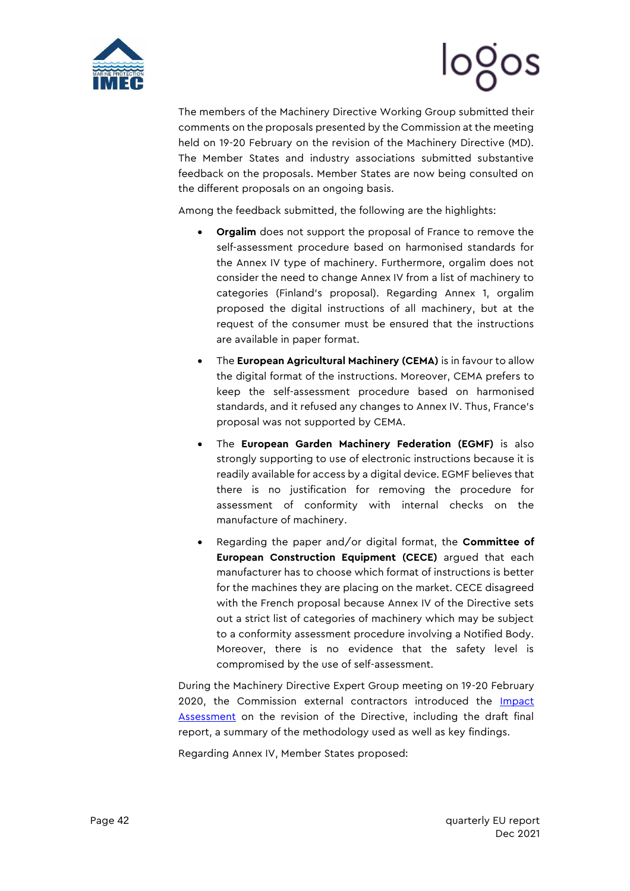



The members of the Machinery Directive Working Group submitted their comments on the proposals presented by the Commission at the meeting held on 19-20 February on the revision of the Machinery Directive (MD). The Member States and industry associations submitted substantive feedback on the proposals. Member States are now being consulted on the different proposals on an ongoing basis.

Among the feedback submitted, the following are the highlights:

- **Orgalim** does not support the proposal of France to remove the self-assessment procedure based on harmonised standards for the Annex IV type of machinery. Furthermore, orgalim does not consider the need to change Annex IV from a list of machinery to categories (Finland's proposal). Regarding Annex 1, orgalim proposed the digital instructions of all machinery, but at the request of the consumer must be ensured that the instructions are available in paper format.
- The **European Agricultural Machinery (CEMA)** is in favour to allow the digital format of the instructions. Moreover, CEMA prefers to keep the self-assessment procedure based on harmonised standards, and it refused any changes to Annex IV. Thus, France's proposal was not supported by CEMA.
- The **European Garden Machinery Federation (EGMF)** is also strongly supporting to use of electronic instructions because it is readily available for access by a digital device. EGMF believes that there is no justification for removing the procedure for assessment of conformity with internal checks on the manufacture of machinery.
- Regarding the paper and/or digital format, the **Committee of European Construction Equipment (CECE)** argued that each manufacturer has to choose which format of instructions is better for the machines they are placing on the market. CECE disagreed with the French proposal because Annex IV of the Directive sets out a strict list of categories of machinery which may be subject to a conformity assessment procedure involving a Notified Body. Moreover, there is no evidence that the safety level is compromised by the use of self-assessment.

During the Machinery Directive Expert Group meeting on 19-20 February 2020, the Commission external contractors introduced the Impact [Assessment](https://mcusercontent.com/912d3a5b241130a8c7aac179c/files/108b6c2a-1975-4a5d-bd1b-80b32b216be1/WG_2020.02_VVA_MD_Revision_Impact_Assessment_Study.pptx) on the revision of the Directive, including the draft final report, a summary of the methodology used as well as key findings.

Regarding Annex IV, Member States proposed: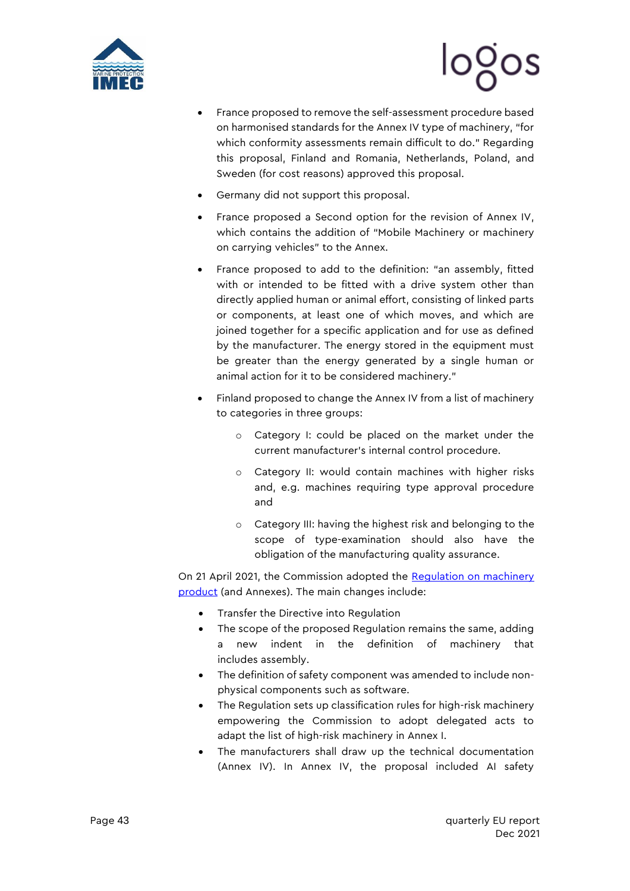



- France proposed to remove the self-assessment procedure based on harmonised standards for the Annex IV type of machinery, "for which conformity assessments remain difficult to do." Regarding this proposal, Finland and Romania, Netherlands, Poland, and Sweden (for cost reasons) approved this proposal.
- Germany did not support this proposal.
- France proposed a Second option for the revision of Annex IV, which contains the addition of "Mobile Machinery or machinery on carrying vehicles" to the Annex.
- France proposed to add to the definition: "an assembly, fitted with or intended to be fitted with a drive system other than directly applied human or animal effort, consisting of linked parts or components, at least one of which moves, and which are joined together for a specific application and for use as defined by the manufacturer. The energy stored in the equipment must be greater than the energy generated by a single human or animal action for it to be considered machinery."
- Finland proposed to change the Annex IV from a list of machinery to categories in three groups:
	- o Category I: could be placed on the market under the current manufacturer's internal control procedure.
	- o Category II: would contain machines with higher risks and, e.g. machines requiring type approval procedure and
	- o Category III: having the highest risk and belonging to the scope of type-examination should also have the obligation of the manufacturing quality assurance.

On 21 April 2021, the Commission adopted the [Regulation on machinery](https://mcusercontent.com/912d3a5b241130a8c7aac179c/files/6d40c392-0afb-4d4a-d443-1c7dc60907be/090166e5dc31f681_3_.pdf)  [product](https://mcusercontent.com/912d3a5b241130a8c7aac179c/files/6d40c392-0afb-4d4a-d443-1c7dc60907be/090166e5dc31f681_3_.pdf) (and Annexes). The main changes include:

- Transfer the Directive into Regulation
- The scope of the proposed Regulation remains the same, adding a new indent in the definition of machinery that includes assembly.
- The definition of safety component was amended to include nonphysical components such as software.
- The Regulation sets up classification rules for high-risk machinery empowering the Commission to adopt delegated acts to adapt the list of high-risk machinery in Annex I.
- The manufacturers shall draw up the technical documentation (Annex IV). In Annex IV, the proposal included AI safety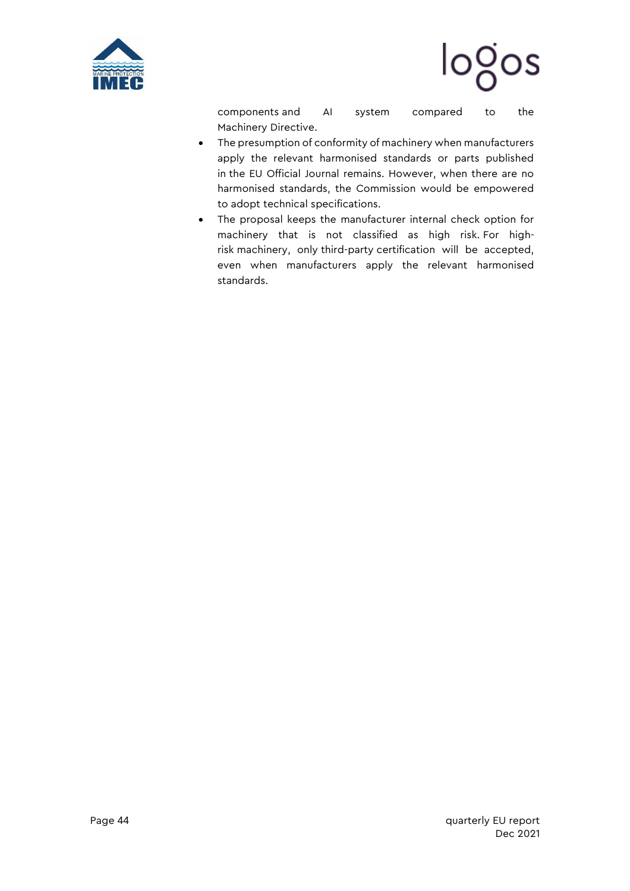



components and AI system compared to the Machinery Directive.

- The presumption of conformity of machinery when manufacturers apply the relevant harmonised standards or parts published in the EU Official Journal remains. However, when there are no harmonised standards, the Commission would be empowered to adopt technical specifications.
- The proposal keeps the manufacturer internal check option for machinery that is not classified as high risk. For highrisk machinery, only third-party certification will be accepted, even when manufacturers apply the relevant harmonised standards.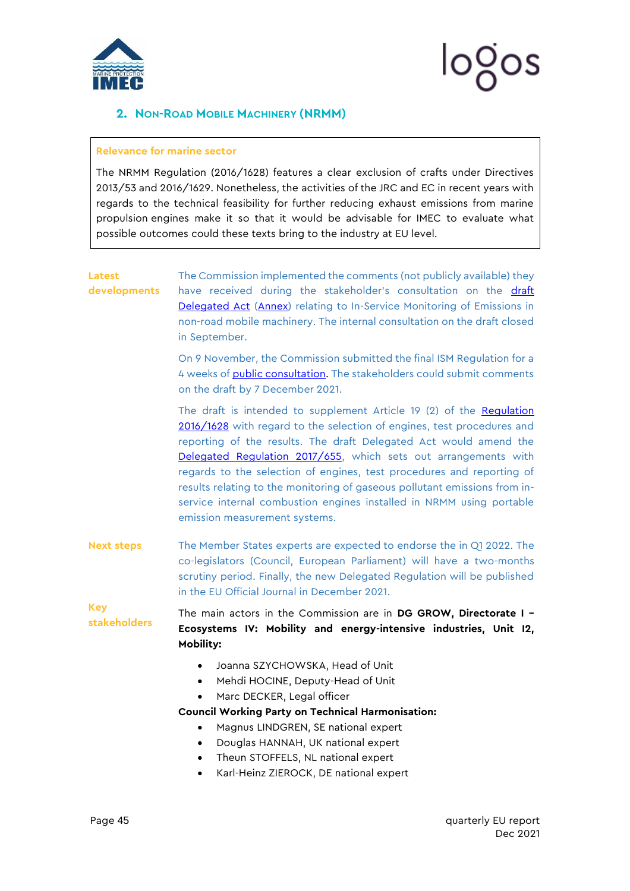

# logos

### <span id="page-45-0"></span>**2. NON-ROAD MOBILE MACHINERY (NRMM)**

#### **Relevance for marine sector**

The NRMM Regulation (2016/1628) features a clear exclusion of crafts under Directives 2013/53 and 2016/1629. Nonetheless, the activities of the JRC and EC in recent years with regards to the technical feasibility for further reducing exhaust emissions from marine propulsion engines make it so that it would be advisable for IMEC to evaluate what possible outcomes could these texts bring to the industry at EU level.

| <b>Latest</b><br>developments     | The Commission implemented the comments (not publicly available) they<br>have received during the stakeholder's consultation on the draft<br>Delegated Act (Annex) relating to In-Service Monitoring of Emissions in<br>non-road mobile machinery. The internal consultation on the draft closed<br>in September.                                                                                                                                                                                                                                      |
|-----------------------------------|--------------------------------------------------------------------------------------------------------------------------------------------------------------------------------------------------------------------------------------------------------------------------------------------------------------------------------------------------------------------------------------------------------------------------------------------------------------------------------------------------------------------------------------------------------|
|                                   | On 9 November, the Commission submitted the final ISM Regulation for a<br>4 weeks of public consultation. The stakeholders could submit comments<br>on the draft by 7 December 2021.                                                                                                                                                                                                                                                                                                                                                                   |
|                                   | The draft is intended to supplement Article 19 (2) of the Regulation<br>2016/1628 with regard to the selection of engines, test procedures and<br>reporting of the results. The draft Delegated Act would amend the<br>Delegated Regulation 2017/655, which sets out arrangements with<br>regards to the selection of engines, test procedures and reporting of<br>results relating to the monitoring of gaseous pollutant emissions from in-<br>service internal combustion engines installed in NRMM using portable<br>emission measurement systems. |
| <b>Next steps</b>                 | The Member States experts are expected to endorse the in Q1 2022. The<br>co-legislators (Council, European Parliament) will have a two-months<br>scrutiny period. Finally, the new Delegated Regulation will be published<br>in the EU Official Journal in December 2021.                                                                                                                                                                                                                                                                              |
| <b>Key</b><br><b>stakeholders</b> | The main actors in the Commission are in DG GROW, Directorate I -<br>Ecosystems IV: Mobility and energy-intensive industries, Unit I2,<br>Mobility:                                                                                                                                                                                                                                                                                                                                                                                                    |
|                                   | Joanna SZYCHOWSKA, Head of Unit<br>$\bullet$<br>Mehdi HOCINE, Deputy-Head of Unit<br>$\bullet$<br>Marc DECKER, Legal officer<br>$\bullet$<br><b>Council Working Party on Technical Harmonisation:</b><br>Magnus LINDGREN, SE national expert<br>Douglas HANNAH, UK national expert<br>$\bullet$<br>Theun STOFFELS, NL national expert<br>$\bullet$                                                                                                                                                                                                     |

• Karl-Heinz ZIEROCK, DE national expert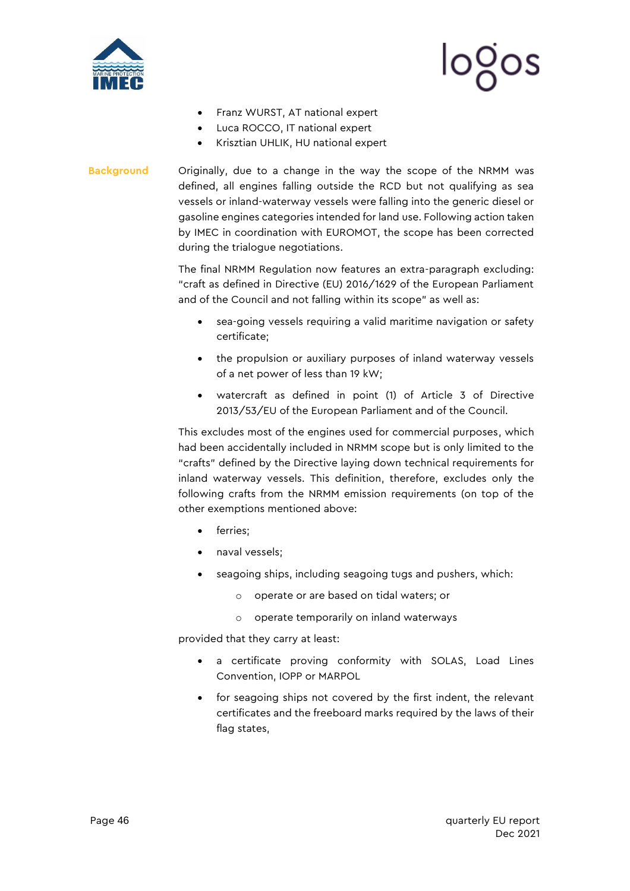



- Franz WURST, AT national expert
- Luca ROCCO, IT national expert
- Krisztian UHLIK, HU national expert
- **Background** Originally, due to a change in the way the scope of the NRMM was defined, all engines falling outside the RCD but not qualifying as sea vessels or inland-waterway vessels were falling into the generic diesel or gasoline engines categories intended for land use. Following action taken by IMEC in coordination with EUROMOT, the scope has been corrected during the trialogue negotiations.

The final NRMM Regulation now features an extra-paragraph excluding: "craft as defined in Directive (EU) 2016/1629 of the European Parliament and of the Council and not falling within its scope" as well as:

- sea-going vessels requiring a valid maritime navigation or safety certificate;
- the propulsion or auxiliary purposes of inland waterway vessels of a net power of less than 19 kW;
- watercraft as defined in point (1) of Article 3 of Directive 2013/53/EU of the European Parliament and of the Council.

This excludes most of the engines used for commercial purposes, which had been accidentally included in NRMM scope but is only limited to the "crafts" defined by the Directive laying down technical requirements for inland waterway vessels. This definition, therefore, excludes only the following crafts from the NRMM emission requirements (on top of the other exemptions mentioned above:

- ferries;
- naval vessels;
- seagoing ships, including seagoing tugs and pushers, which:
	- o operate or are based on tidal waters; or
	- o operate temporarily on inland waterways

provided that they carry at least:

- a certificate proving conformity with SOLAS, Load Lines Convention, IOPP or MARPOL
- for seagoing ships not covered by the first indent, the relevant certificates and the freeboard marks required by the laws of their flag states,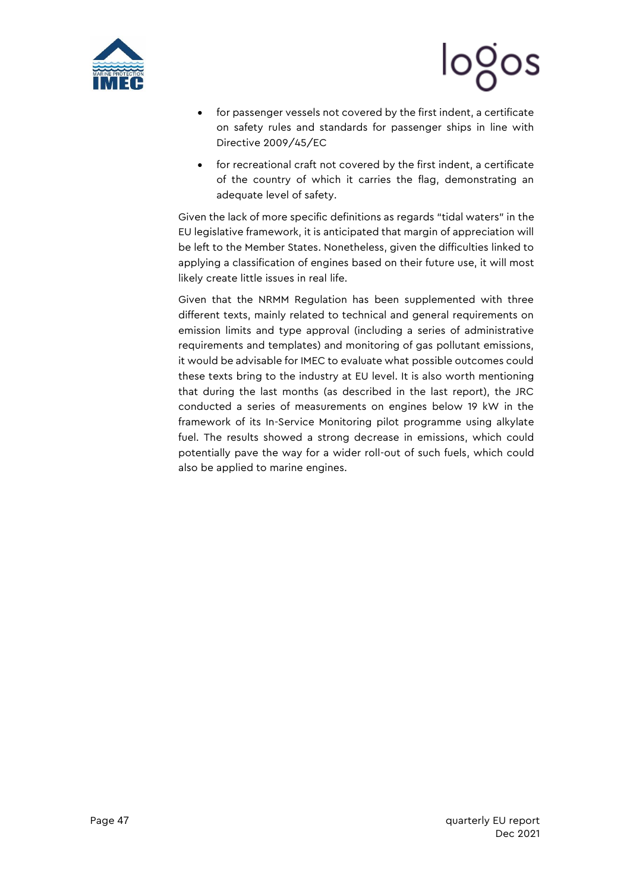



- for passenger vessels not covered by the first indent, a certificate on safety rules and standards for passenger ships in line with Directive 2009/45/EC
- for recreational craft not covered by the first indent, a certificate of the country of which it carries the flag, demonstrating an adequate level of safety.

Given the lack of more specific definitions as regards "tidal waters" in the EU legislative framework, it is anticipated that margin of appreciation will be left to the Member States. Nonetheless, given the difficulties linked to applying a classification of engines based on their future use, it will most likely create little issues in real life.

Given that the NRMM Regulation has been supplemented with three different texts, mainly related to technical and general requirements on emission limits and type approval (including a series of administrative requirements and templates) and monitoring of gas pollutant emissions, it would be advisable for IMEC to evaluate what possible outcomes could these texts bring to the industry at EU level. It is also worth mentioning that during the last months (as described in the last report), the JRC conducted a series of measurements on engines below 19 kW in the framework of its In-Service Monitoring pilot programme using alkylate fuel. The results showed a strong decrease in emissions, which could potentially pave the way for a wider roll-out of such fuels, which could also be applied to marine engines.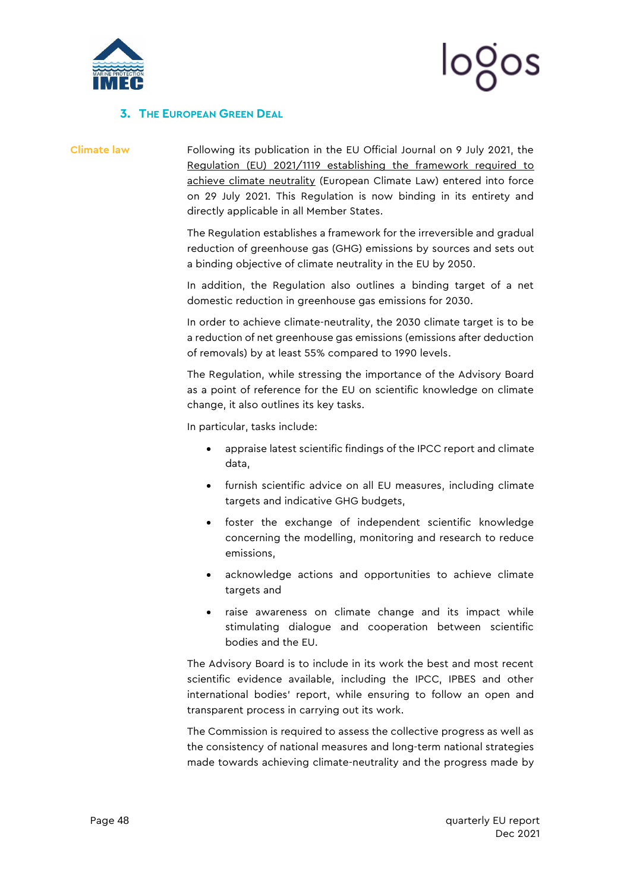



#### <span id="page-48-0"></span>**3. THE EUROPEAN GREEN DEAL**

**Climate law** Following its publication in the EU Official Journal on 9 July 2021, the [Regulation \(EU\) 2021/1119 establishing the framework required to](https://eur-lex.europa.eu/legal-content/EN/TXT/?uri=uriserv%3AOJ.L_.2021.243.01.0001.01.ENG&toc=OJ%3AL%3A2021%3A243%3ATOC)  [achieve climate neutrality](https://eur-lex.europa.eu/legal-content/EN/TXT/?uri=uriserv%3AOJ.L_.2021.243.01.0001.01.ENG&toc=OJ%3AL%3A2021%3A243%3ATOC) (European Climate Law) entered into force on 29 July 2021. This Regulation is now binding in its entirety and directly applicable in all Member States.

> The Regulation establishes a framework for the irreversible and gradual reduction of greenhouse gas (GHG) emissions by sources and sets out a binding objective of climate neutrality in the EU by 2050.

> In addition, the Regulation also outlines a binding target of a net domestic reduction in greenhouse gas emissions for 2030.

> In order to achieve climate-neutrality, the 2030 climate target is to be a reduction of net greenhouse gas emissions (emissions after deduction of removals) by at least 55% compared to 1990 levels.

> The Regulation, while stressing the importance of the Advisory Board as a point of reference for the EU on scientific knowledge on climate change, it also outlines its key tasks.

In particular, tasks include:

- appraise latest scientific findings of the IPCC report and climate data,
- furnish scientific advice on all EU measures, including climate targets and indicative GHG budgets,
- foster the exchange of independent scientific knowledge concerning the modelling, monitoring and research to reduce emissions,
- acknowledge actions and opportunities to achieve climate targets and
- raise awareness on climate change and its impact while stimulating dialogue and cooperation between scientific bodies and the EU.

The Advisory Board is to include in its work the best and most recent scientific evidence available, including the IPCC, IPBES and other international bodies' report, while ensuring to follow an open and transparent process in carrying out its work.

The Commission is required to assess the collective progress as well as the consistency of national measures and long-term national strategies made towards achieving climate-neutrality and the progress made by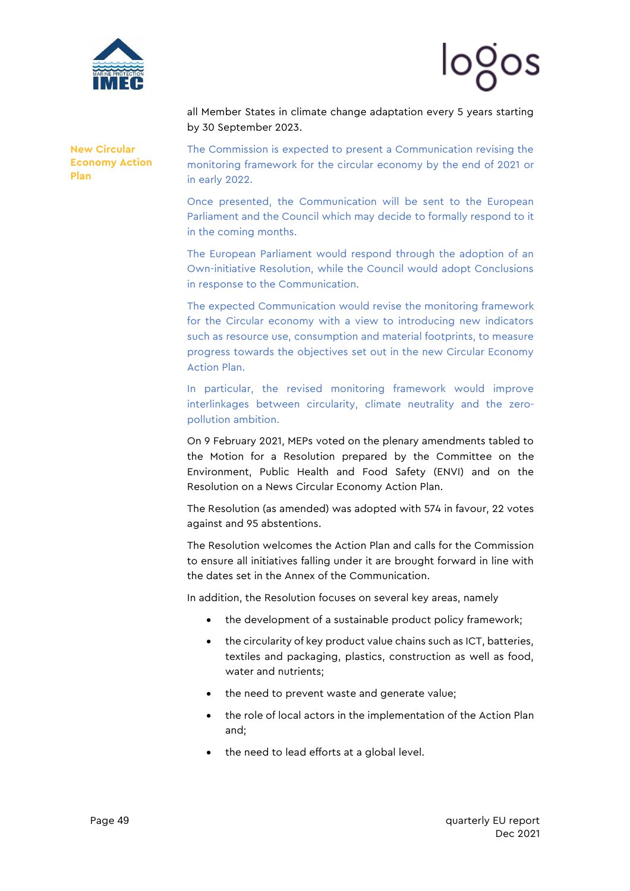



all Member States in climate change adaptation every 5 years starting by 30 September 2023.

**[New Circular](https://ec.europa.eu/environment/circular-economy/pdf/new_circular_economy_action_plan.pdf)  [Economy Action](https://ec.europa.eu/environment/circular-economy/pdf/new_circular_economy_action_plan.pdf)  [Plan](https://ec.europa.eu/environment/circular-economy/pdf/new_circular_economy_action_plan.pdf)**

The Commission is expected to present a Communication revising the monitoring framework for the circular economy by the end of 2021 or in early 2022.

Once presented, the Communication will be sent to the European Parliament and the Council which may decide to formally respond to it in the coming months.

The European Parliament would respond through the adoption of an Own-initiative Resolution, while the Council would adopt Conclusions in response to the Communication.

The expected Communication would revise the monitoring framework for the Circular economy with a view to introducing new indicators such as resource use, consumption and material footprints, to measure progress towards the objectives set out in the new Circular Economy Action Plan.

In particular, the revised monitoring framework would improve interlinkages between circularity, climate neutrality and the zeropollution ambition.

On 9 February 2021, MEPs voted on the plenary amendments tabled to the Motion for a Resolution prepared by the Committee on the Environment, Public Health and Food Safety (ENVI) and on the Resolution on a News Circular Economy Action Plan.

The Resolution (as amended) was adopted with 574 in favour, 22 votes against and 95 abstentions.

The Resolution welcomes the Action Plan and calls for the Commission to ensure all initiatives falling under it are brought forward in line with the dates set in the Annex of the Communication.

In addition, the Resolution focuses on several key areas, namely

- the development of a sustainable product policy framework;
- the circularity of key product value chains such as ICT, batteries, textiles and packaging, plastics, construction as well as food, water and nutrients;
- the need to prevent waste and generate value;
- the role of local actors in the implementation of the Action Plan and;
- the need to lead efforts at a global level.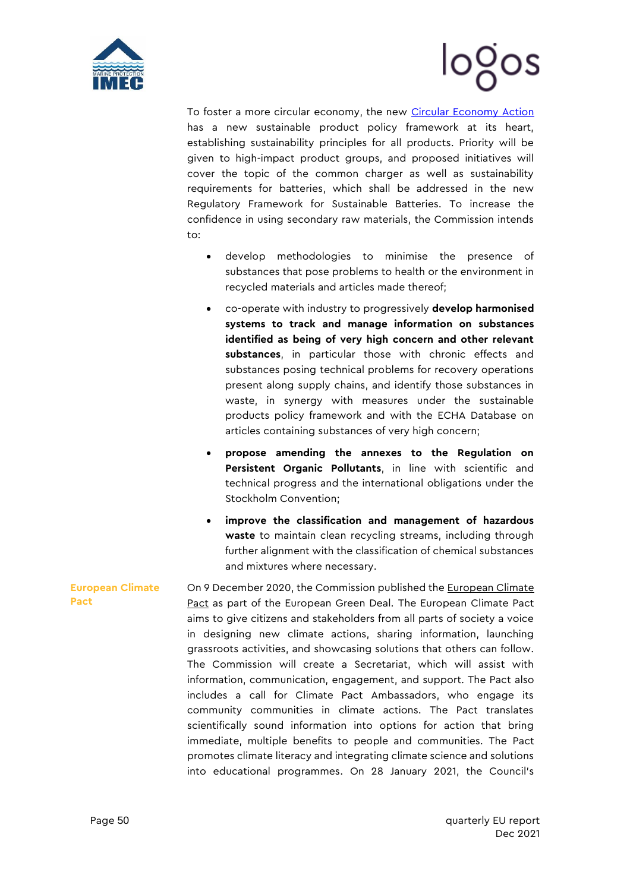



To foster a more circular economy, the new [Circular Economy Action](https://ec.europa.eu/environment/circular-economy/pdf/new_circular_economy_action_plan.pdf) has a new sustainable product policy framework at its heart, establishing sustainability principles for all products. Priority will be given to high-impact product groups, and proposed initiatives will cover the topic of the common charger as well as sustainability requirements for batteries, which shall be addressed in the new Regulatory Framework for Sustainable Batteries. To increase the confidence in using secondary raw materials, the Commission intends to:

- develop methodologies to minimise the presence of substances that pose problems to health or the environment in recycled materials and articles made thereof;
- co-operate with industry to progressively **develop harmonised systems to track and manage information on substances identified as being of very high concern and other relevant substances**, in particular those with chronic effects and substances posing technical problems for recovery operations present along supply chains, and identify those substances in waste, in synergy with measures under the sustainable products policy framework and with the ECHA Database on articles containing substances of very high concern;
- **propose amending the annexes to the Regulation on Persistent Organic Pollutants**, in line with scientific and technical progress and the international obligations under the Stockholm Convention;
- **improve the classification and management of hazardous waste** to maintain clean recycling streams, including through further alignment with the classification of chemical substances and mixtures where necessary.

**European Climate Pact** On 9 December 2020, the Commission published the [European Climate](https://europa.eu/climate-pact/system/files/2020-12/20201209%20European%20Climate%20Pact%20Communication.pdf)  [Pact](https://europa.eu/climate-pact/system/files/2020-12/20201209%20European%20Climate%20Pact%20Communication.pdf) as part of the European Green Deal. The European Climate Pact aims to give citizens and stakeholders from all parts of society a voice in designing new climate actions, sharing information, launching grassroots activities, and showcasing solutions that others can follow. The Commission will create a Secretariat, which will assist with information, communication, engagement, and support. The Pact also includes a call for Climate Pact Ambassadors, who engage its community communities in climate actions. The Pact translates scientifically sound information into options for action that bring immediate, multiple benefits to people and communities. The Pact promotes climate literacy and integrating climate science and solutions into educational programmes. On 28 January 2021, the Council's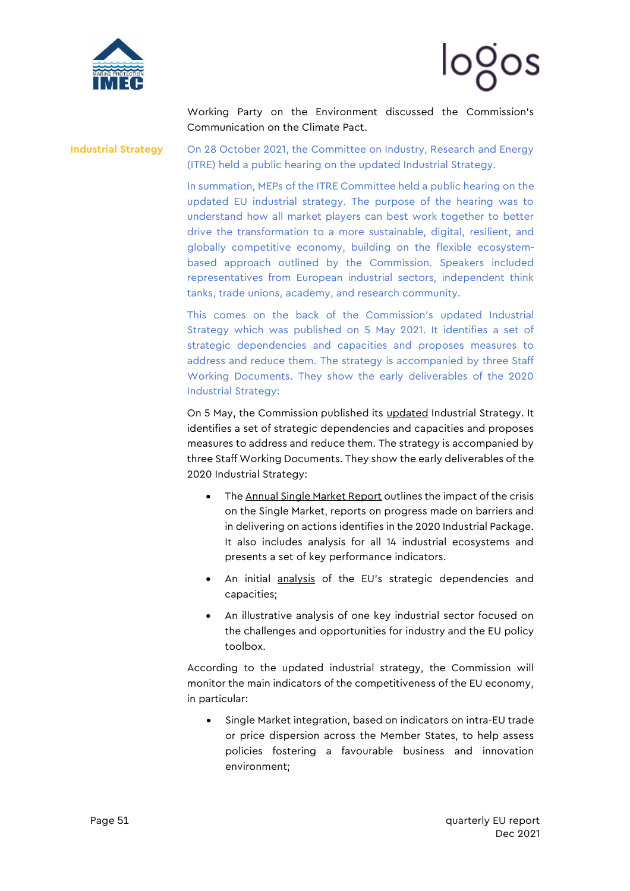



Working Party on the Environment discussed the Commission's Communication on the Climate Pact.

**Industrial Strategy** On 28 October 2021, the Committee on Industry, Research and Energy (ITRE) held a public hearing on the updated Industrial Strategy.

> In summation, MEPs of the ITRE Committee held a public hearing on the updated EU industrial strategy. The purpose of the hearing was to understand how all market players can best work together to better drive the transformation to a more sustainable, digital, resilient, and globally competitive economy, building on the flexible ecosystembased approach outlined by the Commission. Speakers included representatives from European industrial sectors, independent think tanks, trade unions, academy, and research community.

> This comes on the back of the Commission's [updated](https://content.euissuetracker.com/wp-content/uploads/sites/2/2021/05/5-MAY-2021-CEC-Communication-COM2021350-Updating-the-2020-New-Industrial-Strategy-81650.pdf) Industrial Strategy which was published on 5 May 2021. It identifies a set of strategic dependencies and capacities and proposes measures to address and reduce them. The strategy is accompanied by three Staff Working Documents. They show the early deliverables of the 2020 Industrial Strategy:

> On 5 May, the Commission published its [updated](https://content.euissuetracker.com/wp-content/uploads/sites/2/2021/05/5-MAY-2021-CEC-Communication-COM2021350-Updating-the-2020-New-Industrial-Strategy-81650.pdf) Industrial Strategy. It identifies a set of strategic dependencies and capacities and proposes measures to address and reduce them. The strategy is accompanied by three Staff Working Documents. They show the early deliverables of the 2020 Industrial Strategy:

- Th[e Annual Single Market Report](https://content.euissuetracker.com/wp-content/uploads/sites/2/2021/05/5-MAY-2021-CEC-Staff-Working-Document-SWD2021351-Annual-Single-Market-Report-2021-81644.pdf) outlines the impact of the crisis on the Single Market, reports on progress made on barriers and in delivering on actions identifies in the 2020 Industrial Package. It also includes analysis for all 14 industrial ecosystems and presents a set of key performance indicators.
- An initial [analysis](https://content.euissuetracker.com/wp-content/uploads/sites/2/2021/05/5-MAY-2021-CEC-Staff-Working-Document-SWD2021352-Strategic-dependencies-and-capacities-81645.pdf) of the EU's strategic dependencies and capacities;
- An illustrative analysis of one key industrial sector focused on the challenges and opportunities for industry and the EU policy toolbox.

According to the updated industrial strategy, the Commission will monitor the main indicators of the competitiveness of the EU economy, in particular:

• Single Market integration, based on indicators on intra-EU trade or price dispersion across the Member States, to help assess policies fostering a favourable business and innovation environment;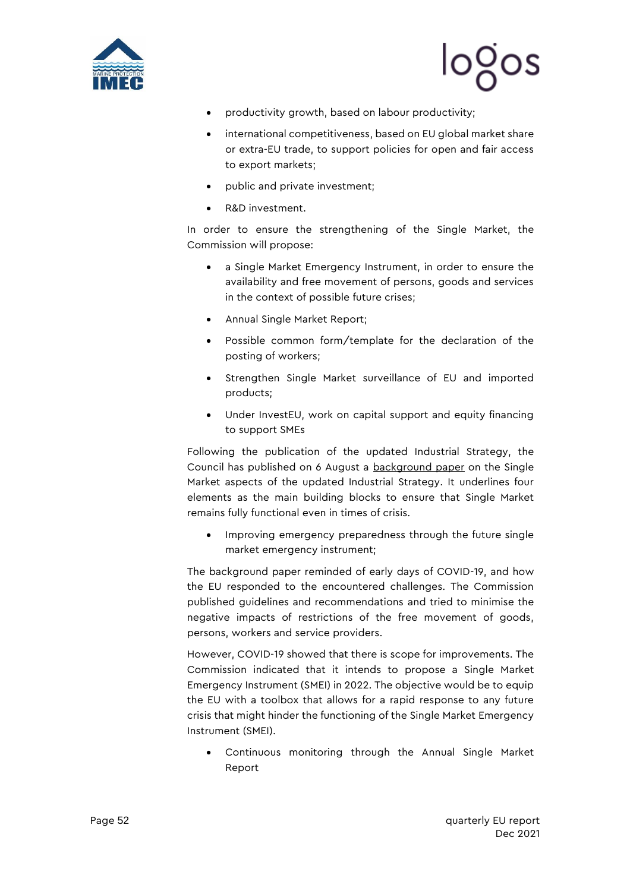

# looos

- productivity growth, based on labour productivity;
- international competitiveness, based on EU global market share or extra-EU trade, to support policies for open and fair access to export markets;
- public and private investment;
- R&D investment.

In order to ensure the strengthening of the Single Market, the Commission will propose:

- a Single Market Emergency Instrument, in order to ensure the availability and free movement of persons, goods and services in the context of possible future crises;
- Annual Single Market Report;
- Possible common form/template for the declaration of the posting of workers;
- Strengthen Single Market surveillance of EU and imported products;
- Under InvestEU, work on capital support and equity financing to support SMEs

Following the publication of the updated Industrial Strategy, the Council has published on 6 August a [background paper](https://content.euissuetracker.com/wp-content/uploads/sites/2/2021/09/6-AUG-21-Background-paper-on-the-Single-Market-aspects-of-EU-industrial-strategy.pdf) on the Single Market aspects of the updated Industrial Strategy. It underlines four elements as the main building blocks to ensure that Single Market remains fully functional even in times of crisis.

• Improving emergency preparedness through the future single market emergency instrument;

The background paper reminded of early days of COVID-19, and how the EU responded to the encountered challenges. The Commission published guidelines and recommendations and tried to minimise the negative impacts of restrictions of the free movement of goods, persons, workers and service providers.

However, COVID-19 showed that there is scope for improvements. The Commission indicated that it intends to propose a Single Market Emergency Instrument (SMEI) in 2022. The objective would be to equip the EU with a toolbox that allows for a rapid response to any future crisis that might hinder the functioning of the Single Market Emergency Instrument (SMEI).

Continuous monitoring through the Annual Single Market Report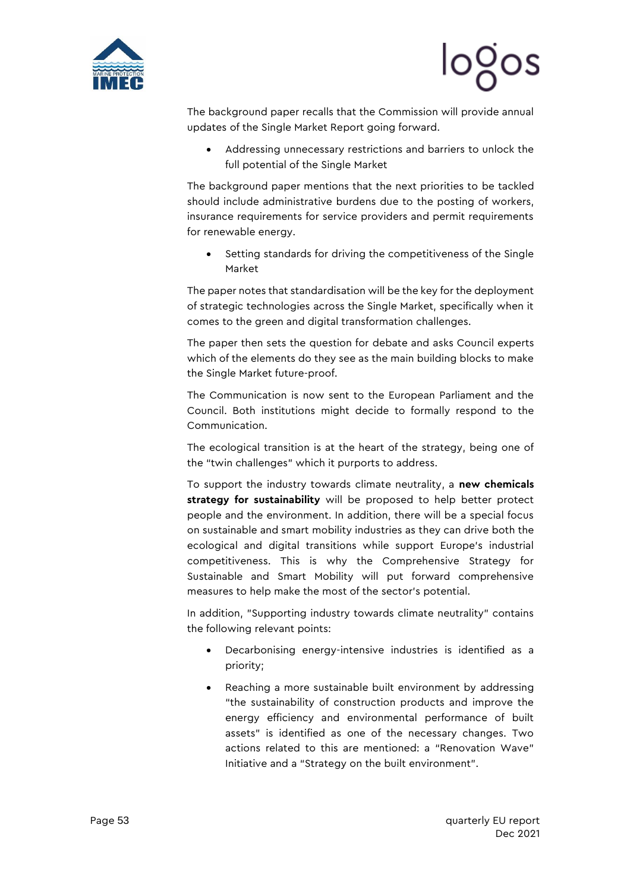

The background paper recalls that the Commission will provide annual updates of the Single Market Report going forward.

• Addressing unnecessary restrictions and barriers to unlock the full potential of the Single Market

The background paper mentions that the next priorities to be tackled should include administrative burdens due to the posting of workers, insurance requirements for service providers and permit requirements for renewable energy.

• Setting standards for driving the competitiveness of the Single Market

The paper notes that standardisation will be the key for the deployment of strategic technologies across the Single Market, specifically when it comes to the green and digital transformation challenges.

The paper then sets the question for debate and asks Council experts which of the elements do they see as the main building blocks to make the Single Market future-proof.

The Communication is now sent to the European Parliament and the Council. Both institutions might decide to formally respond to the Communication.

The ecological transition is at the heart of the strategy, being one of the "twin challenges" which it purports to address.

To support the industry towards climate neutrality, a **new chemicals strategy for sustainability** will be proposed to help better protect people and the environment. In addition, there will be a special focus on sustainable and smart mobility industries as they can drive both the ecological and digital transitions while support Europe's industrial competitiveness. This is why the Comprehensive Strategy for Sustainable and Smart Mobility will put forward comprehensive measures to help make the most of the sector's potential.

In addition, "Supporting industry towards climate neutrality" contains the following relevant points:

- Decarbonising energy-intensive industries is identified as a priority;
- Reaching a more sustainable built environment by addressing "the sustainability of construction products and improve the energy efficiency and environmental performance of built assets" is identified as one of the necessary changes. Two actions related to this are mentioned: a "Renovation Wave" Initiative and a "Strategy on the built environment".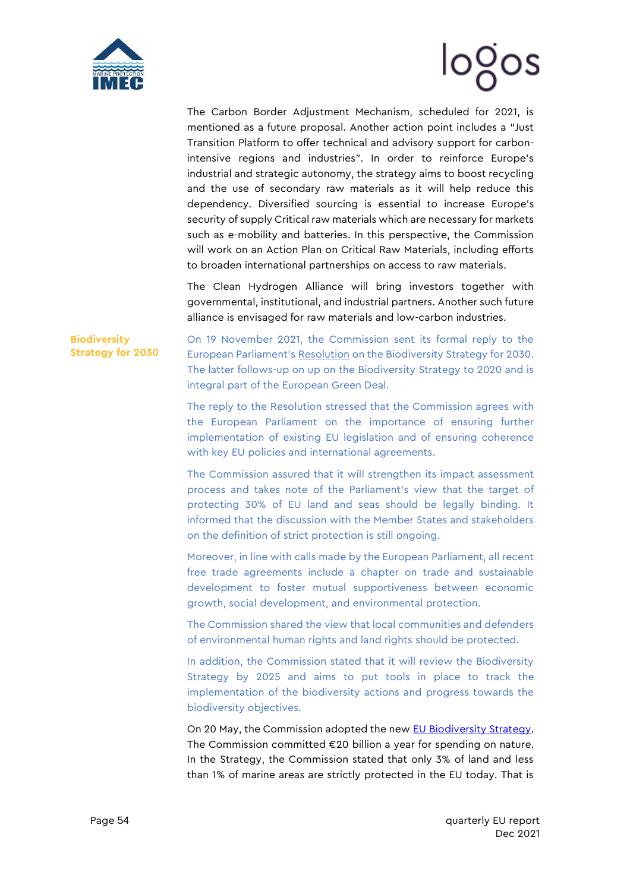



The Carbon Border Adjustment Mechanism, scheduled for 2021, is mentioned as a future proposal. Another action point includes a "Just Transition Platform to offer technical and advisory support for carbonintensive regions and industries". In order to reinforce Europe's industrial and strategic autonomy, the strategy aims to boost recycling and the use of secondary raw materials as it will help reduce this dependency. Diversified sourcing is essential to increase Europe's security of supply Critical raw materials which are necessary for markets such as e-mobility and batteries. In this perspective, the Commission will work on an Action Plan on Critical Raw Materials, including efforts to broaden international partnerships on access to raw materials.

The Clean Hydrogen Alliance will bring investors together with governmental, institutional, and industrial partners. Another such future alliance is envisaged for raw materials and low-carbon industries.

**Biodiversity Strategy for 2030** On 19 November 2021, the Commission sent its formal reply to the European Parliament's [Resolution](https://mcusercontent.com/912d3a5b241130a8c7aac179c/files/8c0877c0-dbec-9b67-6194-1733b3d3b860/9_JUN_21_EP_Resolution_on_the_EU_Biodiversity_Strategy_for_2030_Bringing_Nature_Back_into_our_Lives.pdf) on the Biodiversity Strategy for 2030. The latter follows-up on up on the Biodiversity Strategy to 2020 and is integral part of the European Green Deal.

The reply to the Resolution stressed that the Commission agrees with the European Parliament on the importance of ensuring further implementation of existing EU legislation and of ensuring coherence with key EU policies and international agreements.

The Commission assured that it will strengthen its impact assessment process and takes note of the Parliament's view that the target of protecting 30% of EU land and seas should be legally binding. It informed that the discussion with the Member States and stakeholders on the definition of strict protection is still ongoing.

Moreover, in line with calls made by the European Parliament, all recent free trade agreements include a chapter on trade and sustainable development to foster mutual supportiveness between economic growth, social development, and environmental protection.

The Commission shared the view that local communities and defenders of environmental human rights and land rights should be protected.

In addition, the Commission stated that it will review the Biodiversity Strategy by 2025 and aims to put tools in place to track the implementation of the biodiversity actions and progress towards the biodiversity objectives.

On 20 May, the Commission adopted the new [EU Biodiversity Strategy.](https://eur-lex.europa.eu/legal-content/EN/TXT/?qid=1590574123338&uri=CELEX:52020DC0380) The Commission committed €20 billion a year for spending on nature. In the Strategy, the Commission stated that only 3% of land and less than 1% of marine areas are strictly protected in the EU today. That is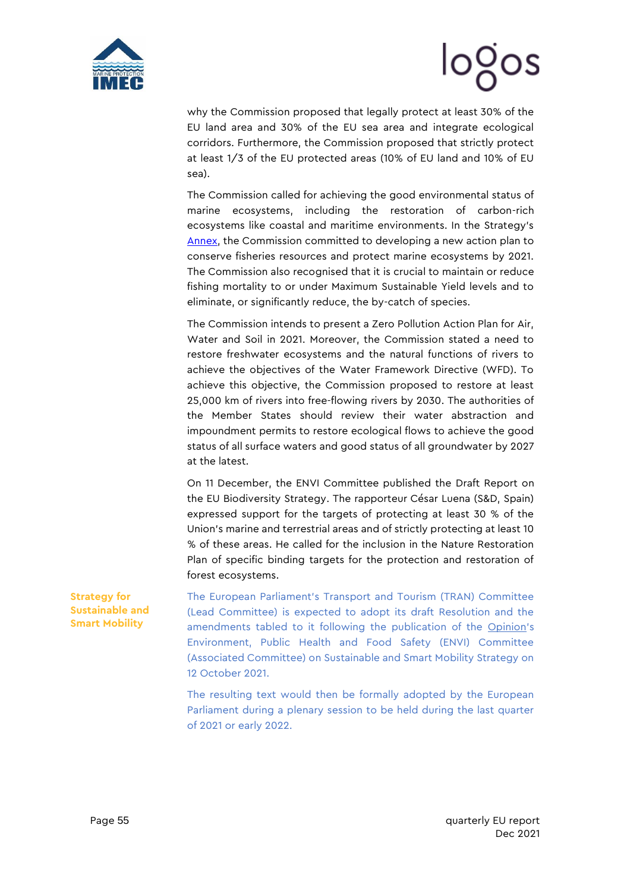



why the Commission proposed that legally protect at least 30% of the EU land area and 30% of the EU sea area and integrate ecological corridors. Furthermore, the Commission proposed that strictly protect at least 1/3 of the EU protected areas (10% of EU land and 10% of EU sea).

The Commission called for achieving the good environmental status of marine ecosystems, including the restoration of carbon-rich ecosystems like coastal and maritime environments. In the Strategy's [Annex,](https://eur-lex.europa.eu/resource.html?uri=cellar:a3c806a6-9ab3-11ea-9d2d-01aa75ed71a1.0001.02/DOC_2&format=PDF) the Commission committed to developing a new action plan to conserve fisheries resources and protect marine ecosystems by 2021. The Commission also recognised that it is crucial to maintain or reduce fishing mortality to or under Maximum Sustainable Yield levels and to eliminate, or significantly reduce, the by-catch of species.

The Commission intends to present a Zero Pollution Action Plan for Air, Water and Soil in 2021. Moreover, the Commission stated a need to restore freshwater ecosystems and the natural functions of rivers to achieve the objectives of the Water Framework Directive (WFD). To achieve this objective, the Commission proposed to restore at least 25,000 km of rivers into free-flowing rivers by 2030. The authorities of the Member States should review their water abstraction and impoundment permits to restore ecological flows to achieve the good status of all surface waters and good status of all groundwater by 2027 at the latest.

On 11 December, the ENVI Committee published the [Draft Report on](https://mcusercontent.com/912d3a5b241130a8c7aac179c/files/f8a1ee51-b499-4eac-a583-618d0140eea6/ENVI_Draft_Report_Biodiversity_Strategy_for_2030.pdf)  [the EU Biodiversity Strategy.](https://mcusercontent.com/912d3a5b241130a8c7aac179c/files/f8a1ee51-b499-4eac-a583-618d0140eea6/ENVI_Draft_Report_Biodiversity_Strategy_for_2030.pdf) The rapporteur César Luena (S&D, Spain) expressed support for the targets of protecting at least 30 % of the Union's marine and terrestrial areas and of strictly protecting at least 10 % of these areas. He called for the inclusion in the Nature Restoration Plan of specific binding targets for the protection and restoration of forest ecosystems.

The European Parliament's Transport and Tourism (TRAN) Committee (Lead Committee) is expected to adopt its draft Resolution and the amendments tabled to it following the publication of the [Opinion](https://mcusercontent.com/912d3a5b241130a8c7aac179c/files/6c5f72e4-369d-72bc-6baf-2ce0c5a52709/12_OCT_21_ENVI_Committee_Opinion_on_SSMS.pdf)'s Environment, Public Health and Food Safety (ENVI) Committee (Associated Committee) on Sustainable and Smart Mobility Strategy on 12 October 2021.

The resulting text would then be formally adopted by the European Parliament during a plenary session to be held during the last quarter of 2021 or early 2022.

**Strategy for Sustainable and Smart Mobility**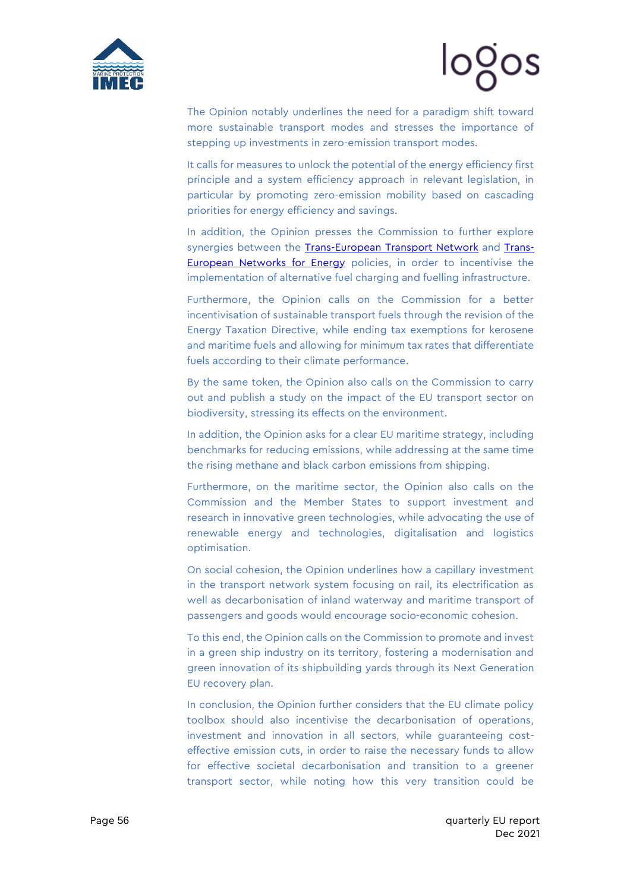

# logos

The Opinion notably underlines the need for a paradigm shift toward more sustainable transport modes and stresses the importance of stepping up investments in zero-emission transport modes.

It calls for measures to unlock the potential of the energy efficiency first principle and a system efficiency approach in relevant legislation, in particular by promoting zero-emission mobility based on cascading priorities for energy efficiency and savings.

In addition, the Opinion presses the Commission to further explore synergies between the [Trans-European Transport Network](https://ec.europa.eu/transport/infrastructure/tentec/tentec-portal/site/en/abouttent.htm) and [Trans-](https://ec.europa.eu/energy/topics/infrastructure/trans-european-networks-energy_en)[European Networks for Energy](https://ec.europa.eu/energy/topics/infrastructure/trans-european-networks-energy_en) policies, in order to incentivise the implementation of alternative fuel charging and fuelling infrastructure.

Furthermore, the Opinion calls on the Commission for a better incentivisation of sustainable transport fuels through the revision of the Energy Taxation Directive, while ending tax exemptions for kerosene and maritime fuels and allowing for minimum tax rates that differentiate fuels according to their climate performance.

By the same token, the Opinion also calls on the Commission to carry out and publish a study on the impact of the EU transport sector on biodiversity, stressing its effects on the environment.

In addition, the Opinion asks for a clear EU maritime strategy, including benchmarks for reducing emissions, while addressing at the same time the rising methane and black carbon emissions from shipping.

Furthermore, on the maritime sector, the Opinion also calls on the Commission and the Member States to support investment and research in innovative green technologies, while advocating the use of renewable energy and technologies, digitalisation and logistics optimisation.

On social cohesion, the Opinion underlines how a capillary investment in the transport network system focusing on rail, its electrification as well as decarbonisation of inland waterway and maritime transport of passengers and goods would encourage socio-economic cohesion.

To this end, the Opinion calls on the Commission to promote and invest in a green ship industry on its territory, fostering a modernisation and green innovation of its shipbuilding yards through its Next Generation EU recovery plan.

In conclusion, the Opinion further considers that the EU climate policy toolbox should also incentivise the decarbonisation of operations, investment and innovation in all sectors, while guaranteeing costeffective emission cuts, in order to raise the necessary funds to allow for effective societal decarbonisation and transition to a greener transport sector, while noting how this very transition could be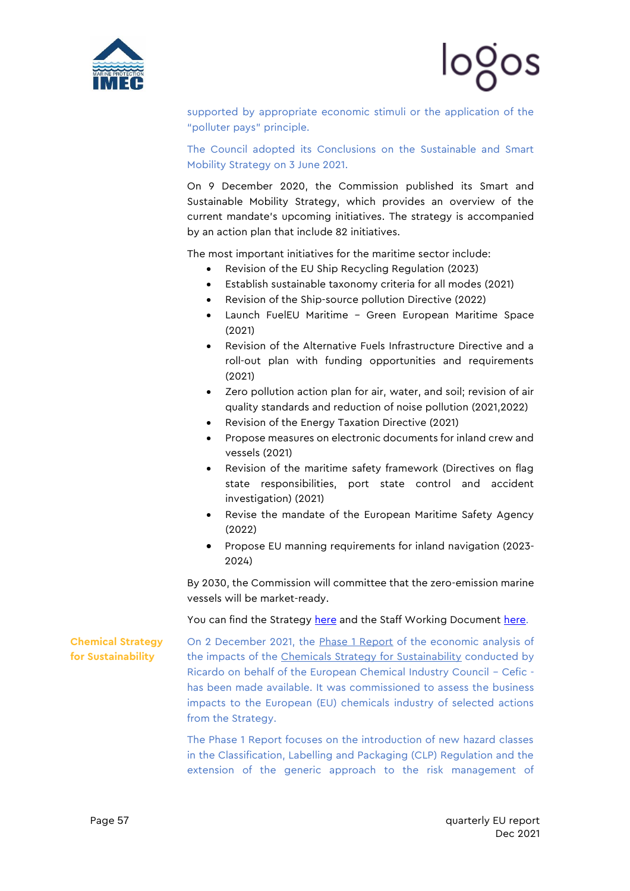



supported by appropriate economic stimuli or the application of the "polluter pays" principle.

The Council adopted its Conclusions on the Sustainable and Smart Mobility Strategy on 3 June 2021.

On 9 December 2020, the Commission published its Smart and Sustainable Mobility Strategy, which provides an overview of the current mandate's upcoming initiatives. The strategy is accompanied by an action plan that include 82 initiatives.

The most important initiatives for the maritime sector include:

- Revision of the EU Ship Recycling Regulation (2023)
- Establish sustainable taxonomy criteria for all modes (2021)
- Revision of the Ship-source pollution Directive (2022)
- Launch FuelEU Maritime Green European Maritime Space (2021)
- Revision of the Alternative Fuels Infrastructure Directive and a roll-out plan with funding opportunities and requirements (2021)
- Zero pollution action plan for air, water, and soil; revision of air quality standards and reduction of noise pollution (2021,2022)
- Revision of the Energy Taxation Directive (2021)
- Propose measures on electronic documents for inland crew and vessels (2021)
- Revision of the maritime safety framework (Directives on flag state responsibilities, port state control and accident investigation) (2021)
- Revise the mandate of the European Maritime Safety Agency (2022)
- Propose EU manning requirements for inland navigation (2023- 2024)

By 2030, the Commission will committee that the zero-emission marine vessels will be market-ready.

You can find the Strategy [here](https://ec.europa.eu/transport/sites/transport/files/legislation/com20200789-annex.pdf) and the Staff Working Document [here.](https://ec.europa.eu/transport/sites/transport/files/legislation/swd20200331.pdf)

**Chemical Strategy for Sustainability**

On 2 December 2021, the [Phase 1 Report](https://mcusercontent.com/912d3a5b241130a8c7aac179c/files/4ffcf7ed-23ac-bbfe-a979-2c470510227c/18_NOV_21_Economic_Analysis_of_the_Impacts_of_the_Chemicals_Strategy_for_Sustainability_Phase_1_Report_Ricardo_on_behalf_of_Cefic.pdf) of the economic analysis of the impacts of the [Chemicals Strategy for Sustainability](https://mcusercontent.com/912d3a5b241130a8c7aac179c/files/c561150c-c0d7-c450-e451-044d2aca182e/14_OCT_20_Communication_on_a_Chemicals_strategy_for_sustainability_towards_a_toxic_free_environment_76408.pdf) conducted by Ricardo on behalf of the European Chemical Industry Council – Cefic has been made available. It was commissioned to assess the business impacts to the European (EU) chemicals industry of selected actions from the Strategy.

The Phase 1 Report focuses on the introduction of new hazard classes in the Classification, Labelling and Packaging (CLP) Regulation and the extension of the generic approach to the risk management of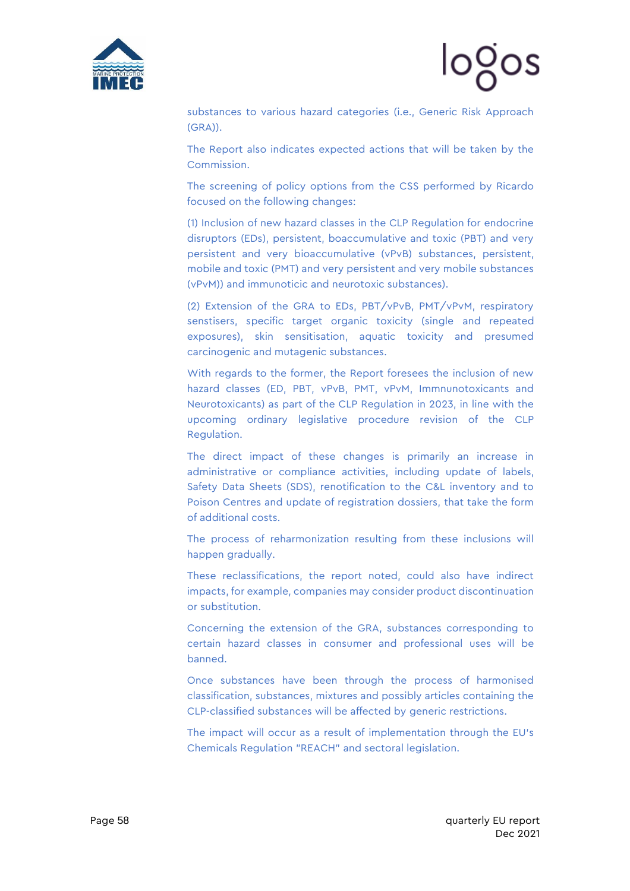



substances to various hazard categories (i.e., Generic Risk Approach (GRA)).

The Report also indicates expected actions that will be taken by the Commission.

The screening of policy options from the CSS performed by Ricardo focused on the following changes:

(1) Inclusion of new hazard classes in the CLP Regulation for endocrine disruptors (EDs), persistent, boaccumulative and toxic (PBT) and very persistent and very bioaccumulative (vPvB) substances, persistent, mobile and toxic (PMT) and very persistent and very mobile substances (vPvM)) and immunoticic and neurotoxic substances).

(2) Extension of the GRA to EDs, PBT/vPvB, PMT/vPvM, respiratory senstisers, specific target organic toxicity (single and repeated exposures), skin sensitisation, aquatic toxicity and presumed carcinogenic and mutagenic substances.

With regards to the former, the Report foresees the inclusion of new hazard classes (ED, PBT, vPvB, PMT, vPvM, Immnunotoxicants and Neurotoxicants) as part of the CLP Regulation in 2023, in line with the upcoming ordinary legislative procedure revision of the CLP Regulation.

The direct impact of these changes is primarily an increase in administrative or compliance activities, including update of labels, Safety Data Sheets (SDS), renotification to the C&L inventory and to Poison Centres and update of registration dossiers, that take the form of additional costs.

The process of reharmonization resulting from these inclusions will happen gradually.

These reclassifications, the report noted, could also have indirect impacts, for example, companies may consider product discontinuation or substitution.

Concerning the extension of the GRA, substances corresponding to certain hazard classes in consumer and professional uses will be banned.

Once substances have been through the process of harmonised classification, substances, mixtures and possibly articles containing the CLP-classified substances will be affected by generic restrictions.

The impact will occur as a result of implementation through the EU's Chemicals Regulation "REACH" and sectoral legislation.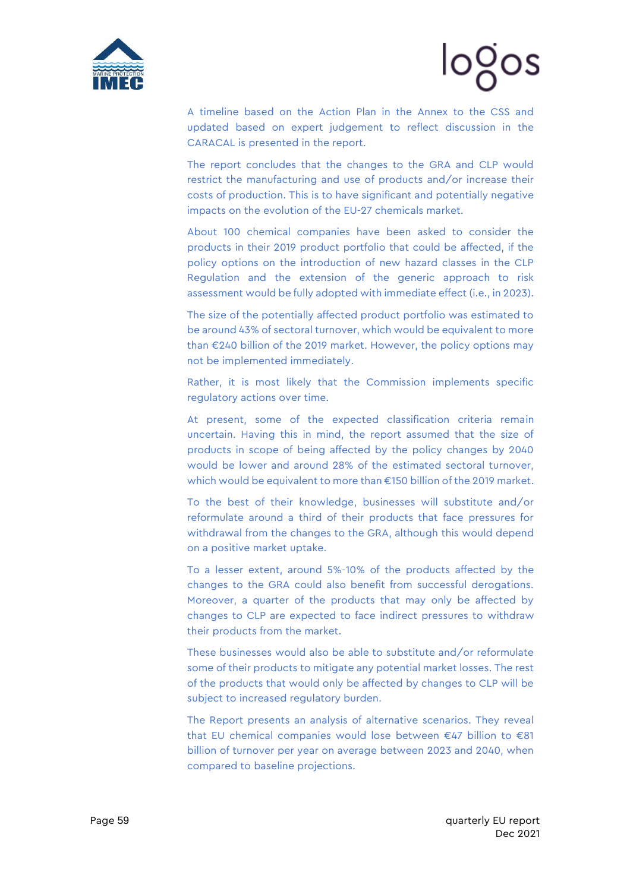



A timeline based on the Action Plan in the Annex to the CSS and updated based on expert judgement to reflect discussion in the CARACAL is presented in the report.

The report concludes that the changes to the GRA and CLP would restrict the manufacturing and use of products and/or increase their costs of production. This is to have significant and potentially negative impacts on the evolution of the EU-27 chemicals market.

About 100 chemical companies have been asked to consider the products in their 2019 product portfolio that could be affected, if the policy options on the introduction of new hazard classes in the CLP Regulation and the extension of the generic approach to risk assessment would be fully adopted with immediate effect (i.e., in 2023).

The size of the potentially affected product portfolio was estimated to be around 43% of sectoral turnover, which would be equivalent to more than €240 billion of the 2019 market. However, the policy options may not be implemented immediately.

Rather, it is most likely that the Commission implements specific regulatory actions over time.

At present, some of the expected classification criteria remain uncertain. Having this in mind, the report assumed that the size of products in scope of being affected by the policy changes by 2040 would be lower and around 28% of the estimated sectoral turnover, which would be equivalent to more than €150 billion of the 2019 market.

To the best of their knowledge, businesses will substitute and/or reformulate around a third of their products that face pressures for withdrawal from the changes to the GRA, although this would depend on a positive market uptake.

To a lesser extent, around 5%-10% of the products affected by the changes to the GRA could also benefit from successful derogations. Moreover, a quarter of the products that may only be affected by changes to CLP are expected to face indirect pressures to withdraw their products from the market.

These businesses would also be able to substitute and/or reformulate some of their products to mitigate any potential market losses. The rest of the products that would only be affected by changes to CLP will be subject to increased regulatory burden.

The Report presents an analysis of alternative scenarios. They reveal that EU chemical companies would lose between €47 billion to €81 billion of turnover per year on average between 2023 and 2040, when compared to baseline projections.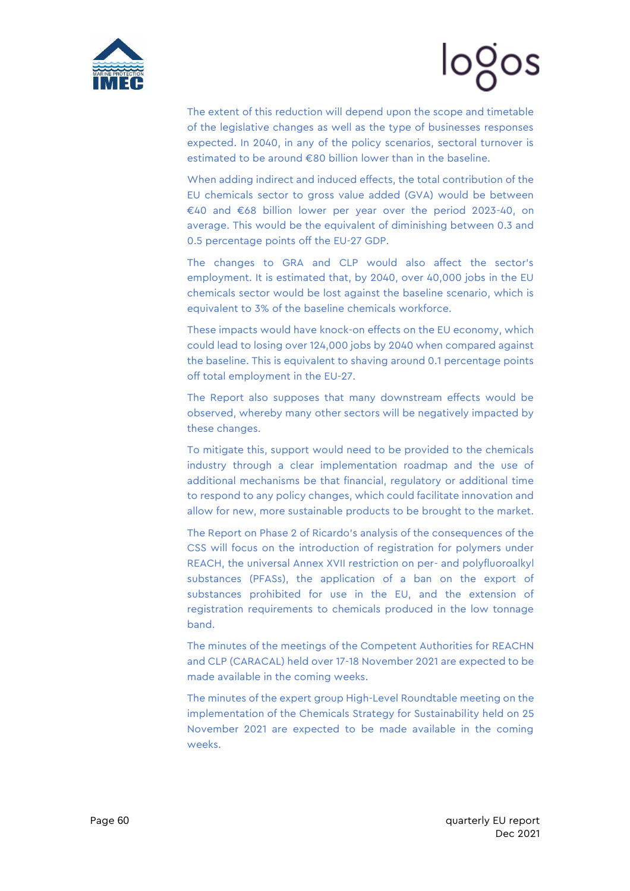

# logos

The extent of this reduction will depend upon the scope and timetable of the legislative changes as well as the type of businesses responses expected. In 2040, in any of the policy scenarios, sectoral turnover is estimated to be around €80 billion lower than in the baseline.

When adding indirect and induced effects, the total contribution of the EU chemicals sector to gross value added (GVA) would be between €40 and €68 billion lower per year over the period 2023-40, on average. This would be the equivalent of diminishing between 0.3 and 0.5 percentage points off the EU-27 GDP.

The changes to GRA and CLP would also affect the sector's employment. It is estimated that, by 2040, over 40,000 jobs in the EU chemicals sector would be lost against the baseline scenario, which is equivalent to 3% of the baseline chemicals workforce.

These impacts would have knock-on effects on the EU economy, which could lead to losing over 124,000 jobs by 2040 when compared against the baseline. This is equivalent to shaving around 0.1 percentage points off total employment in the EU-27.

The Report also supposes that many downstream effects would be observed, whereby many other sectors will be negatively impacted by these changes.

To mitigate this, support would need to be provided to the chemicals industry through a clear implementation roadmap and the use of additional mechanisms be that financial, regulatory or additional time to respond to any policy changes, which could facilitate innovation and allow for new, more sustainable products to be brought to the market.

The Report on Phase 2 of Ricardo's analysis of the consequences of the CSS will focus on the introduction of registration for polymers under REACH, the universal Annex XVII restriction on per- and polyfluoroalkyl substances (PFASs), the application of a ban on the export of substances prohibited for use in the EU, and the extension of registration requirements to chemicals produced in the low tonnage band.

The minutes of the meetings of the Competent Authorities for REACHN and CLP (CARACAL) held over 17-18 November 2021 are expected to be made available in the coming weeks.

The minutes of the expert group High-Level Roundtable meeting on the implementation of the Chemicals Strategy for Sustainability held on 25 November 2021 are expected to be made available in the coming weeks.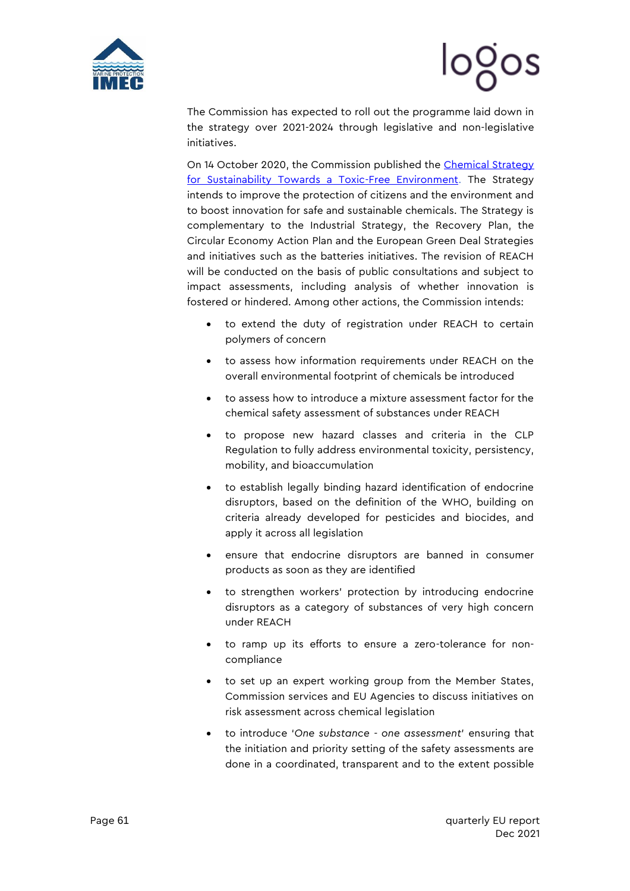



The Commission has expected to roll out the programme laid down in the strategy over 2021-2024 through legislative and non-legislative initiatives.

On 14 October 2020, the Commission published the Chemical Strategy [for Sustainability Towards a Toxic-Free Environment.](https://ec.europa.eu/environment/strategy/chemicals-strategy_en) The Strategy intends to improve the protection of citizens and the environment and to boost innovation for safe and sustainable chemicals. The Strategy is complementary to the Industrial Strategy, the Recovery Plan, the Circular Economy Action Plan and the European Green Deal Strategies and initiatives such as the batteries initiatives. The revision of REACH will be conducted on the basis of public consultations and subject to impact assessments, including analysis of whether innovation is fostered or hindered. Among other actions, the Commission intends:

- to extend the duty of registration under REACH to certain polymers of concern
- to assess how information requirements under REACH on the overall environmental footprint of chemicals be introduced
- to assess how to introduce a mixture assessment factor for the chemical safety assessment of substances under REACH
- to propose new hazard classes and criteria in the CLP Regulation to fully address environmental toxicity, persistency, mobility, and bioaccumulation
- to establish legally binding hazard identification of endocrine disruptors, based on the definition of the WHO, building on criteria already developed for pesticides and biocides, and apply it across all legislation
- ensure that endocrine disruptors are banned in consumer products as soon as they are identified
- to strengthen workers' protection by introducing endocrine disruptors as a category of substances of very high concern under REACH
- to ramp up its efforts to ensure a zero-tolerance for noncompliance
- to set up an expert working group from the Member States, Commission services and EU Agencies to discuss initiatives on risk assessment across chemical legislation
- to introduce '*One substance - one assessment*' ensuring that the initiation and priority setting of the safety assessments are done in a coordinated, transparent and to the extent possible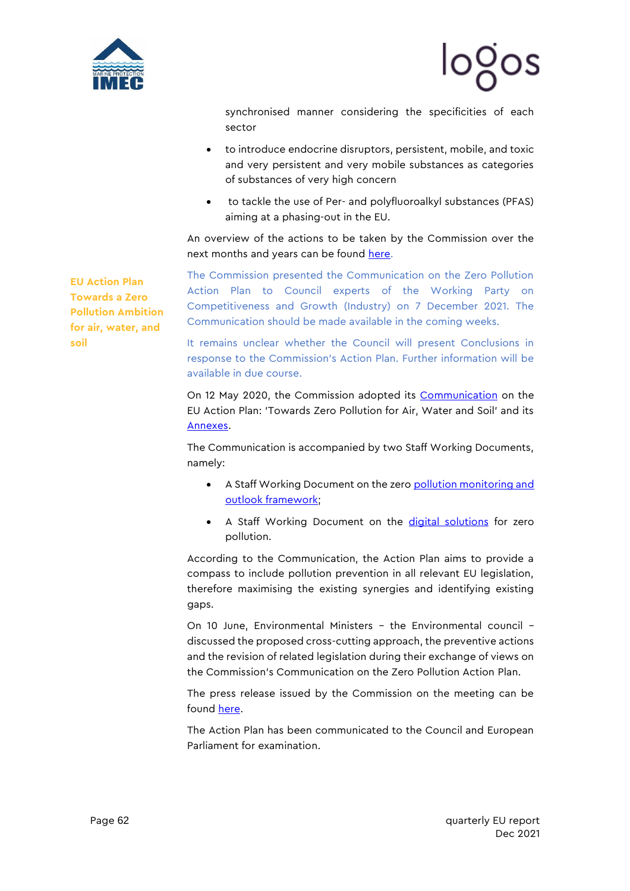

synchronised manner considering the specificities of each sector

- to introduce endocrine disruptors, persistent, mobile, and toxic and very persistent and very mobile substances as categories of substances of very high concern
- to tackle the use of Per- and polyfluoroalkyl substances (PFAS) aiming at a phasing-out in the EU.

An overview of the actions to be taken by the Commission over the next months and years can be found [here.](https://ec.europa.eu/environment/pdf/chemicals/2020/10/Annex.pdf)

**EU Action Plan Towards a Zero Pollution Ambition for air, water, and soil**

The Commission presented the Communication on the Zero Pollution Action Plan to Council experts of the Working Party on Competitiveness and Growth (Industry) on 7 December 2021. The Communication should be made available in the coming weeks.

It remains unclear whether the Council will present Conclusions in response to the Commission's Action Plan. Further information will be available in due course.

On 12 May 2020, the Commission adopted its [Communication](https://content.euissuetracker.com/wp-content/uploads/sites/2/2021/05/12-MAY-21-CEC-Communication-on-the-EU-Action-Plan-towards-Zero-Pollution-for-Air-Water-and-Soil-81866.pdf) on the EU Action Plan: 'Towards Zero Pollution for Air, Water and Soil' and its [Annexes.](https://content.euissuetracker.com/wp-content/uploads/sites/2/2021/06/12-MAY-21-CEC-Annexes-to-Zero-Pollution-Action-Plan.pdf)

The Communication is accompanied by two Staff Working Documents, namely:

- A Staff Working Document on the zero pollution monitoring and [outlook framework;](https://content.euissuetracker.com/wp-content/uploads/sites/2/2021/05/12-MAY-21-CEC-Staff-Working-Document-on-Towards-a-monitoring-and-outlook-framework-for-the-zero-pollution-ambition-81869.pdf)
- A Staff Working Document on the [digital solutions](https://content.euissuetracker.com/wp-content/uploads/sites/2/2021/05/12-MAY-21-CEC-Staff-Working-Document-on-Digital-Solutions-for-Zero-Pollution-81868.pdf) for zero pollution.

According to the Communication, the Action Plan aims to provide a compass to include pollution prevention in all relevant EU legislation, therefore maximising the existing synergies and identifying existing gaps.

On 10 June, Environmental Ministers – the Environmental council – discussed the proposed cross-cutting approach, the preventive actions and the revision of related legislation during their exchange of views on the Commission's Communication on the Zero Pollution Action Plan.

The press release issued by the Commission on the meeting can be found [here.](https://content.euissuetracker.com/wp-content/uploads/sites/2/2021/06/10-JUN-21-Press-Statement-by-Commissioner-Sinkevicius-following-the-Environemnt-Council-meeting.pdf)

The Action Plan has been communicated to the Council and European Parliament for examination.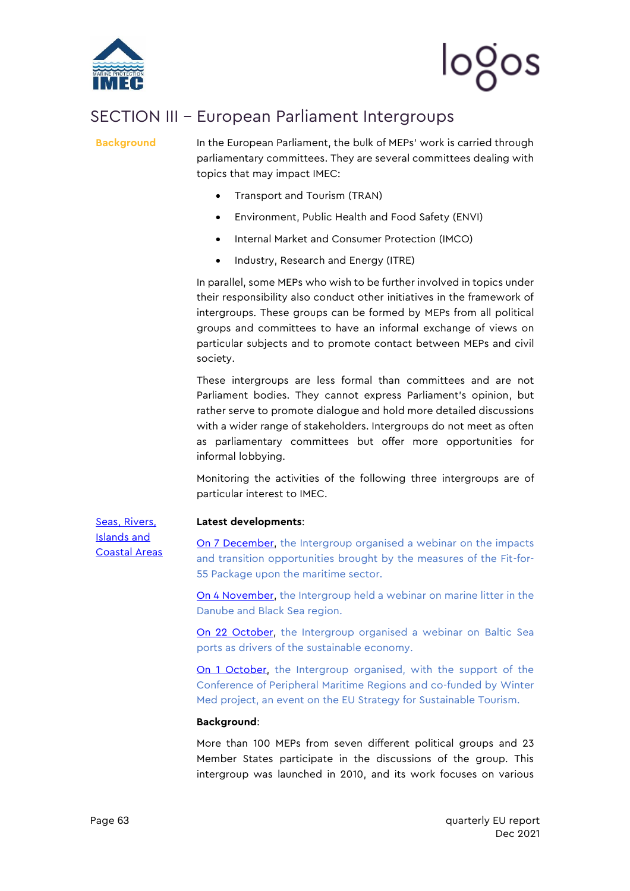

# logos

### <span id="page-63-0"></span>SECTION III – European Parliament Intergroups

**Background** In the European Parliament, the bulk of MEPs' work is carried through parliamentary committees. They are several committees dealing with topics that may impact IMEC:

- Transport and Tourism (TRAN)
- Environment, Public Health and Food Safety (ENVI)
- Internal Market and Consumer Protection (IMCO)
- Industry, Research and Energy (ITRE)

In parallel, some MEPs who wish to be further involved in topics under their responsibility also conduct other initiatives in the framework of intergroups. These groups can be formed by MEPs from all political groups and committees to have an informal exchange of views on particular subjects and to promote contact between MEPs and civil society.

These intergroups are less formal than committees and are not Parliament bodies. They cannot express Parliament's opinion, but rather serve to promote dialogue and hold more detailed discussions with a wider range of stakeholders. Intergroups do not meet as often as parliamentary committees but offer more opportunities for informal lobbying.

Monitoring the activities of the following three intergroups are of particular interest to IMEC.

[Seas, Rivers,](http://searica.eu/en/)  [Islands and](http://searica.eu/en/)  [Coastal Areas](http://searica.eu/en/)

#### **Latest developments**:

[On 7 December,](http://www.searica.eu/2020-2024/events-2019-2024/towards-a-maritime-sector-fit-for-55) the Intergroup organised a webinar on the impacts and transition opportunities brought by the measures of the Fit-for-55 Package upon the maritime sector.

[On 4 November,](http://www.searica.eu/2020-2024/events-2019-2024/marine-litter-in-the-danube-and-the-black-sea-region-concrete-proposals-from-the-regions) the Intergroup held a webinar on marine litter in the Danube and Black Sea region.

[On 22 October,](http://www.searica.eu/2020-2024/events-2019-2024/baltic-sea-ports-as-drivers-of-the-sustainable-blue-economy-making-the-green-deal-a-reality) the Intergroup organised a webinar on Baltic Sea ports as drivers of the sustainable economy.

[On 1 October,](http://www.searica.eu/2020-2024/events-2019-2024/towards-an-eu-strategy-for-sustainable-tourism-building-forward-smarter-and-greener-in-the-eu-coastal-insular-regions) the Intergroup organised, with the support of the Conference of Peripheral Maritime Regions and co-funded by Winter Med project, an event on the EU Strategy for Sustainable Tourism.

#### **Background**:

More than 100 MEPs from seven different political groups and 23 Member States participate in the discussions of the group. This intergroup was launched in 2010, and its work focuses on various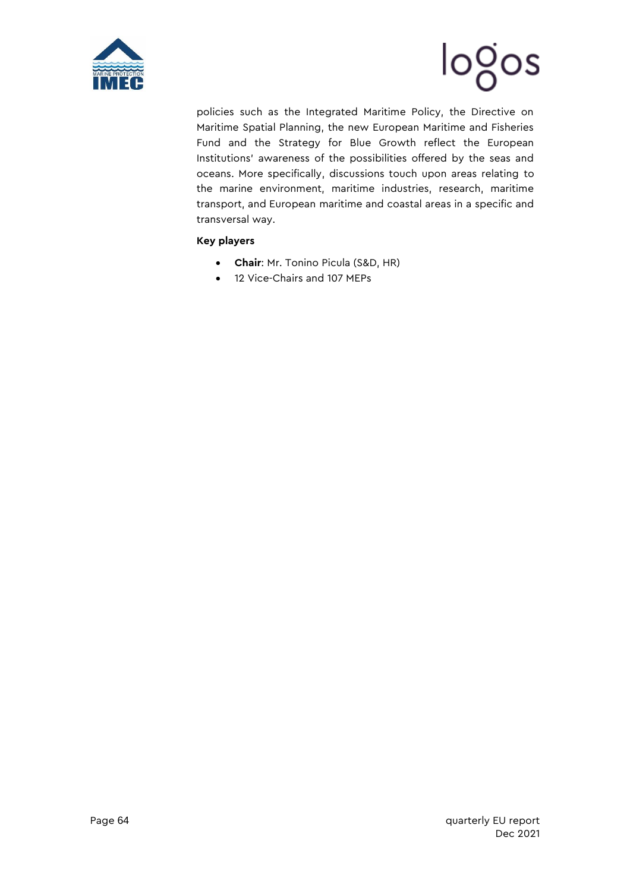



policies such as the Integrated Maritime Policy, the Directive on Maritime Spatial Planning, the new European Maritime and Fisheries Fund and the Strategy for Blue Growth reflect the European Institutions' awareness of the possibilities offered by the seas and oceans. More specifically, discussions touch upon areas relating to the marine environment, maritime industries, research, maritime transport, and European maritime and coastal areas in a specific and transversal way.

#### **Key players**

- **Chair**: Mr. Tonino Picula (S&D, HR)
- 12 Vice-Chairs and 107 MEPs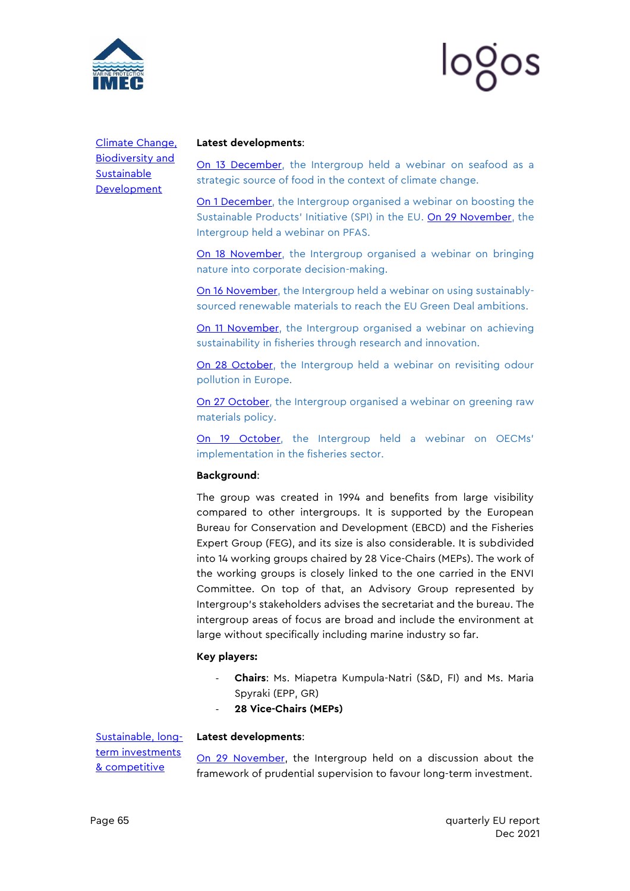



[Climate Change,](http://ebcd.org/intergroup/)  [Biodiversity and](http://ebcd.org/intergroup/)  [Sustainable](http://ebcd.org/intergroup/)  **[Development](http://ebcd.org/intergroup/)** 

#### **Latest developments**:

[On 13 December,](https://ebcd.org/events/online-event-seafood-as-a-strategic-source-of-food-in-the-context-of-climate-change/) the Intergroup held a webinar on seafood as a strategic source of food in the context of climate change.

[On 1 December,](https://ebcd.org/events/online-event-boosting-the-sustainable-products-initiative-spi-in-the-eu/) the Intergroup organised a webinar on boosting the Sustainable Products' Initiative (SPI) in the EU. [On 29 November,](https://ebcd.org/events/online-event-pfas-challenges-and-solutions/) the Intergroup held a webinar on PFAS.

[On 18 November,](https://ebcd.org/events/online-event-bringing-nature-into-corporate-decision-making-challenges-and-opportunities-ahead/) the Intergroup organised a webinar on bringing nature into corporate decision-making.

[On 16 November,](https://ebcd.org/events/online-event-using-sustainably-sourced-renewable-materials-to-reach-the-eu-green-deal-ambitions-how-can-we-get-it-right/) the Intergroup held a webinar on using sustainablysourced renewable materials to reach the EU Green Deal ambitions.

[On 11 November,](https://ebcd.org/events/online-event-achieving-sustainability-in-fisheries-through-research-and-innovation/) the Intergroup organised a webinar on achieving sustainability in fisheries through research and innovation.

[On 28 October,](https://ebcd.org/events/online-event-revisiting-odour-pollution-in-europe/) the Intergroup held a webinar on revisiting odour pollution in Europe.

[On 27 October,](https://ebcd.org/events/online-event-greening-raw-materials-policy/) the Intergroup organised a webinar on greening raw materials policy.

[On 19 October](https://ebcd.org/events/online-event-advancing-progress-towards-the-european-green-deal-oecms-implementation-in-the-fisheries-sector/), the Intergroup held a webinar on OECMs' implementation in the fisheries sector.

#### **Background**:

The group was created in 1994 and benefits from large visibility compared to other intergroups. It is supported by the European Bureau for Conservation and Development (EBCD) and the Fisheries Expert Group (FEG), and its size is also considerable. It is subdivided into 14 working groups chaired by 28 Vice-Chairs (MEPs). The work of the working groups is closely linked to the one carried in the ENVI Committee. On top of that, an Advisory Group represented by Intergroup's stakeholders advises the secretariat and the bureau. The intergroup areas of focus are broad and include the environment at large without specifically including marine industry so far.

#### **Key players:**

- **Chairs**: Ms. Miapetra Kumpula-Natri (S&D, FI) and Ms. Maria Spyraki (EPP, GR)
- 28 Vice-Chairs (MEPs)

[Sustainable, long](https://investmentindustryintergroup.eu/en/)term investments [& competitive](https://investmentindustryintergroup.eu/en/) 

#### **Latest developments**:

[On 29 November,](https://investmentindustryintergroup.eu/event/which-framework-of-prudential-supervision-to-favor-long-term-investment-implementation-of-basel-iii/) the Intergroup held on a discussion about the framework of prudential supervision to favour long-term investment.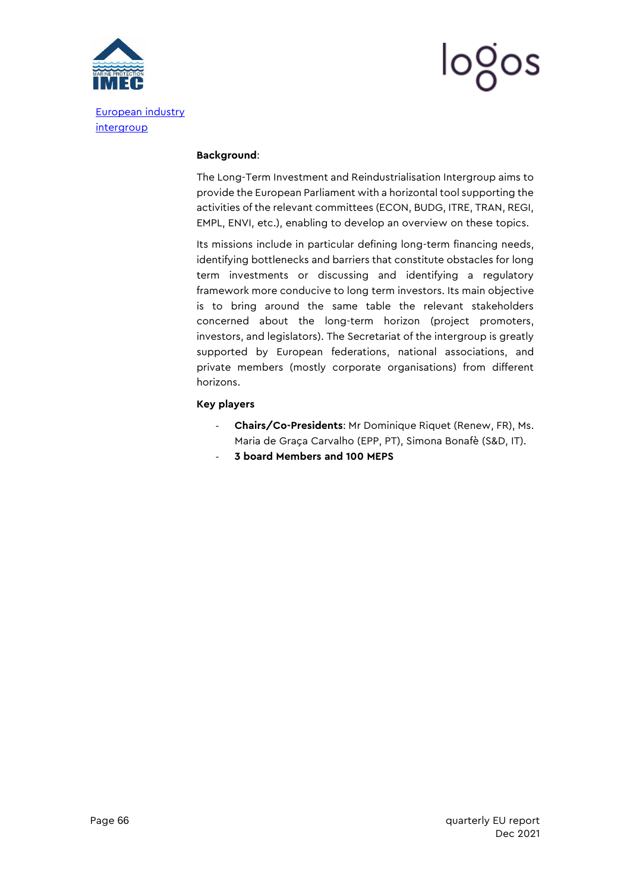

[intergroup](https://investmentindustryintergroup.eu/en/)



#### **Background**:

The Long-Term Investment and Reindustrialisation Intergroup aims to provide the European Parliament with a horizontal tool supporting the activities of the relevant committees (ECON, BUDG, ITRE, TRAN, REGI, EMPL, ENVI, etc.), enabling to develop an overview on these topics.

Its missions include in particular defining long-term financing needs, identifying bottlenecks and barriers that constitute obstacles for long term investments or discussing and identifying a regulatory framework more conducive to long term investors. Its main objective is to bring around the same table the relevant stakeholders concerned about the long-term horizon (project promoters, investors, and legislators). The Secretariat of the intergroup is greatly supported by European federations, national associations, and private members (mostly corporate organisations) from different horizons.

#### **Key players**

- **Chairs/Co-Presidents**: Mr Dominique Riquet (Renew, FR), Ms. Maria de Graça Carvalho (EPP, PT), Simona Bonafè (S&D, IT).
- **3 board Members and 100 MEPS**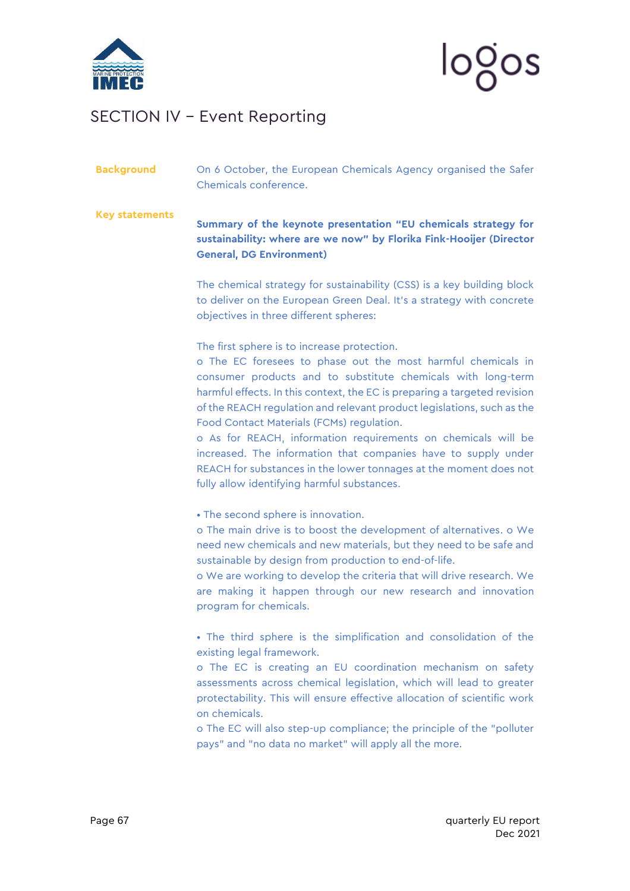

### <span id="page-67-0"></span>SECTION IV – Event Reporting

### **Background** On 6 October, the European Chemicals Agency organised the Safer Chemicals conference.

**Key statements Summary of the keynote presentation "EU chemicals strategy for sustainability: where are we now" by Florika Fink-Hooijer (Director General, DG Environment)**

> The chemical strategy for sustainability (CSS) is a key building block to deliver on the European Green Deal. It's a strategy with concrete objectives in three different spheres:

The first sphere is to increase protection.

o The EC foresees to phase out the most harmful chemicals in consumer products and to substitute chemicals with long-term harmful effects. In this context, the EC is preparing a targeted revision of the REACH regulation and relevant product legislations, such as the Food Contact Materials (FCMs) regulation.

o As for REACH, information requirements on chemicals will be increased. The information that companies have to supply under REACH for substances in the lower tonnages at the moment does not fully allow identifying harmful substances.

• The second sphere is innovation.

o The main drive is to boost the development of alternatives. o We need new chemicals and new materials, but they need to be safe and sustainable by design from production to end-of-life.

o We are working to develop the criteria that will drive research. We are making it happen through our new research and innovation program for chemicals.

• The third sphere is the simplification and consolidation of the existing legal framework.

o The EC is creating an EU coordination mechanism on safety assessments across chemical legislation, which will lead to greater protectability. This will ensure effective allocation of scientific work on chemicals.

o The EC will also step-up compliance; the principle of the "polluter pays" and "no data no market" will apply all the more.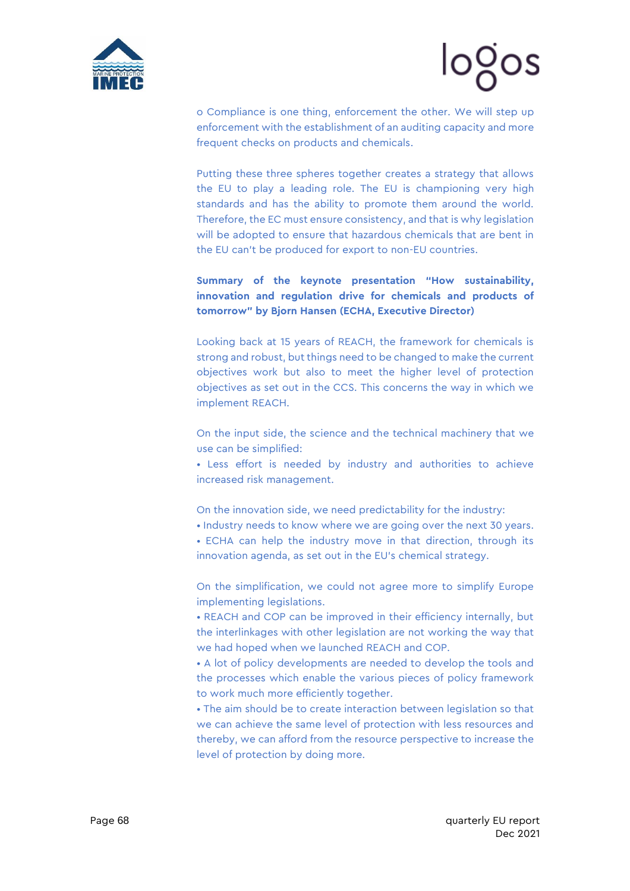

# logos

o Compliance is one thing, enforcement the other. We will step up enforcement with the establishment of an auditing capacity and more frequent checks on products and chemicals.

Putting these three spheres together creates a strategy that allows the EU to play a leading role. The EU is championing very high standards and has the ability to promote them around the world. Therefore, the EC must ensure consistency, and that is why legislation will be adopted to ensure that hazardous chemicals that are bent in the EU can't be produced for export to non-EU countries.

### **Summary of the keynote presentation "How sustainability, innovation and regulation drive for chemicals and products of tomorrow" by Bjorn Hansen (ECHA, Executive Director)**

Looking back at 15 years of REACH, the framework for chemicals is strong and robust, but things need to be changed to make the current objectives work but also to meet the higher level of protection objectives as set out in the CCS. This concerns the way in which we implement REACH.

On the input side, the science and the technical machinery that we use can be simplified:

• Less effort is needed by industry and authorities to achieve increased risk management.

On the innovation side, we need predictability for the industry:

• Industry needs to know where we are going over the next 30 years.

• ECHA can help the industry move in that direction, through its innovation agenda, as set out in the EU's chemical strategy.

On the simplification, we could not agree more to simplify Europe implementing legislations.

• REACH and COP can be improved in their efficiency internally, but the interlinkages with other legislation are not working the way that we had hoped when we launched REACH and COP.

• A lot of policy developments are needed to develop the tools and the processes which enable the various pieces of policy framework to work much more efficiently together.

• The aim should be to create interaction between legislation so that we can achieve the same level of protection with less resources and thereby, we can afford from the resource perspective to increase the level of protection by doing more.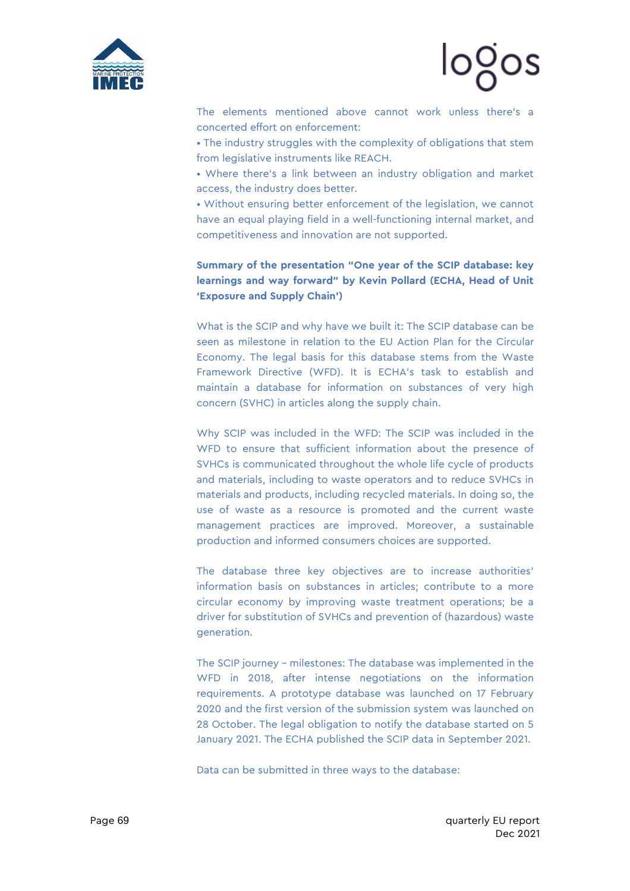



The elements mentioned above cannot work unless there's a concerted effort on enforcement:

• The industry struggles with the complexity of obligations that stem from legislative instruments like REACH.

• Where there's a link between an industry obligation and market access, the industry does better.

• Without ensuring better enforcement of the legislation, we cannot have an equal playing field in a well-functioning internal market, and competitiveness and innovation are not supported.

**Summary of the presentation "One year of the SCIP database: key learnings and way forward" by Kevin Pollard (ECHA, Head of Unit 'Exposure and Supply Chain')**

What is the SCIP and why have we built it: The SCIP database can be seen as milestone in relation to the EU Action Plan for the Circular Economy. The legal basis for this database stems from the Waste Framework Directive (WFD). It is ECHA's task to establish and maintain a database for information on substances of very high concern (SVHC) in articles along the supply chain.

Why SCIP was included in the WFD: The SCIP was included in the WFD to ensure that sufficient information about the presence of SVHCs is communicated throughout the whole life cycle of products and materials, including to waste operators and to reduce SVHCs in materials and products, including recycled materials. In doing so, the use of waste as a resource is promoted and the current waste management practices are improved. Moreover, a sustainable production and informed consumers choices are supported.

The database three key objectives are to increase authorities' information basis on substances in articles; contribute to a more circular economy by improving waste treatment operations; be a driver for substitution of SVHCs and prevention of (hazardous) waste generation.

The SCIP journey – milestones: The database was implemented in the WFD in 2018, after intense negotiations on the information requirements. A prototype database was launched on 17 February 2020 and the first version of the submission system was launched on 28 October. The legal obligation to notify the database started on 5 January 2021. The ECHA published the SCIP data in September 2021.

Data can be submitted in three ways to the database: